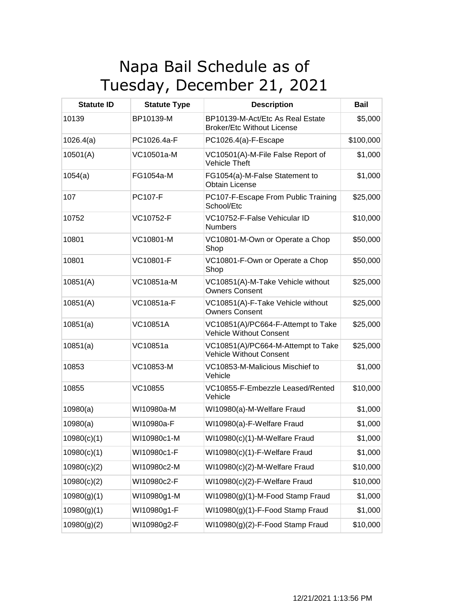## Napa Bail Schedule as of Tuesday, December 21, 2021

| <b>Statute ID</b> | <b>Statute Type</b> | <b>Description</b>                                                    | <b>Bail</b> |
|-------------------|---------------------|-----------------------------------------------------------------------|-------------|
| 10139             | BP10139-M           | BP10139-M-Act/Etc As Real Estate<br><b>Broker/Etc Without License</b> | \$5,000     |
| 1026.4(a)         | PC1026.4a-F         | PC1026.4(a)-F-Escape                                                  | \$100,000   |
| 10501(A)          | VC10501a-M          | VC10501(A)-M-File False Report of<br><b>Vehicle Theft</b>             | \$1,000     |
| 1054(a)           | FG1054a-M           | FG1054(a)-M-False Statement to<br><b>Obtain License</b>               | \$1,000     |
| 107               | <b>PC107-F</b>      | PC107-F-Escape From Public Training<br>School/Etc                     | \$25,000    |
| 10752             | VC10752-F           | VC10752-F-False Vehicular ID<br><b>Numbers</b>                        | \$10,000    |
| 10801             | VC10801-M           | VC10801-M-Own or Operate a Chop<br>Shop                               | \$50,000    |
| 10801             | VC10801-F           | VC10801-F-Own or Operate a Chop<br>Shop                               | \$50,000    |
| 10851(A)          | VC10851a-M          | VC10851(A)-M-Take Vehicle without<br><b>Owners Consent</b>            | \$25,000    |
| 10851(A)          | VC10851a-F          | VC10851(A)-F-Take Vehicle without<br><b>Owners Consent</b>            | \$25,000    |
| 10851(a)          | <b>VC10851A</b>     | VC10851(A)/PC664-F-Attempt to Take<br><b>Vehicle Without Consent</b>  | \$25,000    |
| 10851(a)          | VC10851a            | VC10851(A)/PC664-M-Attempt to Take<br><b>Vehicle Without Consent</b>  | \$25,000    |
| 10853             | VC10853-M           | VC10853-M-Malicious Mischief to<br>Vehicle                            | \$1,000     |
| 10855             | VC10855             | VC10855-F-Embezzle Leased/Rented<br>Vehicle                           | \$10,000    |
| 10980(a)          | WI10980a-M          | WI10980(a)-M-Welfare Fraud                                            | \$1,000     |
| 10980(a)          | WI10980a-F          | WI10980(a)-F-Welfare Fraud                                            | \$1,000     |
| 10980(c)(1)       | WI10980c1-M         | WI10980(c)(1)-M-Welfare Fraud                                         | \$1,000     |
| 10980(c)(1)       | WI10980c1-F         | WI10980(c)(1)-F-Welfare Fraud                                         | \$1,000     |
| 10980(c)(2)       | WI10980c2-M         | WI10980(c)(2)-M-Welfare Fraud                                         | \$10,000    |
| 10980(c)(2)       | WI10980c2-F         | WI10980(c)(2)-F-Welfare Fraud                                         | \$10,000    |
| 10980(g)(1)       | WI10980g1-M         | WI10980(g)(1)-M-Food Stamp Fraud                                      | \$1,000     |
| 10980(g)(1)       | WI10980g1-F         | WI10980(g)(1)-F-Food Stamp Fraud                                      | \$1,000     |
| 10980(g)(2)       | WI10980g2-F         | WI10980(g)(2)-F-Food Stamp Fraud                                      | \$10,000    |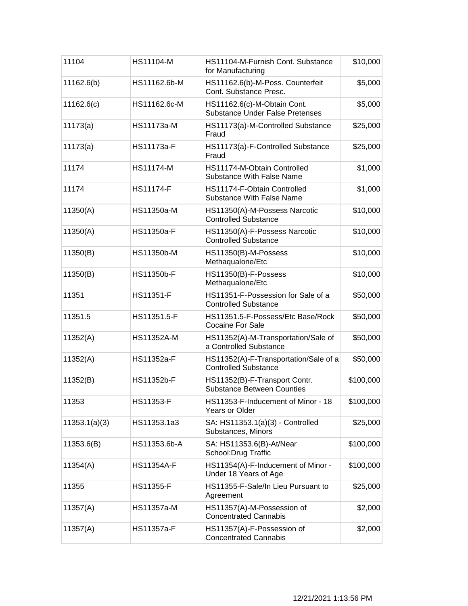| 11104         | HS11104-M         | HS11104-M-Furnish Cont. Substance<br>for Manufacturing                | \$10,000  |
|---------------|-------------------|-----------------------------------------------------------------------|-----------|
| 11162.6(b)    | HS11162.6b-M      | HS11162.6(b)-M-Poss. Counterfeit<br>Cont. Substance Presc.            | \$5,000   |
| 11162.6(c)    | HS11162.6c-M      | HS11162.6(c)-M-Obtain Cont.<br><b>Substance Under False Pretenses</b> | \$5,000   |
| 11173(a)      | HS11173a-M        | HS11173(a)-M-Controlled Substance<br>Fraud                            | \$25,000  |
| 11173(a)      | HS11173a-F        | HS11173(a)-F-Controlled Substance<br>Fraud                            | \$25,000  |
| 11174         | <b>HS11174-M</b>  | HS11174-M-Obtain Controlled<br><b>Substance With False Name</b>       | \$1,000   |
| 11174         | <b>HS11174-F</b>  | HS11174-F-Obtain Controlled<br><b>Substance With False Name</b>       | \$1,000   |
| 11350(A)      | HS11350a-M        | HS11350(A)-M-Possess Narcotic<br><b>Controlled Substance</b>          | \$10,000  |
| 11350(A)      | HS11350a-F        | HS11350(A)-F-Possess Narcotic<br><b>Controlled Substance</b>          | \$10,000  |
| 11350(B)      | HS11350b-M        | HS11350(B)-M-Possess<br>Methaqualone/Etc                              | \$10,000  |
| 11350(B)      | HS11350b-F        | HS11350(B)-F-Possess<br>Methaqualone/Etc                              | \$10,000  |
| 11351         | HS11351-F         | HS11351-F-Possession for Sale of a<br><b>Controlled Substance</b>     | \$50,000  |
| 11351.5       | HS11351.5-F       | HS11351.5-F-Possess/Etc Base/Rock<br><b>Cocaine For Sale</b>          | \$50,000  |
| 11352(A)      | <b>HS11352A-M</b> | HS11352(A)-M-Transportation/Sale of<br>a Controlled Substance         | \$50,000  |
| 11352(A)      | HS11352a-F        | HS11352(A)-F-Transportation/Sale of a<br><b>Controlled Substance</b>  | \$50,000  |
| 11352(B)      | HS11352b-F        | HS11352(B)-F-Transport Contr.<br><b>Substance Between Counties</b>    | \$100,000 |
| 11353         | HS11353-F         | HS11353-F-Inducement of Minor - 18<br><b>Years or Older</b>           | \$100,000 |
| 11353.1(a)(3) | HS11353.1a3       | SA: HS11353.1(a)(3) - Controlled<br>Substances, Minors                | \$25,000  |
| 11353.6(B)    | HS11353.6b-A      | SA: HS11353.6(B)-At/Near<br>School: Drug Traffic                      | \$100,000 |
| 11354(A)      | <b>HS11354A-F</b> | HS11354(A)-F-Inducement of Minor -<br>Under 18 Years of Age           | \$100,000 |
| 11355         | <b>HS11355-F</b>  | HS11355-F-Sale/In Lieu Pursuant to<br>Agreement                       | \$25,000  |
| 11357(A)      | HS11357a-M        | HS11357(A)-M-Possession of<br><b>Concentrated Cannabis</b>            | \$2,000   |
| 11357(A)      | HS11357a-F        | HS11357(A)-F-Possession of<br><b>Concentrated Cannabis</b>            | \$2,000   |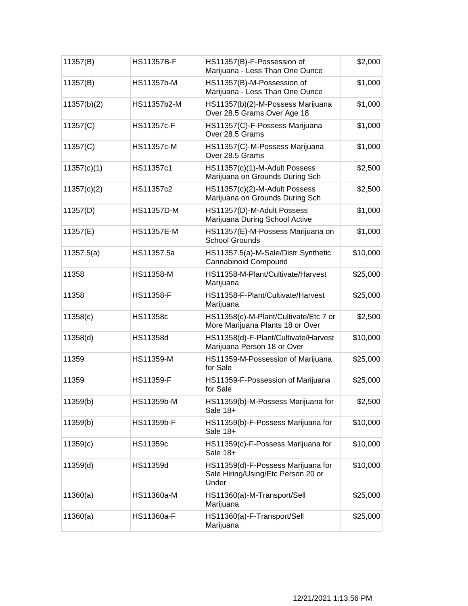| 11357(B)    | <b>HS11357B-F</b> | HS11357(B)-F-Possession of<br>Marijuana - Less Than One Ounce                     | \$2,000  |
|-------------|-------------------|-----------------------------------------------------------------------------------|----------|
| 11357(B)    | <b>HS11357b-M</b> | HS11357(B)-M-Possession of<br>Marijuana - Less Than One Ounce                     | \$1,000  |
| 11357(b)(2) | HS11357b2-M       | HS11357(b)(2)-M-Possess Marijuana<br>Over 28.5 Grams Over Age 18                  | \$1,000  |
| 11357(C)    | <b>HS11357c-F</b> | HS11357(C)-F-Possess Marijuana<br>Over 28.5 Grams                                 | \$1,000  |
| 11357(C)    | <b>HS11357c-M</b> | HS11357(C)-M-Possess Marijuana<br>Over 28.5 Grams                                 | \$1,000  |
| 11357(c)(1) | HS11357c1         | HS11357(c)(1)-M-Adult Possess<br>Marijuana on Grounds During Sch                  | \$2,500  |
| 11357(c)(2) | HS11357c2         | HS11357(c)(2)-M-Adult Possess<br>Marijuana on Grounds During Sch                  | \$2,500  |
| 11357(D)    | <b>HS11357D-M</b> | HS11357(D)-M-Adult Possess<br>Marijuana During School Active                      | \$1,000  |
| 11357(E)    | <b>HS11357E-M</b> | HS11357(E)-M-Possess Marijuana on<br><b>School Grounds</b>                        | \$1,000  |
| 11357.5(a)  | HS11357.5a        | HS11357.5(a)-M-Sale/Distr Synthetic<br>Cannabinoid Compound                       | \$10,000 |
| 11358       | <b>HS11358-M</b>  | HS11358-M-Plant/Cultivate/Harvest<br>Marijuana                                    | \$25,000 |
| 11358       | <b>HS11358-F</b>  | HS11358-F-Plant/Cultivate/Harvest<br>Marijuana                                    | \$25,000 |
| 11358(c)    | HS11358c          | HS11358(c)-M-Plant/Cultivate/Etc 7 or<br>More Marijuana Plants 18 or Over         | \$2,500  |
| 11358(d)    | HS11358d          | HS11358(d)-F-Plant/Cultivate/Harvest<br>Marijuana Person 18 or Over               | \$10,000 |
| 11359       | HS11359-M         | HS11359-M-Possession of Marijuana<br>for Sale                                     | \$25,000 |
| 11359       | <b>HS11359-F</b>  | HS11359-F-Possession of Marijuana<br>for Sale                                     | \$25,000 |
| 11359(b)    | HS11359b-M        | HS11359(b)-M-Possess Marijuana for<br>Sale 18+                                    | \$2,500  |
| 11359(b)    | HS11359b-F        | HS11359(b)-F-Possess Marijuana for<br>Sale 18+                                    | \$10,000 |
| 11359(c)    | HS11359c          | HS11359(c)-F-Possess Marijuana for<br>Sale 18+                                    | \$10,000 |
| 11359(d)    | HS11359d          | HS11359(d)-F-Possess Marijuana for<br>Sale Hiring/Using/Etc Person 20 or<br>Under | \$10,000 |
| 11360(a)    | HS11360a-M        | HS11360(a)-M-Transport/Sell<br>Marijuana                                          | \$25,000 |
| 11360(a)    | HS11360a-F        | HS11360(a)-F-Transport/Sell<br>Marijuana                                          | \$25,000 |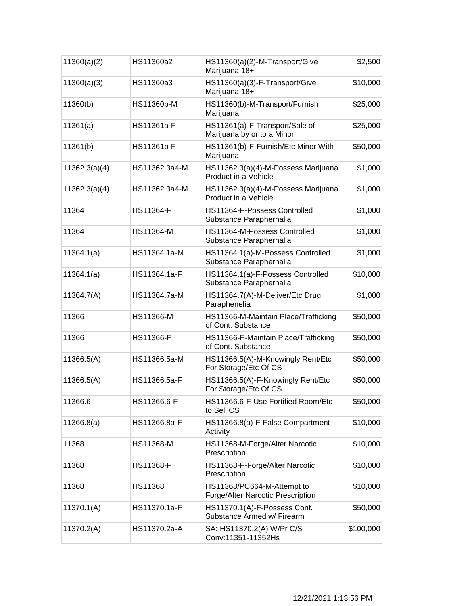| 11360(a)(2)   | HS11360a2        | HS11360(a)(2)-M-Transport/Give<br>Marijuana 18+                 | \$2,500   |
|---------------|------------------|-----------------------------------------------------------------|-----------|
| 11360(a)(3)   | HS11360a3        | HS11360(a)(3)-F-Transport/Give<br>Marijuana 18+                 | \$10,000  |
| 11360(b)      | HS11360b-M       | HS11360(b)-M-Transport/Furnish<br>Marijuana                     | \$25,000  |
| 11361(a)      | HS11361a-F       | HS11361(a)-F-Transport/Sale of<br>Marijuana by or to a Minor    | \$25,000  |
| 11361(b)      | HS11361b-F       | HS11361(b)-F-Furnish/Etc Minor With<br>Marijuana                | \$50,000  |
| 11362.3(a)(4) | HS11362.3a4-M    | HS11362.3(a)(4)-M-Possess Marijuana<br>Product in a Vehicle     | \$1,000   |
| 11362.3(a)(4) | HS11362.3a4-M    | HS11362.3(a)(4)-M-Possess Marijuana<br>Product in a Vehicle     | \$1,000   |
| 11364         | <b>HS11364-F</b> | HS11364-F-Possess Controlled<br>Substance Paraphernalia         | \$1,000   |
| 11364         | HS11364-M        | HS11364-M-Possess Controlled<br>Substance Paraphernalia         | \$1,000   |
| 11364.1(a)    | HS11364.1a-M     | HS11364.1(a)-M-Possess Controlled<br>Substance Paraphernalia    | \$1,000   |
| 11364.1(a)    | HS11364.1a-F     | HS11364.1(a)-F-Possess Controlled<br>Substance Paraphernalia    | \$10,000  |
| 11364.7(A)    | HS11364.7a-M     | HS11364.7(A)-M-Deliver/Etc Drug<br>Paraphenelia                 | \$1,000   |
| 11366         | HS11366-M        | HS11366-M-Maintain Place/Trafficking<br>of Cont. Substance      | \$50,000  |
| 11366         | <b>HS11366-F</b> | HS11366-F-Maintain Place/Trafficking<br>of Cont. Substance      | \$50,000  |
| 11366.5(A)    | HS11366.5a-M     | HS11366.5(A)-M-Knowingly Rent/Etc<br>For Storage/Etc Of CS      | \$50,000  |
| 11366.5(A)    | HS11366.5a-F     | HS11366.5(A)-F-Knowingly Rent/Etc<br>For Storage/Etc Of CS      | \$50,000  |
| 11366.6       | HS11366.6-F      | HS11366.6-F-Use Fortified Room/Etc<br>to Sell CS                | \$50,000  |
| 11366.8(a)    | HS11366.8a-F     | HS11366.8(a)-F-False Compartment<br>Activity                    | \$10,000  |
| 11368         | HS11368-M        | HS11368-M-Forge/Alter Narcotic<br>Prescription                  | \$10,000  |
| 11368         | <b>HS11368-F</b> | HS11368-F-Forge/Alter Narcotic<br>Prescription                  | \$10,000  |
| 11368         | HS11368          | HS11368/PC664-M-Attempt to<br>Forge/Alter Narcotic Prescription | \$10,000  |
| 11370.1(A)    | HS11370.1a-F     | HS11370.1(A)-F-Possess Cont.<br>Substance Armed w/ Firearm      | \$50,000  |
| 11370.2(A)    | HS11370.2a-A     | SA: HS11370.2(A) W/Pr C/S<br>Conv:11351-11352Hs                 | \$100,000 |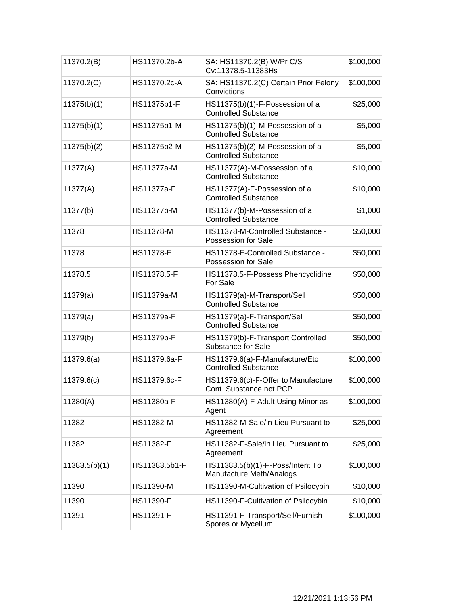| 11370.2(B)    | HS11370.2b-A      | SA: HS11370.2(B) W/Pr C/S<br>Cv:11378.5-11383Hs                | \$100,000 |
|---------------|-------------------|----------------------------------------------------------------|-----------|
| 11370.2(C)    | HS11370.2c-A      | SA: HS11370.2(C) Certain Prior Felony<br>Convictions           | \$100,000 |
| 11375(b)(1)   | HS11375b1-F       | HS11375(b)(1)-F-Possession of a<br><b>Controlled Substance</b> | \$25,000  |
| 11375(b)(1)   | HS11375b1-M       | HS11375(b)(1)-M-Possession of a<br><b>Controlled Substance</b> | \$5,000   |
| 11375(b)(2)   | HS11375b2-M       | HS11375(b)(2)-M-Possession of a<br><b>Controlled Substance</b> | \$5,000   |
| 11377(A)      | <b>HS11377a-M</b> | HS11377(A)-M-Possession of a<br><b>Controlled Substance</b>    | \$10,000  |
| 11377(A)      | <b>HS11377a-F</b> | HS11377(A)-F-Possession of a<br><b>Controlled Substance</b>    | \$10,000  |
| 11377(b)      | <b>HS11377b-M</b> | HS11377(b)-M-Possession of a<br><b>Controlled Substance</b>    | \$1,000   |
| 11378         | <b>HS11378-M</b>  | HS11378-M-Controlled Substance -<br>Possession for Sale        | \$50,000  |
| 11378         | <b>HS11378-F</b>  | HS11378-F-Controlled Substance -<br>Possession for Sale        | \$50,000  |
| 11378.5       | HS11378.5-F       | HS11378.5-F-Possess Phencyclidine<br>For Sale                  | \$50,000  |
| 11379(a)      | HS11379a-M        | HS11379(a)-M-Transport/Sell<br><b>Controlled Substance</b>     | \$50,000  |
| 11379(a)      | HS11379a-F        | HS11379(a)-F-Transport/Sell<br><b>Controlled Substance</b>     | \$50,000  |
| 11379(b)      | HS11379b-F        | HS11379(b)-F-Transport Controlled<br><b>Substance for Sale</b> | \$50,000  |
| 11379.6(a)    | HS11379.6a-F      | HS11379.6(a)-F-Manufacture/Etc<br><b>Controlled Substance</b>  | \$100,000 |
| 11379.6(c)    | HS11379.6c-F      | HS11379.6(c)-F-Offer to Manufacture<br>Cont. Substance not PCP | \$100,000 |
| 11380(A)      | HS11380a-F        | HS11380(A)-F-Adult Using Minor as<br>Agent                     | \$100,000 |
| 11382         | HS11382-M         | HS11382-M-Sale/in Lieu Pursuant to<br>Agreement                | \$25,000  |
| 11382         | <b>HS11382-F</b>  | HS11382-F-Sale/in Lieu Pursuant to<br>Agreement                | \$25,000  |
| 11383.5(b)(1) | HS11383.5b1-F     | HS11383.5(b)(1)-F-Poss/Intent To<br>Manufacture Meth/Analogs   | \$100,000 |
| 11390         | HS11390-M         | HS11390-M-Cultivation of Psilocybin                            | \$10,000  |
| 11390         | <b>HS11390-F</b>  | HS11390-F-Cultivation of Psilocybin                            | \$10,000  |
| 11391         | HS11391-F         | HS11391-F-Transport/Sell/Furnish<br>Spores or Mycelium         | \$100,000 |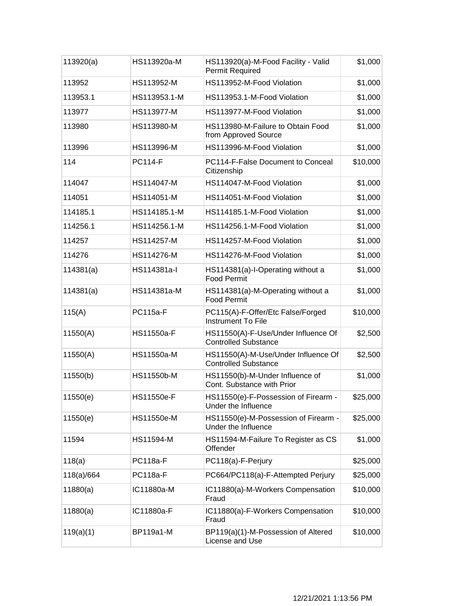| 113920(a)  | HS113920a-M       | HS113920(a)-M-Food Facility - Valid<br><b>Permit Required</b>      | \$1,000  |
|------------|-------------------|--------------------------------------------------------------------|----------|
| 113952     | HS113952-M        | HS113952-M-Food Violation                                          | \$1,000  |
| 113953.1   | HS113953.1-M      | HS113953.1-M-Food Violation                                        | \$1,000  |
| 113977     | <b>HS113977-M</b> | HS113977-M-Food Violation                                          | \$1,000  |
| 113980     | HS113980-M        | HS113980-M-Failure to Obtain Food<br>from Approved Source          | \$1,000  |
| 113996     | HS113996-M        | HS113996-M-Food Violation                                          | \$1,000  |
| 114        | <b>PC114-F</b>    | PC114-F-False Document to Conceal<br>Citizenship                   | \$10,000 |
| 114047     | HS114047-M        | HS114047-M-Food Violation                                          | \$1,000  |
| 114051     | HS114051-M        | HS114051-M-Food Violation                                          | \$1,000  |
| 114185.1   | HS114185.1-M      | HS114185.1-M-Food Violation                                        | \$1,000  |
| 114256.1   | HS114256.1-M      | HS114256.1-M-Food Violation                                        | \$1,000  |
| 114257     | HS114257-M        | HS114257-M-Food Violation                                          | \$1,000  |
| 114276     | HS114276-M        | HS114276-M-Food Violation                                          | \$1,000  |
| 114381(a)  | HS114381a-l       | HS114381(a)-I-Operating without a<br><b>Food Permit</b>            | \$1,000  |
| 114381(a)  | HS114381a-M       | HS114381(a)-M-Operating without a<br><b>Food Permit</b>            | \$1,000  |
| 115(A)     | <b>PC115a-F</b>   | PC115(A)-F-Offer/Etc False/Forged<br><b>Instrument To File</b>     | \$10,000 |
| 11550(A)   | HS11550a-F        | HS11550(A)-F-Use/Under Influence Of<br><b>Controlled Substance</b> | \$2,500  |
| 11550(A)   | HS11550a-M        | HS11550(A)-M-Use/Under Influence Of<br><b>Controlled Substance</b> | \$2,500  |
| 11550(b)   | HS11550b-M        | HS11550(b)-M-Under Influence of<br>Cont. Substance with Prior      | \$1,000  |
| 11550(e)   | <b>HS11550e-F</b> | HS11550(e)-F-Possession of Firearm -<br>Under the Influence        | \$25,000 |
| 11550(e)   | HS11550e-M        | HS11550(e)-M-Possession of Firearm -<br>Under the Influence        | \$25,000 |
| 11594      | <b>HS11594-M</b>  | HS11594-M-Failure To Register as CS<br>Offender                    | \$1,000  |
| 118(a)     | <b>PC118a-F</b>   | PC118(a)-F-Perjury                                                 | \$25,000 |
| 118(a)/664 | <b>PC118a-F</b>   | PC664/PC118(a)-F-Attempted Perjury                                 | \$25,000 |
| 11880(a)   | IC11880a-M        | IC11880(a)-M-Workers Compensation<br>Fraud                         | \$10,000 |
| 11880(a)   | IC11880a-F        | IC11880(a)-F-Workers Compensation<br>Fraud                         | \$10,000 |
| 119(a)(1)  | BP119a1-M         | BP119(a)(1)-M-Possession of Altered<br>License and Use             | \$10,000 |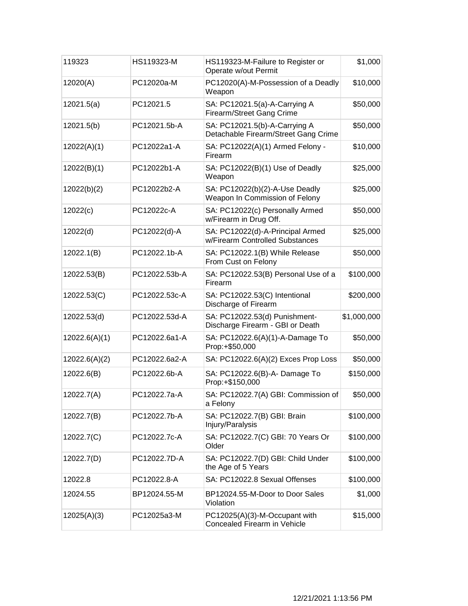| 119323        | HS119323-M    | HS119323-M-Failure to Register or<br>Operate w/out Permit             | \$1,000     |
|---------------|---------------|-----------------------------------------------------------------------|-------------|
| 12020(A)      | PC12020a-M    | PC12020(A)-M-Possession of a Deadly<br>Weapon                         | \$10,000    |
| 12021.5(a)    | PC12021.5     | SA: PC12021.5(a)-A-Carrying A<br>Firearm/Street Gang Crime            | \$50,000    |
| 12021.5(b)    | PC12021.5b-A  | SA: PC12021.5(b)-A-Carrying A<br>Detachable Firearm/Street Gang Crime | \$50,000    |
| 12022(A)(1)   | PC12022a1-A   | SA: PC12022(A)(1) Armed Felony -<br>Firearm                           | \$10,000    |
| 12022(B)(1)   | PC12022b1-A   | SA: PC12022(B)(1) Use of Deadly<br>Weapon                             | \$25,000    |
| 12022(b)(2)   | PC12022b2-A   | SA: PC12022(b)(2)-A-Use Deadly<br>Weapon In Commission of Felony      | \$25,000    |
| 12022(c)      | PC12022c-A    | SA: PC12022(c) Personally Armed<br>w/Firearm in Drug Off.             | \$50,000    |
| 12022(d)      | PC12022(d)-A  | SA: PC12022(d)-A-Principal Armed<br>w/Firearm Controlled Substances   | \$25,000    |
| 12022.1(B)    | PC12022.1b-A  | SA: PC12022.1(B) While Release<br>From Cust on Felony                 | \$50,000    |
| 12022.53(B)   | PC12022.53b-A | SA: PC12022.53(B) Personal Use of a<br>Firearm                        | \$100,000   |
| 12022.53(C)   | PC12022.53c-A | SA: PC12022.53(C) Intentional<br>Discharge of Firearm                 | \$200,000   |
| 12022.53(d)   | PC12022.53d-A | SA: PC12022.53(d) Punishment-<br>Discharge Firearm - GBI or Death     | \$1,000,000 |
| 12022.6(A)(1) | PC12022.6a1-A | SA: PC12022.6(A)(1)-A-Damage To<br>Prop:+\$50,000                     | \$50,000    |
| 12022.6(A)(2) | PC12022.6a2-A | SA: PC12022.6(A)(2) Exces Prop Loss                                   | \$50,000    |
| 12022.6(B)    | PC12022.6b-A  | SA: PC12022.6(B)-A- Damage To<br>Prop:+\$150,000                      | \$150,000   |
| 12022.7(A)    | PC12022.7a-A  | SA: PC12022.7(A) GBI: Commission of<br>a Felony                       | \$50,000    |
| 12022.7(B)    | PC12022.7b-A  | SA: PC12022.7(B) GBI: Brain<br>Injury/Paralysis                       | \$100,000   |
| 12022.7(C)    | PC12022.7c-A  | SA: PC12022.7(C) GBI: 70 Years Or<br>Older                            | \$100,000   |
| 12022.7(D)    | PC12022.7D-A  | SA: PC12022.7(D) GBI: Child Under<br>the Age of 5 Years               | \$100,000   |
| 12022.8       | PC12022.8-A   | SA: PC12022.8 Sexual Offenses                                         | \$100,000   |
| 12024.55      | BP12024.55-M  | BP12024.55-M-Door to Door Sales<br>Violation                          | \$1,000     |
| 12025(A)(3)   | PC12025a3-M   | PC12025(A)(3)-M-Occupant with<br>Concealed Firearm in Vehicle         | \$15,000    |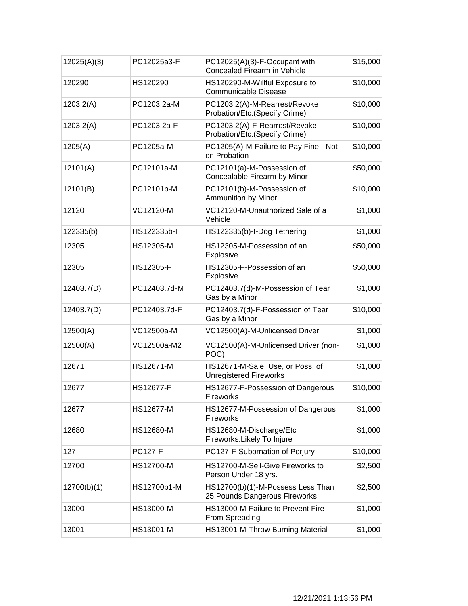| 12025(A)(3) | PC12025a3-F      | PC12025(A)(3)-F-Occupant with<br>Concealed Firearm in Vehicle      | \$15,000 |
|-------------|------------------|--------------------------------------------------------------------|----------|
| 120290      | HS120290         | HS120290-M-Willful Exposure to<br><b>Communicable Disease</b>      | \$10,000 |
| 1203.2(A)   | PC1203.2a-M      | PC1203.2(A)-M-Rearrest/Revoke<br>Probation/Etc.(Specify Crime)     | \$10,000 |
| 1203.2(A)   | PC1203.2a-F      | PC1203.2(A)-F-Rearrest/Revoke<br>Probation/Etc.(Specify Crime)     | \$10,000 |
| 1205(A)     | PC1205a-M        | PC1205(A)-M-Failure to Pay Fine - Not<br>on Probation              | \$10,000 |
| 12101(A)    | PC12101a-M       | PC12101(a)-M-Possession of<br>Concealable Firearm by Minor         | \$50,000 |
| 12101(B)    | PC12101b-M       | PC12101(b)-M-Possession of<br>Ammunition by Minor                  | \$10,000 |
| 12120       | VC12120-M        | VC12120-M-Unauthorized Sale of a<br>Vehicle                        | \$1,000  |
| 122335(b)   | HS122335b-I      | HS122335(b)-I-Dog Tethering                                        | \$1,000  |
| 12305       | HS12305-M        | HS12305-M-Possession of an<br>Explosive                            | \$50,000 |
| 12305       | HS12305-F        | HS12305-F-Possession of an<br>Explosive                            | \$50,000 |
| 12403.7(D)  | PC12403.7d-M     | PC12403.7(d)-M-Possession of Tear<br>Gas by a Minor                | \$1,000  |
| 12403.7(D)  | PC12403.7d-F     | PC12403.7(d)-F-Possession of Tear<br>Gas by a Minor                | \$10,000 |
| 12500(A)    | VC12500a-M       | VC12500(A)-M-Unlicensed Driver                                     | \$1,000  |
| 12500(A)    | VC12500a-M2      | VC12500(A)-M-Unlicensed Driver (non-<br>POC)                       | \$1,000  |
| 12671       | HS12671-M        | HS12671-M-Sale, Use, or Poss. of<br><b>Unregistered Fireworks</b>  | \$1,000  |
| 12677       | <b>HS12677-F</b> | HS12677-F-Possession of Dangerous<br>Fireworks                     | \$10,000 |
| 12677       | <b>HS12677-M</b> | HS12677-M-Possession of Dangerous<br><b>Fireworks</b>              | \$1,000  |
| 12680       | HS12680-M        | HS12680-M-Discharge/Etc<br>Fireworks: Likely To Injure             | \$1,000  |
| 127         | <b>PC127-F</b>   | PC127-F-Subornation of Perjury                                     | \$10,000 |
| 12700       | HS12700-M        | HS12700-M-Sell-Give Fireworks to<br>Person Under 18 yrs.           | \$2,500  |
| 12700(b)(1) | HS12700b1-M      | HS12700(b)(1)-M-Possess Less Than<br>25 Pounds Dangerous Fireworks | \$2,500  |
| 13000       | HS13000-M        | HS13000-M-Failure to Prevent Fire<br>From Spreading                | \$1,000  |
| 13001       | HS13001-M        | HS13001-M-Throw Burning Material                                   | \$1,000  |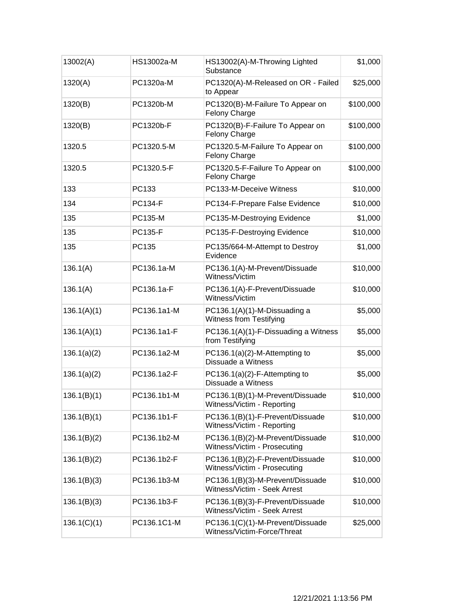| 13002(A)    | HS13002a-M     | HS13002(A)-M-Throwing Lighted<br>Substance                       | \$1,000   |
|-------------|----------------|------------------------------------------------------------------|-----------|
| 1320(A)     | PC1320a-M      | PC1320(A)-M-Released on OR - Failed<br>to Appear                 | \$25,000  |
| 1320(B)     | PC1320b-M      | PC1320(B)-M-Failure To Appear on<br><b>Felony Charge</b>         | \$100,000 |
| 1320(B)     | PC1320b-F      | PC1320(B)-F-Failure To Appear on<br>Felony Charge                | \$100,000 |
| 1320.5      | PC1320.5-M     | PC1320.5-M-Failure To Appear on<br>Felony Charge                 | \$100,000 |
| 1320.5      | PC1320.5-F     | PC1320.5-F-Failure To Appear on<br>Felony Charge                 | \$100,000 |
| 133         | PC133          | PC133-M-Deceive Witness                                          | \$10,000  |
| 134         | <b>PC134-F</b> | PC134-F-Prepare False Evidence                                   | \$10,000  |
| 135         | <b>PC135-M</b> | PC135-M-Destroying Evidence                                      | \$1,000   |
| 135         | <b>PC135-F</b> | PC135-F-Destroying Evidence                                      | \$10,000  |
| 135         | PC135          | PC135/664-M-Attempt to Destroy<br>Evidence                       | \$1,000   |
| 136.1(A)    | PC136.1a-M     | PC136.1(A)-M-Prevent/Dissuade<br>Witness/Victim                  | \$10,000  |
| 136.1(A)    | PC136.1a-F     | PC136.1(A)-F-Prevent/Dissuade<br>Witness/Victim                  | \$10,000  |
| 136.1(A)(1) | PC136.1a1-M    | PC136.1(A)(1)-M-Dissuading a<br>Witness from Testifying          | \$5,000   |
| 136.1(A)(1) | PC136.1a1-F    | PC136.1(A)(1)-F-Dissuading a Witness<br>from Testifying          | \$5,000   |
| 136.1(a)(2) | PC136.1a2-M    | PC136.1(a)(2)-M-Attempting to<br>Dissuade a Witness              | \$5,000   |
| 136.1(a)(2) | PC136.1a2-F    | PC136.1(a)(2)-F-Attempting to<br>Dissuade a Witness              | \$5,000   |
| 136.1(B)(1) | PC136.1b1-M    | PC136.1(B)(1)-M-Prevent/Dissuade<br>Witness/Victim - Reporting   | \$10,000  |
| 136.1(B)(1) | PC136.1b1-F    | PC136.1(B)(1)-F-Prevent/Dissuade<br>Witness/Victim - Reporting   | \$10,000  |
| 136.1(B)(2) | PC136.1b2-M    | PC136.1(B)(2)-M-Prevent/Dissuade<br>Witness/Victim - Prosecuting | \$10,000  |
| 136.1(B)(2) | PC136.1b2-F    | PC136.1(B)(2)-F-Prevent/Dissuade<br>Witness/Victim - Prosecuting | \$10,000  |
| 136.1(B)(3) | PC136.1b3-M    | PC136.1(B)(3)-M-Prevent/Dissuade<br>Witness/Victim - Seek Arrest | \$10,000  |
| 136.1(B)(3) | PC136.1b3-F    | PC136.1(B)(3)-F-Prevent/Dissuade<br>Witness/Victim - Seek Arrest | \$10,000  |
| 136.1(C)(1) | PC136.1C1-M    | PC136.1(C)(1)-M-Prevent/Dissuade<br>Witness/Victim-Force/Threat  | \$25,000  |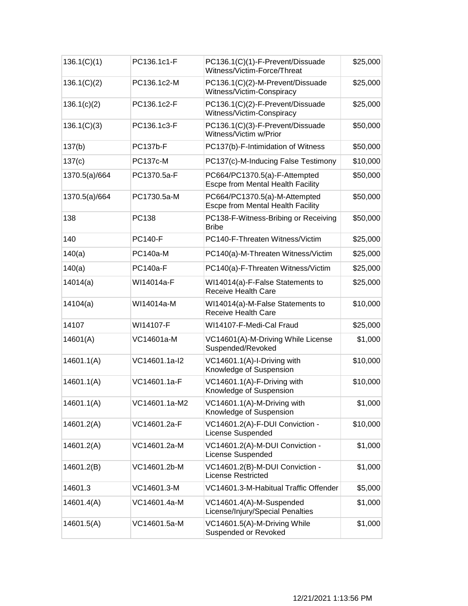| 136.1(C)(1)   | PC136.1c1-F     | PC136.1(C)(1)-F-Prevent/Dissuade<br>Witness/Victim-Force/Threat    | \$25,000 |
|---------------|-----------------|--------------------------------------------------------------------|----------|
| 136.1(C)(2)   | PC136.1c2-M     | PC136.1(C)(2)-M-Prevent/Dissuade<br>Witness/Victim-Conspiracy      | \$25,000 |
| 136.1(c)(2)   | PC136.1c2-F     | PC136.1(C)(2)-F-Prevent/Dissuade<br>Witness/Victim-Conspiracy      | \$25,000 |
| 136.1(C)(3)   | PC136.1c3-F     | PC136.1(C)(3)-F-Prevent/Dissuade<br>Witness/Victim w/Prior         | \$50,000 |
| 137(b)        | <b>PC137b-F</b> | PC137(b)-F-Intimidation of Witness                                 | \$50,000 |
| 137(c)        | <b>PC137c-M</b> | PC137(c)-M-Inducing False Testimony                                | \$10,000 |
| 1370.5(a)/664 | PC1370.5a-F     | PC664/PC1370.5(a)-F-Attempted<br>Escpe from Mental Health Facility | \$50,000 |
| 1370.5(a)/664 | PC1730.5a-M     | PC664/PC1370.5(a)-M-Attempted<br>Escpe from Mental Health Facility | \$50,000 |
| 138           | PC138           | PC138-F-Witness-Bribing or Receiving<br><b>Bribe</b>               | \$50,000 |
| 140           | <b>PC140-F</b>  | PC140-F-Threaten Witness/Victim                                    | \$25,000 |
| 140(a)        | <b>PC140a-M</b> | PC140(a)-M-Threaten Witness/Victim                                 | \$25,000 |
| 140(a)        | <b>PC140a-F</b> | PC140(a)-F-Threaten Witness/Victim                                 | \$25,000 |
| 14014(a)      | WI14014a-F      | WI14014(a)-F-False Statements to<br><b>Receive Health Care</b>     | \$25,000 |
| 14104(a)      | WI14014a-M      | WI14014(a)-M-False Statements to<br>Receive Health Care            | \$10,000 |
| 14107         | WI14107-F       | WI14107-F-Medi-Cal Fraud                                           | \$25,000 |
| 14601(A)      | VC14601a-M      | VC14601(A)-M-Driving While License<br>Suspended/Revoked            | \$1,000  |
| 14601.1(A)    | VC14601.1a-I2   | VC14601.1(A)-I-Driving with<br>Knowledge of Suspension             | \$10,000 |
| 14601.1(A)    | VC14601.1a-F    | VC14601.1(A)-F-Driving with<br>Knowledge of Suspension             | \$10,000 |
| 14601.1(A)    | VC14601.1a-M2   | VC14601.1(A)-M-Driving with<br>Knowledge of Suspension             | \$1,000  |
| 14601.2(A)    | VC14601.2a-F    | VC14601.2(A)-F-DUI Conviction -<br>License Suspended               | \$10,000 |
| 14601.2(A)    | VC14601.2a-M    | VC14601.2(A)-M-DUI Conviction -<br>License Suspended               | \$1,000  |
| 14601.2(B)    | VC14601.2b-M    | VC14601.2(B)-M-DUI Conviction -<br><b>License Restricted</b>       | \$1,000  |
| 14601.3       | VC14601.3-M     | VC14601.3-M-Habitual Traffic Offender                              | \$5,000  |
| 14601.4(A)    | VC14601.4a-M    | VC14601.4(A)-M-Suspended<br>License/Injury/Special Penalties       | \$1,000  |
| 14601.5(A)    | VC14601.5a-M    | VC14601.5(A)-M-Driving While<br>Suspended or Revoked               | \$1,000  |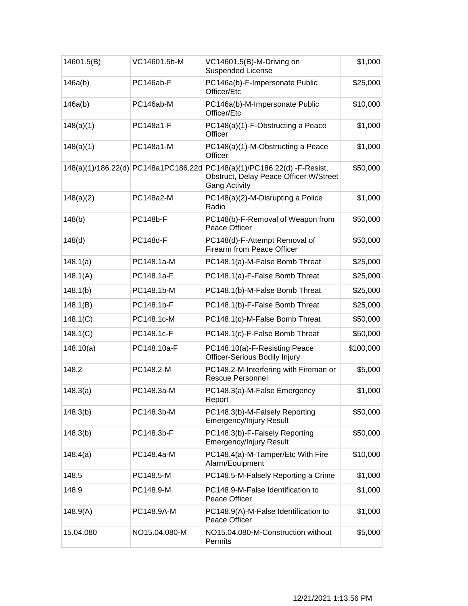| 14601.5(B) | VC14601.5b-M    | VC14601.5(B)-M-Driving on<br><b>Suspended License</b>                                                                                     | \$1,000   |
|------------|-----------------|-------------------------------------------------------------------------------------------------------------------------------------------|-----------|
| 146a(b)    | PC146ab-F       | PC146a(b)-F-Impersonate Public<br>Officer/Etc                                                                                             | \$25,000  |
| 146a(b)    | PC146ab-M       | PC146a(b)-M-Impersonate Public<br>Officer/Etc                                                                                             | \$10,000  |
| 148(a)(1)  | PC148a1-F       | PC148(a)(1)-F-Obstructing a Peace<br>Officer                                                                                              | \$1,000   |
| 148(a)(1)  | PC148a1-M       | PC148(a)(1)-M-Obstructing a Peace<br>Officer                                                                                              | \$1,000   |
|            |                 | 148(a)(1)/186.22(d) PC148a1PC186.22d PC148(a)(1)/PC186.22(d) -F-Resist,<br>Obstruct, Delay Peace Officer W/Street<br><b>Gang Activity</b> | \$50,000  |
| 148(a)(2)  | PC148a2-M       | PC148(a)(2)-M-Disrupting a Police<br>Radio                                                                                                | \$1,000   |
| 148(b)     | <b>PC148b-F</b> | PC148(b)-F-Removal of Weapon from<br>Peace Officer                                                                                        | \$50,000  |
| 148(d)     | <b>PC148d-F</b> | PC148(d)-F-Attempt Removal of<br><b>Firearm from Peace Officer</b>                                                                        | \$50,000  |
| 148.1(a)   | PC148.1a-M      | PC148.1(a)-M-False Bomb Threat                                                                                                            | \$25,000  |
| 148.1(A)   | PC148.1a-F      | PC148.1(a)-F-False Bomb Threat                                                                                                            | \$25,000  |
| 148.1(b)   | PC148.1b-M      | PC148.1(b)-M-False Bomb Threat                                                                                                            | \$25,000  |
| 148.1(B)   | PC148.1b-F      | PC148.1(b)-F-False Bomb Threat                                                                                                            | \$25,000  |
| 148.1(C)   | PC148.1c-M      | PC148.1(c)-M-False Bomb Threat                                                                                                            | \$50,000  |
| 148.1(C)   | PC148.1c-F      | PC148.1(c)-F-False Bomb Threat                                                                                                            | \$50,000  |
| 148.10(a)  | PC148.10a-F     | PC148.10(a)-F-Resisting Peace<br>Officer-Serious Bodily Injury                                                                            | \$100,000 |
| 148.2      | PC148.2-M       | PC148.2-M-Interfering with Fireman or<br><b>Rescue Personnel</b>                                                                          | \$5,000   |
| 148.3(a)   | PC148.3a-M      | PC148.3(a)-M-False Emergency<br>Report                                                                                                    | \$1,000   |
| 148.3(b)   | PC148.3b-M      | PC148.3(b)-M-Falsely Reporting<br><b>Emergency/Injury Result</b>                                                                          | \$50,000  |
| 148.3(b)   | PC148.3b-F      | PC148.3(b)-F-Falsely Reporting<br><b>Emergency/Injury Result</b>                                                                          | \$50,000  |
| 148.4(a)   | PC148.4a-M      | PC148.4(a)-M-Tamper/Etc With Fire<br>Alarm/Equipment                                                                                      | \$10,000  |
| 148.5      | PC148.5-M       | PC148.5-M-Falsely Reporting a Crime                                                                                                       | \$1,000   |
| 148.9      | PC148.9-M       | PC148.9-M-False Identification to<br>Peace Officer                                                                                        | \$1,000   |
| 148.9(A)   | PC148.9A-M      | PC148.9(A)-M-False Identification to<br><b>Peace Officer</b>                                                                              | \$1,000   |
| 15.04.080  | NO15.04.080-M   | NO15.04.080-M-Construction without<br>Permits                                                                                             | \$5,000   |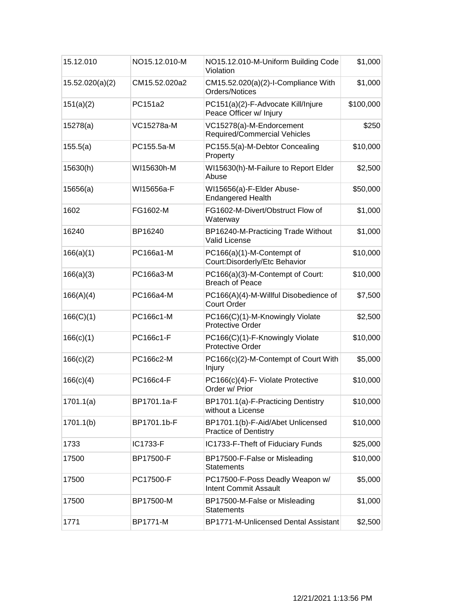| 15.12.010       | NO15.12.010-M | NO15.12.010-M-Uniform Building Code<br>Violation                  | \$1,000   |
|-----------------|---------------|-------------------------------------------------------------------|-----------|
| 15.52.020(a)(2) | CM15.52.020a2 | CM15.52.020(a)(2)-I-Compliance With<br>Orders/Notices             | \$1,000   |
| 151(a)(2)       | PC151a2       | PC151(a)(2)-F-Advocate Kill/Injure<br>Peace Officer w/ Injury     | \$100,000 |
| 15278(a)        | VC15278a-M    | VC15278(a)-M-Endorcement<br>Required/Commercial Vehicles          | \$250     |
| 155.5(a)        | PC155.5a-M    | PC155.5(a)-M-Debtor Concealing<br>Property                        | \$10,000  |
| 15630(h)        | WI15630h-M    | WI15630(h)-M-Failure to Report Elder<br>Abuse                     | \$2,500   |
| 15656(a)        | WI15656a-F    | WI15656(a)-F-Elder Abuse-<br><b>Endangered Health</b>             | \$50,000  |
| 1602            | FG1602-M      | FG1602-M-Divert/Obstruct Flow of<br>Waterway                      | \$1,000   |
| 16240           | BP16240       | BP16240-M-Practicing Trade Without<br><b>Valid License</b>        | \$1,000   |
| 166(a)(1)       | PC166a1-M     | PC166(a)(1)-M-Contempt of<br>Court: Disorderly/Etc Behavior       | \$10,000  |
| 166(a)(3)       | PC166a3-M     | PC166(a)(3)-M-Contempt of Court:<br><b>Breach of Peace</b>        | \$10,000  |
| 166(A)(4)       | PC166a4-M     | PC166(A)(4)-M-Willful Disobedience of<br><b>Court Order</b>       | \$7,500   |
| 166(C)(1)       | PC166c1-M     | PC166(C)(1)-M-Knowingly Violate<br><b>Protective Order</b>        | \$2,500   |
| 166(c)(1)       | PC166c1-F     | PC166(C)(1)-F-Knowingly Violate<br><b>Protective Order</b>        | \$10,000  |
| 166(c)(2)       | PC166c2-M     | PC166(c)(2)-M-Contempt of Court With<br>Injury                    | \$5,000   |
| 166(c)(4)       | PC166c4-F     | PC166(c)(4)-F- Violate Protective<br>Order w/ Prior               | \$10,000  |
| 1701.1(a)       | BP1701.1a-F   | BP1701.1(a)-F-Practicing Dentistry<br>without a License           | \$10,000  |
| 1701.1(b)       | BP1701.1b-F   | BP1701.1(b)-F-Aid/Abet Unlicensed<br><b>Practice of Dentistry</b> | \$10,000  |
| 1733            | IC1733-F      | IC1733-F-Theft of Fiduciary Funds                                 | \$25,000  |
| 17500           | BP17500-F     | BP17500-F-False or Misleading<br><b>Statements</b>                | \$10,000  |
| 17500           | PC17500-F     | PC17500-F-Poss Deadly Weapon w/<br><b>Intent Commit Assault</b>   | \$5,000   |
| 17500           | BP17500-M     | BP17500-M-False or Misleading<br><b>Statements</b>                | \$1,000   |
| 1771            | BP1771-M      | BP1771-M-Unlicensed Dental Assistant                              | \$2,500   |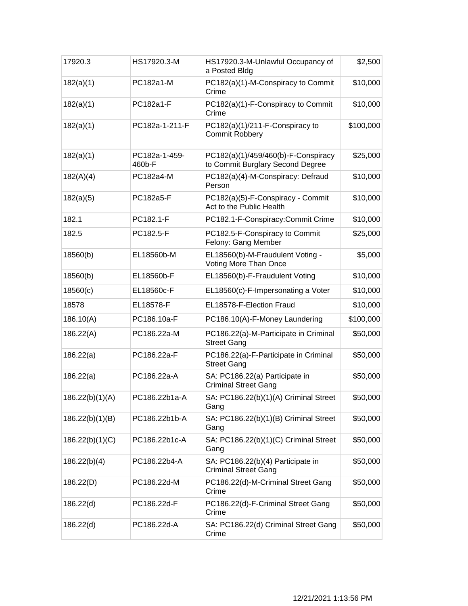| 17920.3         | HS17920.3-M             | HS17920.3-M-Unlawful Occupancy of<br>a Posted Bldg                      | \$2,500   |
|-----------------|-------------------------|-------------------------------------------------------------------------|-----------|
| 182(a)(1)       | PC182a1-M               | PC182(a)(1)-M-Conspiracy to Commit<br>Crime                             | \$10,000  |
| 182(a)(1)       | PC182a1-F               | PC182(a)(1)-F-Conspiracy to Commit<br>Crime                             | \$10,000  |
| 182(a)(1)       | PC182a-1-211-F          | PC182(a)(1)/211-F-Conspiracy to<br>Commit Robbery                       | \$100,000 |
| 182(a)(1)       | PC182a-1-459-<br>460b-F | PC182(a)(1)/459/460(b)-F-Conspiracy<br>to Commit Burglary Second Degree | \$25,000  |
| 182(A)(4)       | PC182a4-M               | PC182(a)(4)-M-Conspiracy: Defraud<br>Person                             | \$10,000  |
| 182(a)(5)       | PC182a5-F               | PC182(a)(5)-F-Conspiracy - Commit<br>Act to the Public Health           | \$10,000  |
| 182.1           | PC182.1-F               | PC182.1-F-Conspiracy:Commit Crime                                       | \$10,000  |
| 182.5           | PC182.5-F               | PC182.5-F-Conspiracy to Commit<br>Felony: Gang Member                   | \$25,000  |
| 18560(b)        | EL18560b-M              | EL18560(b)-M-Fraudulent Voting -<br>Voting More Than Once               | \$5,000   |
| 18560(b)        | EL18560b-F              | EL18560(b)-F-Fraudulent Voting                                          | \$10,000  |
| 18560(c)        | EL18560c-F              | EL18560(c)-F-Impersonating a Voter                                      | \$10,000  |
| 18578           | EL18578-F               | EL18578-F-Election Fraud                                                | \$10,000  |
| 186.10(A)       | PC186.10a-F             | PC186.10(A)-F-Money Laundering                                          | \$100,000 |
| 186.22(A)       | PC186.22a-M             | PC186.22(a)-M-Participate in Criminal<br><b>Street Gang</b>             | \$50,000  |
| 186.22(a)       | PC186.22a-F             | PC186.22(a)-F-Participate in Criminal<br><b>Street Gang</b>             | \$50,000  |
| 186.22(a)       | PC186.22a-A             | SA: PC186.22(a) Participate in<br><b>Criminal Street Gang</b>           | \$50,000  |
| 186.22(b)(1)(A) | PC186.22b1a-A           | SA: PC186.22(b)(1)(A) Criminal Street<br>Gang                           | \$50,000  |
| 186.22(b)(1)(B) | PC186.22b1b-A           | SA: PC186.22(b)(1)(B) Criminal Street<br>Gang                           | \$50,000  |
| 186.22(b)(1)(C) | PC186.22b1c-A           | SA: PC186.22(b)(1)(C) Criminal Street<br>Gang                           | \$50,000  |
| 186.22(b)(4)    | PC186.22b4-A            | SA: PC186.22(b)(4) Participate in<br><b>Criminal Street Gang</b>        | \$50,000  |
| 186.22(D)       | PC186.22d-M             | PC186.22(d)-M-Criminal Street Gang<br>Crime                             | \$50,000  |
| 186.22(d)       | PC186.22d-F             | PC186.22(d)-F-Criminal Street Gang<br>Crime                             | \$50,000  |
| 186.22(d)       | PC186.22d-A             | SA: PC186.22(d) Criminal Street Gang<br>Crime                           | \$50,000  |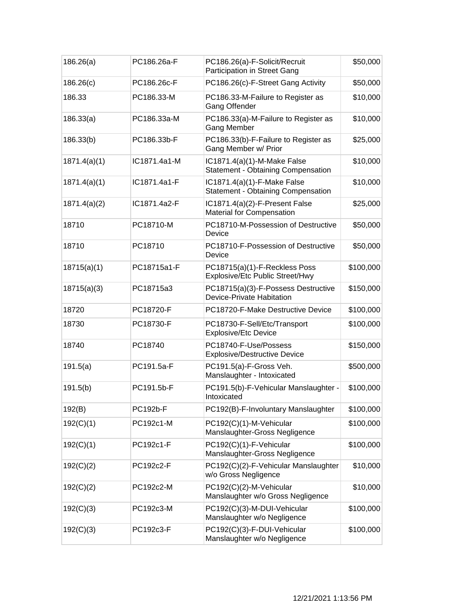| 186.26(a)    | PC186.26a-F  | PC186.26(a)-F-Solicit/Recruit<br><b>Participation in Street Gang</b>     | \$50,000  |
|--------------|--------------|--------------------------------------------------------------------------|-----------|
| 186.26(c)    | PC186.26c-F  | PC186.26(c)-F-Street Gang Activity                                       | \$50,000  |
| 186.33       | PC186.33-M   | PC186.33-M-Failure to Register as<br><b>Gang Offender</b>                | \$10,000  |
| 186.33(a)    | PC186.33a-M  | PC186.33(a)-M-Failure to Register as<br>Gang Member                      | \$10,000  |
| 186.33(b)    | PC186.33b-F  | PC186.33(b)-F-Failure to Register as<br>Gang Member w/ Prior             | \$25,000  |
| 1871.4(a)(1) | IC1871.4a1-M | IC1871.4(a)(1)-M-Make False<br><b>Statement - Obtaining Compensation</b> | \$10,000  |
| 1871.4(a)(1) | IC1871.4a1-F | IC1871.4(a)(1)-F-Make False<br><b>Statement - Obtaining Compensation</b> | \$10,000  |
| 1871.4(a)(2) | IC1871.4a2-F | IC1871.4(a)(2)-F-Present False<br><b>Material for Compensation</b>       | \$25,000  |
| 18710        | PC18710-M    | PC18710-M-Possession of Destructive<br>Device                            | \$50,000  |
| 18710        | PC18710      | PC18710-F-Possession of Destructive<br>Device                            | \$50,000  |
| 18715(a)(1)  | PC18715a1-F  | PC18715(a)(1)-F-Reckless Poss<br>Explosive/Etc Public Street/Hwy         | \$100,000 |
| 18715(a)(3)  | PC18715a3    | PC18715(a)(3)-F-Possess Destructive<br>Device-Private Habitation         | \$150,000 |
| 18720        | PC18720-F    | PC18720-F-Make Destructive Device                                        | \$100,000 |
| 18730        | PC18730-F    | PC18730-F-Sell/Etc/Transport<br><b>Explosive/Etc Device</b>              | \$100,000 |
| 18740        | PC18740      | PC18740-F-Use/Possess<br><b>Explosive/Destructive Device</b>             | \$150,000 |
| 191.5(a)     | PC191.5a-F   | PC191.5(a)-F-Gross Veh.<br>Manslaughter - Intoxicated                    | \$500,000 |
| 191.5(b)     | PC191.5b-F   | PC191.5(b)-F-Vehicular Manslaughter -<br>Intoxicated                     | \$100,000 |
| 192(B)       | PC192b-F     | PC192(B)-F-Involuntary Manslaughter                                      | \$100,000 |
| 192(C)(1)    | PC192c1-M    | PC192(C)(1)-M-Vehicular<br>Manslaughter-Gross Negligence                 | \$100,000 |
| 192(C)(1)    | PC192c1-F    | PC192(C)(1)-F-Vehicular<br>Manslaughter-Gross Negligence                 | \$100,000 |
| 192(C)(2)    | PC192c2-F    | PC192(C)(2)-F-Vehicular Manslaughter<br>w/o Gross Negligence             | \$10,000  |
| 192(C)(2)    | PC192c2-M    | PC192(C)(2)-M-Vehicular<br>Manslaughter w/o Gross Negligence             | \$10,000  |
| 192(C)(3)    | PC192c3-M    | PC192(C)(3)-M-DUI-Vehicular<br>Manslaughter w/o Negligence               | \$100,000 |
| 192(C)(3)    | PC192c3-F    | PC192(C)(3)-F-DUI-Vehicular<br>Manslaughter w/o Negligence               | \$100,000 |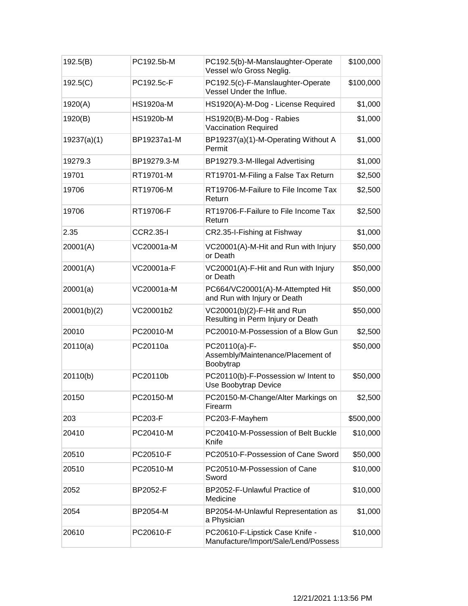| 192.5(B)    | PC192.5b-M       | PC192.5(b)-M-Manslaughter-Operate<br>Vessel w/o Gross Neglig.           | \$100,000 |
|-------------|------------------|-------------------------------------------------------------------------|-----------|
| 192.5(C)    | PC192.5c-F       | PC192.5(c)-F-Manslaughter-Operate<br>Vessel Under the Influe.           | \$100,000 |
| 1920(A)     | <b>HS1920a-M</b> | HS1920(A)-M-Dog - License Required                                      | \$1,000   |
| 1920(B)     | <b>HS1920b-M</b> | HS1920(B)-M-Dog - Rabies<br><b>Vaccination Required</b>                 | \$1,000   |
| 19237(a)(1) | BP19237a1-M      | BP19237(a)(1)-M-Operating Without A<br>Permit                           | \$1,000   |
| 19279.3     | BP19279.3-M      | BP19279.3-M-Illegal Advertising                                         | \$1,000   |
| 19701       | RT19701-M        | RT19701-M-Filing a False Tax Return                                     | \$2,500   |
| 19706       | RT19706-M        | RT19706-M-Failure to File Income Tax<br>Return                          | \$2,500   |
| 19706       | RT19706-F        | RT19706-F-Failure to File Income Tax<br>Return                          | \$2,500   |
| 2.35        | <b>CCR2.35-I</b> | CR2.35-I-Fishing at Fishway                                             | \$1,000   |
| 20001(A)    | VC20001a-M       | VC20001(A)-M-Hit and Run with Injury<br>or Death                        | \$50,000  |
| 20001(A)    | VC20001a-F       | VC20001(A)-F-Hit and Run with Injury<br>or Death                        | \$50,000  |
| 20001(a)    | VC20001a-M       | PC664/VC20001(A)-M-Attempted Hit<br>and Run with Injury or Death        | \$50,000  |
| 20001(b)(2) | VC20001b2        | VC20001(b)(2)-F-Hit and Run<br>Resulting in Perm Injury or Death        | \$50,000  |
| 20010       | PC20010-M        | PC20010-M-Possession of a Blow Gun                                      | \$2,500   |
| 20110(a)    | PC20110a         | PC20110(a)-F-<br>Assembly/Maintenance/Placement of<br>Boobytrap         | \$50,000  |
| 20110(b)    | PC20110b         | PC20110(b)-F-Possession w/ Intent to<br>Use Boobytrap Device            | \$50,000  |
| 20150       | PC20150-M        | PC20150-M-Change/Alter Markings on<br>Firearm                           | \$2,500   |
| 203         | <b>PC203-F</b>   | PC203-F-Mayhem                                                          | \$500,000 |
| 20410       | PC20410-M        | PC20410-M-Possession of Belt Buckle<br>Knife                            | \$10,000  |
| 20510       | PC20510-F        | PC20510-F-Possession of Cane Sword                                      | \$50,000  |
| 20510       | PC20510-M        | PC20510-M-Possession of Cane<br>Sword                                   | \$10,000  |
| 2052        | BP2052-F         | BP2052-F-Unlawful Practice of<br>Medicine                               | \$10,000  |
| 2054        | BP2054-M         | BP2054-M-Unlawful Representation as<br>a Physician                      | \$1,000   |
| 20610       | PC20610-F        | PC20610-F-Lipstick Case Knife -<br>Manufacture/Import/Sale/Lend/Possess | \$10,000  |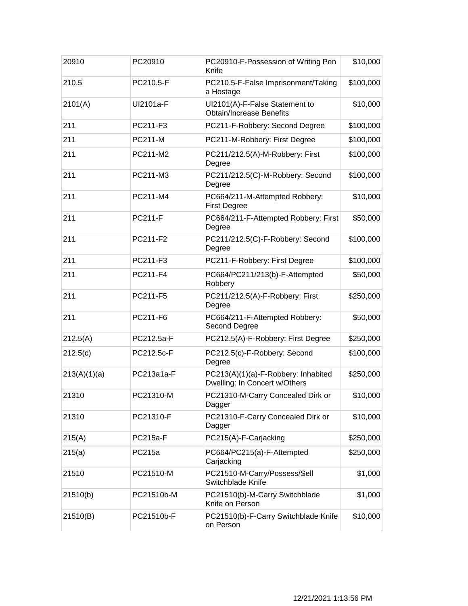| 20910        | PC20910         | PC20910-F-Possession of Writing Pen<br>Knife                         | \$10,000  |
|--------------|-----------------|----------------------------------------------------------------------|-----------|
| 210.5        | PC210.5-F       | PC210.5-F-False Imprisonment/Taking<br>a Hostage                     | \$100,000 |
| 2101(A)      | UI2101a-F       | UI2101(A)-F-False Statement to<br><b>Obtain/Increase Benefits</b>    | \$10,000  |
| 211          | PC211-F3        | PC211-F-Robbery: Second Degree                                       | \$100,000 |
| 211          | <b>PC211-M</b>  | PC211-M-Robbery: First Degree                                        | \$100,000 |
| 211          | PC211-M2        | PC211/212.5(A)-M-Robbery: First<br>Degree                            | \$100,000 |
| 211          | PC211-M3        | PC211/212.5(C)-M-Robbery: Second<br>Degree                           | \$100,000 |
| 211          | PC211-M4        | PC664/211-M-Attempted Robbery:<br><b>First Degree</b>                | \$10,000  |
| 211          | <b>PC211-F</b>  | PC664/211-F-Attempted Robbery: First<br>Degree                       | \$50,000  |
| 211          | PC211-F2        | PC211/212.5(C)-F-Robbery: Second<br>Degree                           | \$100,000 |
| 211          | PC211-F3        | PC211-F-Robbery: First Degree                                        | \$100,000 |
| 211          | PC211-F4        | PC664/PC211/213(b)-F-Attempted<br>Robbery                            | \$50,000  |
| 211          | PC211-F5        | PC211/212.5(A)-F-Robbery: First<br>Degree                            | \$250,000 |
| 211          | PC211-F6        | PC664/211-F-Attempted Robbery:<br>Second Degree                      | \$50,000  |
| 212.5(A)     | PC212.5a-F      | PC212.5(A)-F-Robbery: First Degree                                   | \$250,000 |
| 212.5(c)     | PC212.5c-F      | PC212.5(c)-F-Robbery: Second<br>Degree                               | \$100,000 |
| 213(A)(1)(a) | PC213a1a-F      | PC213(A)(1)(a)-F-Robbery: Inhabited<br>Dwelling: In Concert w/Others | \$250,000 |
| 21310        | PC21310-M       | PC21310-M-Carry Concealed Dirk or<br>Dagger                          | \$10,000  |
| 21310        | PC21310-F       | PC21310-F-Carry Concealed Dirk or<br>Dagger                          | \$10,000  |
| 215(A)       | <b>PC215a-F</b> | PC215(A)-F-Carjacking                                                | \$250,000 |
| 215(a)       | PC215a          | PC664/PC215(a)-F-Attempted<br>Carjacking                             | \$250,000 |
| 21510        | PC21510-M       | PC21510-M-Carry/Possess/Sell<br>Switchblade Knife                    | \$1,000   |
| 21510(b)     | PC21510b-M      | PC21510(b)-M-Carry Switchblade<br>Knife on Person                    | \$1,000   |
| 21510(B)     | PC21510b-F      | PC21510(b)-F-Carry Switchblade Knife<br>on Person                    | \$10,000  |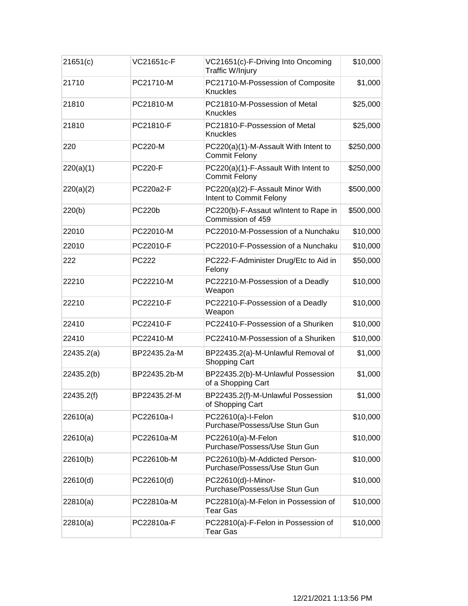| 21651(c)   | VC21651c-F     | VC21651(c)-F-Driving Into Oncoming<br>Traffic W/Injury         | \$10,000  |
|------------|----------------|----------------------------------------------------------------|-----------|
| 21710      | PC21710-M      | PC21710-M-Possession of Composite<br><b>Knuckles</b>           | \$1,000   |
| 21810      | PC21810-M      | PC21810-M-Possession of Metal<br>Knuckles                      | \$25,000  |
| 21810      | PC21810-F      | PC21810-F-Possession of Metal<br>Knuckles                      | \$25,000  |
| 220        | <b>PC220-M</b> | PC220(a)(1)-M-Assault With Intent to<br><b>Commit Felony</b>   | \$250,000 |
| 220(a)(1)  | <b>PC220-F</b> | PC220(a)(1)-F-Assault With Intent to<br><b>Commit Felony</b>   | \$250,000 |
| 220(a)(2)  | PC220a2-F      | PC220(a)(2)-F-Assault Minor With<br>Intent to Commit Felony    | \$500,000 |
| 220(b)     | <b>PC220b</b>  | PC220(b)-F-Assaut w/Intent to Rape in<br>Commission of 459     | \$500,000 |
| 22010      | PC22010-M      | PC22010-M-Possession of a Nunchaku                             | \$10,000  |
| 22010      | PC22010-F      | PC22010-F-Possession of a Nunchaku                             | \$10,000  |
| 222        | <b>PC222</b>   | PC222-F-Administer Drug/Etc to Aid in<br>Felony                | \$50,000  |
| 22210      | PC22210-M      | PC22210-M-Possession of a Deadly<br>Weapon                     | \$10,000  |
| 22210      | PC22210-F      | PC22210-F-Possession of a Deadly<br>Weapon                     | \$10,000  |
| 22410      | PC22410-F      | PC22410-F-Possession of a Shuriken                             | \$10,000  |
| 22410      | PC22410-M      | PC22410-M-Possession of a Shuriken                             | \$10,000  |
| 22435.2(a) | BP22435.2a-M   | BP22435.2(a)-M-Unlawful Removal of<br><b>Shopping Cart</b>     | \$1,000   |
| 22435.2(b) | BP22435.2b-M   | BP22435.2(b)-M-Unlawful Possession<br>of a Shopping Cart       | \$1,000   |
| 22435.2(f) | BP22435.2f-M   | BP22435.2(f)-M-Unlawful Possession<br>of Shopping Cart         | \$1,000   |
| 22610(a)   | PC22610a-l     | PC22610(a)-I-Felon<br>Purchase/Possess/Use Stun Gun            | \$10,000  |
| 22610(a)   | PC22610a-M     | PC22610(a)-M-Felon<br>Purchase/Possess/Use Stun Gun            | \$10,000  |
| 22610(b)   | PC22610b-M     | PC22610(b)-M-Addicted Person-<br>Purchase/Possess/Use Stun Gun | \$10,000  |
| 22610(d)   | PC22610(d)     | PC22610(d)-I-Minor-<br>Purchase/Possess/Use Stun Gun           | \$10,000  |
| 22810(a)   | PC22810a-M     | PC22810(a)-M-Felon in Possession of<br><b>Tear Gas</b>         | \$10,000  |
| 22810(a)   | PC22810a-F     | PC22810(a)-F-Felon in Possession of<br><b>Tear Gas</b>         | \$10,000  |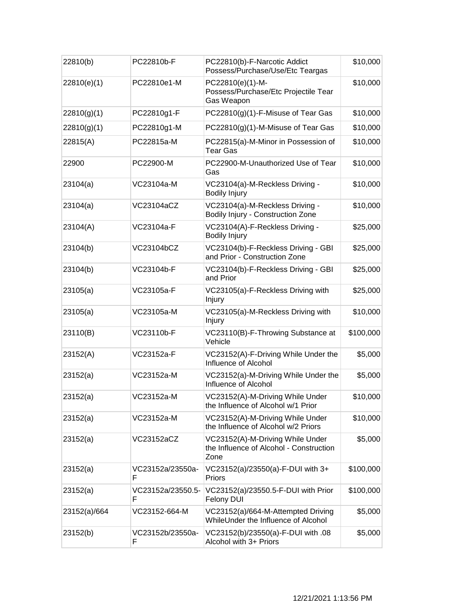| 22810(b)     | PC22810b-F             | PC22810(b)-F-Narcotic Addict<br>Possess/Purchase/Use/Etc Teargas                    | \$10,000  |
|--------------|------------------------|-------------------------------------------------------------------------------------|-----------|
| 22810(e)(1)  | PC22810e1-M            | PC22810(e)(1)-M-<br>Possess/Purchase/Etc Projectile Tear<br>Gas Weapon              | \$10,000  |
| 22810(g)(1)  | PC22810g1-F            | PC22810(g)(1)-F-Misuse of Tear Gas                                                  | \$10,000  |
| 22810(g)(1)  | PC22810g1-M            | PC22810(g)(1)-M-Misuse of Tear Gas                                                  | \$10,000  |
| 22815(A)     | PC22815a-M             | PC22815(a)-M-Minor in Possession of<br><b>Tear Gas</b>                              | \$10,000  |
| 22900        | PC22900-M              | PC22900-M-Unauthorized Use of Tear<br>Gas                                           | \$10,000  |
| 23104(a)     | VC23104a-M             | VC23104(a)-M-Reckless Driving -<br><b>Bodily Injury</b>                             | \$10,000  |
| 23104(a)     | VC23104aCZ             | VC23104(a)-M-Reckless Driving -<br>Bodily Injury - Construction Zone                | \$10,000  |
| 23104(A)     | VC23104a-F             | VC23104(A)-F-Reckless Driving -<br><b>Bodily Injury</b>                             | \$25,000  |
| 23104(b)     | VC23104bCZ             | VC23104(b)-F-Reckless Driving - GBI<br>and Prior - Construction Zone                | \$25,000  |
| 23104(b)     | VC23104b-F             | VC23104(b)-F-Reckless Driving - GBI<br>and Prior                                    | \$25,000  |
| 23105(a)     | VC23105a-F             | VC23105(a)-F-Reckless Driving with<br>Injury                                        | \$25,000  |
| 23105(a)     | VC23105a-M             | VC23105(a)-M-Reckless Driving with<br>Injury                                        | \$10,000  |
| 23110(B)     | VC23110b-F             | VC23110(B)-F-Throwing Substance at<br>Vehicle                                       | \$100,000 |
| 23152(A)     | VC23152a-F             | VC23152(A)-F-Driving While Under the<br>Influence of Alcohol                        | \$5,000   |
| 23152(a)     | VC23152a-M             | VC23152(a)-M-Driving While Under the<br>Influence of Alcohol                        | \$5,000   |
| 23152(a)     | VC23152a-M             | VC23152(A)-M-Driving While Under<br>the Influence of Alcohol w/1 Prior              | \$10,000  |
| 23152(a)     | VC23152a-M             | VC23152(A)-M-Driving While Under<br>the Influence of Alcohol w/2 Priors             | \$10,000  |
| 23152(a)     | VC23152aCZ             | VC23152(A)-M-Driving While Under<br>the Influence of Alcohol - Construction<br>Zone | \$5,000   |
| 23152(a)     | VC23152a/23550a-<br>F  | VC23152(a)/23550(a)-F-DUI with 3+<br>Priors                                         | \$100,000 |
| 23152(a)     | VC23152a/23550.5-<br>F | VC23152(a)/23550.5-F-DUI with Prior<br>Felony DUI                                   | \$100,000 |
| 23152(a)/664 | VC23152-664-M          | VC23152(a)/664-M-Attempted Driving<br>WhileUnder the Influence of Alcohol           | \$5,000   |
| 23152(b)     | VC23152b/23550a-<br>F  | VC23152(b)/23550(a)-F-DUI with .08<br>Alcohol with 3+ Priors                        | \$5,000   |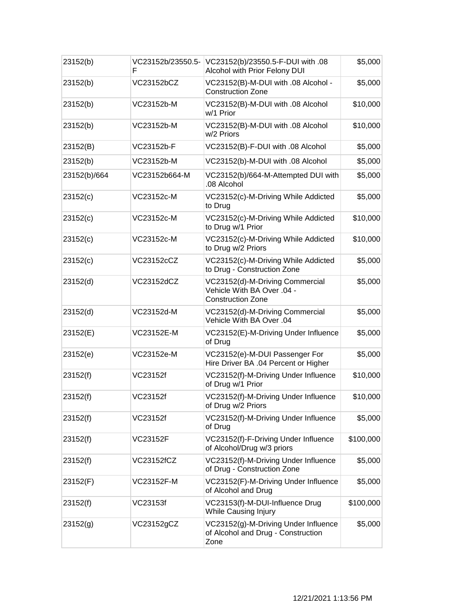| 23152(b)     | VC23152b/23550.5-<br>F | VC23152(b)/23550.5-F-DUI with .08<br>Alcohol with Prior Felony DUI                        | \$5,000   |
|--------------|------------------------|-------------------------------------------------------------------------------------------|-----------|
| 23152(b)     | VC23152bCZ             | VC23152(B)-M-DUI with .08 Alcohol -<br><b>Construction Zone</b>                           | \$5,000   |
| 23152(b)     | VC23152b-M             | VC23152(B)-M-DUI with .08 Alcohol<br>w/1 Prior                                            | \$10,000  |
| 23152(b)     | VC23152b-M             | VC23152(B)-M-DUI with .08 Alcohol<br>w/2 Priors                                           | \$10,000  |
| 23152(B)     | VC23152b-F             | VC23152(B)-F-DUI with .08 Alcohol                                                         | \$5,000   |
| 23152(b)     | VC23152b-M             | VC23152(b)-M-DUI with .08 Alcohol                                                         | \$5,000   |
| 23152(b)/664 | VC23152b664-M          | VC23152(b)/664-M-Attempted DUI with<br>.08 Alcohol                                        | \$5,000   |
| 23152(c)     | VC23152c-M             | VC23152(c)-M-Driving While Addicted<br>to Drug                                            | \$5,000   |
| 23152(c)     | VC23152c-M             | VC23152(c)-M-Driving While Addicted<br>to Drug w/1 Prior                                  | \$10,000  |
| 23152(c)     | VC23152c-M             | VC23152(c)-M-Driving While Addicted<br>to Drug w/2 Priors                                 | \$10,000  |
| 23152(c)     | VC23152cCZ             | VC23152(c)-M-Driving While Addicted<br>to Drug - Construction Zone                        | \$5,000   |
| 23152(d)     | VC23152dCZ             | VC23152(d)-M-Driving Commercial<br>Vehicle With BA Over .04 -<br><b>Construction Zone</b> | \$5,000   |
| 23152(d)     | VC23152d-M             | VC23152(d)-M-Driving Commercial<br>Vehicle With BA Over .04                               | \$5,000   |
| 23152(E)     | VC23152E-M             | VC23152(E)-M-Driving Under Influence<br>of Drug                                           | \$5,000   |
| 23152(e)     | VC23152e-M             | VC23152(e)-M-DUI Passenger For<br>Hire Driver BA .04 Percent or Higher                    | \$5,000   |
| 23152(f)     | VC23152f               | VC23152(f)-M-Driving Under Influence<br>of Drug w/1 Prior                                 | \$10,000  |
| 23152(f)     | VC23152f               | VC23152(f)-M-Driving Under Influence<br>of Drug w/2 Priors                                | \$10,000  |
| 23152(f)     | VC23152f               | VC23152(f)-M-Driving Under Influence<br>of Drug                                           | \$5,000   |
| 23152(f)     | <b>VC23152F</b>        | VC23152(f)-F-Driving Under Influence<br>of Alcohol/Drug w/3 priors                        | \$100,000 |
| 23152(f)     | VC23152fCZ             | VC23152(f)-M-Driving Under Influence<br>of Drug - Construction Zone                       | \$5,000   |
| 23152(F)     | VC23152F-M             | VC23152(F)-M-Driving Under Influence<br>of Alcohol and Drug                               | \$5,000   |
| 23152(f)     | VC23153f               | VC23153(f)-M-DUI-Influence Drug<br><b>While Causing Injury</b>                            | \$100,000 |
| 23152(g)     | VC23152gCZ             | VC23152(g)-M-Driving Under Influence<br>of Alcohol and Drug - Construction<br>Zone        | \$5,000   |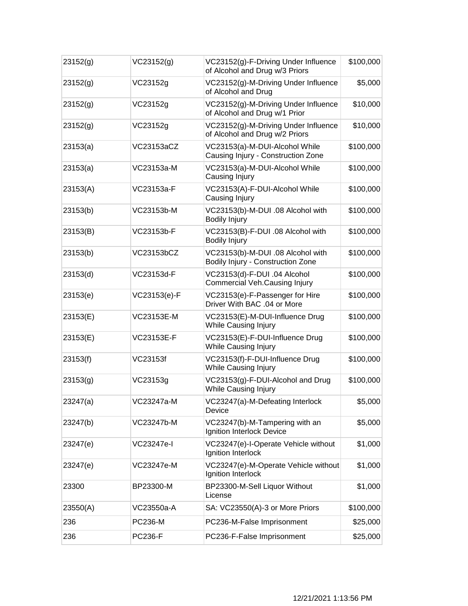| 23152(g) | VC23152(g)        | VC23152(g)-F-Driving Under Influence<br>of Alcohol and Drug w/3 Priors | \$100,000 |
|----------|-------------------|------------------------------------------------------------------------|-----------|
| 23152(g) | VC23152g          | VC23152(g)-M-Driving Under Influence<br>of Alcohol and Drug            | \$5,000   |
| 23152(g) | VC23152g          | VC23152(g)-M-Driving Under Influence<br>of Alcohol and Drug w/1 Prior  | \$10,000  |
| 23152(g) | VC23152g          | VC23152(g)-M-Driving Under Influence<br>of Alcohol and Drug w/2 Priors | \$10,000  |
| 23153(a) | VC23153aCZ        | VC23153(a)-M-DUI-Alcohol While<br>Causing Injury - Construction Zone   | \$100,000 |
| 23153(a) | VC23153a-M        | VC23153(a)-M-DUI-Alcohol While<br>Causing Injury                       | \$100,000 |
| 23153(A) | VC23153a-F        | VC23153(A)-F-DUI-Alcohol While<br>Causing Injury                       | \$100,000 |
| 23153(b) | VC23153b-M        | VC23153(b)-M-DUI .08 Alcohol with<br><b>Bodily Injury</b>              | \$100,000 |
| 23153(B) | VC23153b-F        | VC23153(B)-F-DUI .08 Alcohol with<br><b>Bodily Injury</b>              | \$100,000 |
| 23153(b) | VC23153bCZ        | VC23153(b)-M-DUI .08 Alcohol with<br>Bodily Injury - Construction Zone | \$100,000 |
| 23153(d) | VC23153d-F        | VC23153(d)-F-DUI .04 Alcohol<br><b>Commercial Veh.Causing Injury</b>   | \$100,000 |
| 23153(e) | VC23153(e)-F      | VC23153(e)-F-Passenger for Hire<br>Driver With BAC .04 or More         | \$100,000 |
| 23153(E) | VC23153E-M        | VC23153(E)-M-DUI-Influence Drug<br><b>While Causing Injury</b>         | \$100,000 |
| 23153(E) | <b>VC23153E-F</b> | VC23153(E)-F-DUI-Influence Drug<br>While Causing Injury                | \$100,000 |
| 23153(f) | VC23153f          | VC23153(f)-F-DUI-Influence Drug<br>While Causing Injury                | \$100,000 |
| 23153(g) | VC23153g          | VC23153(g)-F-DUI-Alcohol and Drug<br><b>While Causing Injury</b>       | \$100,000 |
| 23247(a) | VC23247a-M        | VC23247(a)-M-Defeating Interlock<br>Device                             | \$5,000   |
| 23247(b) | VC23247b-M        | VC23247(b)-M-Tampering with an<br>Ignition Interlock Device            | \$5,000   |
| 23247(e) | VC23247e-I        | VC23247(e)-I-Operate Vehicle without<br>Ignition Interlock             | \$1,000   |
| 23247(e) | VC23247e-M        | VC23247(e)-M-Operate Vehicle without<br>Ignition Interlock             | \$1,000   |
| 23300    | BP23300-M         | BP23300-M-Sell Liquor Without<br>License                               | \$1,000   |
| 23550(A) | VC23550a-A        | SA: VC23550(A)-3 or More Priors                                        | \$100,000 |
| 236      | <b>PC236-M</b>    | PC236-M-False Imprisonment                                             | \$25,000  |
| 236      | <b>PC236-F</b>    | PC236-F-False Imprisonment                                             | \$25,000  |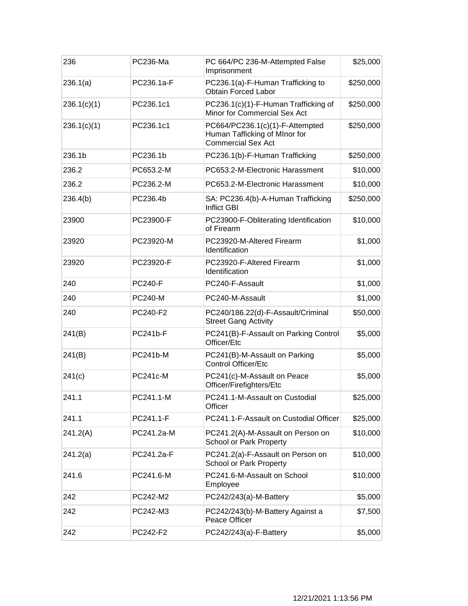| 236         | PC236-Ma        | PC 664/PC 236-M-Attempted False<br>Imprisonment                                               | \$25,000  |
|-------------|-----------------|-----------------------------------------------------------------------------------------------|-----------|
| 236.1(a)    | PC236.1a-F      | PC236.1(a)-F-Human Trafficking to<br><b>Obtain Forced Labor</b>                               | \$250,000 |
| 236.1(c)(1) | PC236.1c1       | PC236.1(c)(1)-F-Human Trafficking of<br>Minor for Commercial Sex Act                          | \$250,000 |
| 236.1(c)(1) | PC236.1c1       | PC664/PC236.1(c)(1)-F-Attempted<br>Human Tafficking of MInor for<br><b>Commercial Sex Act</b> | \$250,000 |
| 236.1b      | PC236.1b        | PC236.1(b)-F-Human Trafficking                                                                | \$250,000 |
| 236.2       | PC653.2-M       | PC653.2-M-Electronic Harassment                                                               | \$10,000  |
| 236.2       | PC236.2-M       | PC653.2-M-Electronic Harassment                                                               | \$10,000  |
| 236.4(b)    | PC236.4b        | SA: PC236.4(b)-A-Human Trafficking<br><b>Inflict GBI</b>                                      | \$250,000 |
| 23900       | PC23900-F       | PC23900-F-Obliterating Identification<br>of Firearm                                           | \$10,000  |
| 23920       | PC23920-M       | PC23920-M-Altered Firearm<br>Identification                                                   | \$1,000   |
| 23920       | PC23920-F       | PC23920-F-Altered Firearm<br>Identification                                                   | \$1,000   |
| 240         | <b>PC240-F</b>  | PC240-F-Assault                                                                               | \$1,000   |
| 240         | <b>PC240-M</b>  | PC240-M-Assault                                                                               | \$1,000   |
| 240         | PC240-F2        | PC240/186.22(d)-F-Assault/Criminal<br><b>Street Gang Activity</b>                             | \$50,000  |
| 241(B)      | PC241b-F        | PC241(B)-F-Assault on Parking Control<br>Officer/Etc                                          | \$5,000   |
| 241(B)      | PC241b-M        | PC241(B)-M-Assault on Parking<br><b>Control Officer/Etc</b>                                   | \$5,000   |
| 241(c)      | <b>PC241c-M</b> | PC241(c)-M-Assault on Peace<br>Officer/Firefighters/Etc                                       | \$5,000   |
| 241.1       | PC241.1-M       | PC241.1-M-Assault on Custodial<br>Officer                                                     | \$25,000  |
| 241.1       | PC241.1-F       | PC241.1-F-Assault on Custodial Officer                                                        | \$25,000  |
| 241.2(A)    | PC241.2a-M      | PC241.2(A)-M-Assault on Person on<br>School or Park Property                                  | \$10,000  |
| 241.2(a)    | PC241.2a-F      | PC241.2(a)-F-Assault on Person on<br>School or Park Property                                  | \$10,000  |
| 241.6       | PC241.6-M       | PC241.6-M-Assault on School<br>Employee                                                       | \$10,000  |
| 242         | PC242-M2        | PC242/243(a)-M-Battery                                                                        | \$5,000   |
| 242         | PC242-M3        | PC242/243(b)-M-Battery Against a<br>Peace Officer                                             | \$7,500   |
| 242         | PC242-F2        | PC242/243(a)-F-Battery                                                                        | \$5,000   |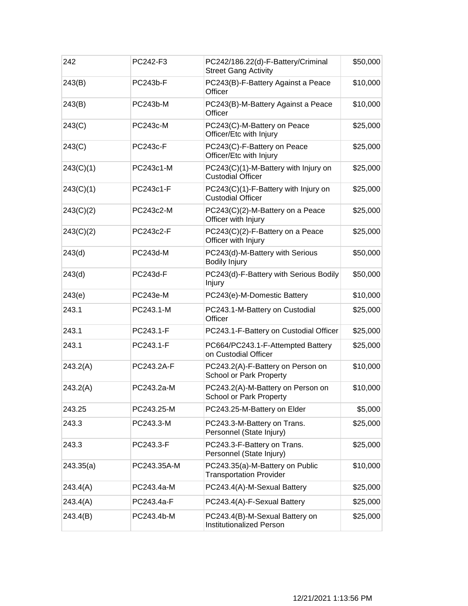| 242       | PC242-F3        | PC242/186.22(d)-F-Battery/Criminal<br><b>Street Gang Activity</b> | \$50,000 |
|-----------|-----------------|-------------------------------------------------------------------|----------|
| 243(B)    | PC243b-F        | PC243(B)-F-Battery Against a Peace<br>Officer                     | \$10,000 |
| 243(B)    | PC243b-M        | PC243(B)-M-Battery Against a Peace<br>Officer                     | \$10,000 |
| 243(C)    | PC243c-M        | PC243(C)-M-Battery on Peace<br>Officer/Etc with Injury            | \$25,000 |
| 243(C)    | <b>PC243c-F</b> | PC243(C)-F-Battery on Peace<br>Officer/Etc with Injury            | \$25,000 |
| 243(C)(1) | PC243c1-M       | PC243(C)(1)-M-Battery with Injury on<br><b>Custodial Officer</b>  | \$25,000 |
| 243(C)(1) | PC243c1-F       | PC243(C)(1)-F-Battery with Injury on<br><b>Custodial Officer</b>  | \$25,000 |
| 243(C)(2) | PC243c2-M       | PC243(C)(2)-M-Battery on a Peace<br>Officer with Injury           | \$25,000 |
| 243(C)(2) | PC243c2-F       | PC243(C)(2)-F-Battery on a Peace<br>Officer with Injury           | \$25,000 |
| 243(d)    | PC243d-M        | PC243(d)-M-Battery with Serious<br><b>Bodily Injury</b>           | \$50,000 |
| 243(d)    | PC243d-F        | PC243(d)-F-Battery with Serious Bodily<br>Injury                  | \$50,000 |
| 243(e)    | PC243e-M        | PC243(e)-M-Domestic Battery                                       | \$10,000 |
| 243.1     | PC243.1-M       | PC243.1-M-Battery on Custodial<br>Officer                         | \$25,000 |
| 243.1     | PC243.1-F       | PC243.1-F-Battery on Custodial Officer                            | \$25,000 |
| 243.1     | PC243.1-F       | PC664/PC243.1-F-Attempted Battery<br>on Custodial Officer         | \$25,000 |
| 243.2(A)  | PC243.2A-F      | PC243.2(A)-F-Battery on Person on<br>School or Park Property      | \$10,000 |
| 243.2(A)  | PC243.2a-M      | PC243.2(A)-M-Battery on Person on<br>School or Park Property      | \$10,000 |
| 243.25    | PC243.25-M      | PC243.25-M-Battery on Elder                                       | \$5,000  |
| 243.3     | PC243.3-M       | PC243.3-M-Battery on Trans.<br>Personnel (State Injury)           | \$25,000 |
| 243.3     | PC243.3-F       | PC243.3-F-Battery on Trans.<br>Personnel (State Injury)           | \$25,000 |
| 243.35(a) | PC243.35A-M     | PC243.35(a)-M-Battery on Public<br><b>Transportation Provider</b> | \$10,000 |
| 243.4(A)  | PC243.4a-M      | PC243.4(A)-M-Sexual Battery                                       | \$25,000 |
| 243.4(A)  | PC243.4a-F      | PC243.4(A)-F-Sexual Battery                                       | \$25,000 |
| 243.4(B)  | PC243.4b-M      | PC243.4(B)-M-Sexual Battery on<br><b>Institutionalized Person</b> | \$25,000 |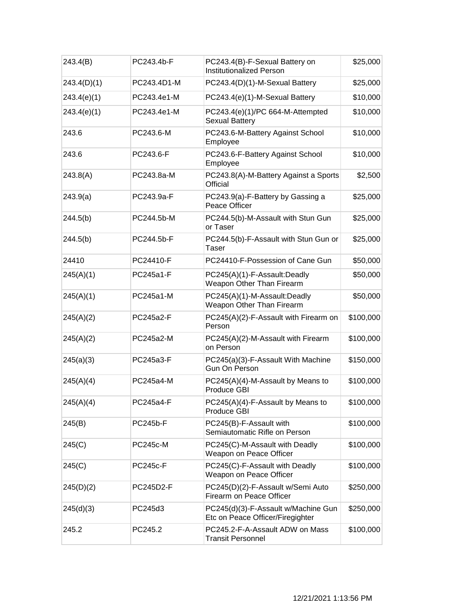| 243.4(B)    | PC243.4b-F      | PC243.4(B)-F-Sexual Battery on<br><b>Institutionalized Person</b>       | \$25,000  |
|-------------|-----------------|-------------------------------------------------------------------------|-----------|
| 243.4(D)(1) | PC243.4D1-M     | PC243.4(D)(1)-M-Sexual Battery                                          | \$25,000  |
| 243.4(e)(1) | PC243.4e1-M     | PC243.4(e)(1)-M-Sexual Battery                                          | \$10,000  |
| 243.4(e)(1) | PC243.4e1-M     | PC243.4(e)(1)/PC 664-M-Attempted<br>Sexual Battery                      | \$10,000  |
| 243.6       | PC243.6-M       | PC243.6-M-Battery Against School<br>Employee                            | \$10,000  |
| 243.6       | PC243.6-F       | PC243.6-F-Battery Against School<br>Employee                            | \$10,000  |
| 243.8(A)    | PC243.8a-M      | PC243.8(A)-M-Battery Against a Sports<br>Official                       | \$2,500   |
| 243.9(a)    | PC243.9a-F      | PC243.9(a)-F-Battery by Gassing a<br>Peace Officer                      | \$25,000  |
| 244.5(b)    | PC244.5b-M      | PC244.5(b)-M-Assault with Stun Gun<br>or Taser                          | \$25,000  |
| 244.5(b)    | PC244.5b-F      | PC244.5(b)-F-Assault with Stun Gun or<br>Taser                          | \$25,000  |
| 24410       | PC24410-F       | PC24410-F-Possession of Cane Gun                                        | \$50,000  |
| 245(A)(1)   | PC245a1-F       | PC245(A)(1)-F-Assault:Deadly<br>Weapon Other Than Firearm               | \$50,000  |
| 245(A)(1)   | PC245a1-M       | PC245(A)(1)-M-Assault:Deadly<br>Weapon Other Than Firearm               | \$50,000  |
| 245(A)(2)   | PC245a2-F       | PC245(A)(2)-F-Assault with Firearm on<br>Person                         | \$100,000 |
| 245(A)(2)   | PC245a2-M       | PC245(A)(2)-M-Assault with Firearm<br>on Person                         | \$100,000 |
| 245(a)(3)   | PC245a3-F       | PC245(a)(3)-F-Assault With Machine<br>Gun On Person                     | \$150,000 |
| 245(A)(4)   | PC245a4-M       | PC245(A)(4)-M-Assault by Means to<br>Produce GBI                        | \$100,000 |
| 245(A)(4)   | PC245a4-F       | PC245(A)(4)-F-Assault by Means to<br>Produce GBI                        | \$100,000 |
| 245(B)      | <b>PC245b-F</b> | PC245(B)-F-Assault with<br>Semiautomatic Rifle on Person                | \$100,000 |
| 245(C)      | <b>PC245c-M</b> | PC245(C)-M-Assault with Deadly<br>Weapon on Peace Officer               | \$100,000 |
| 245(C)      | <b>PC245c-F</b> | PC245(C)-F-Assault with Deadly<br>Weapon on Peace Officer               | \$100,000 |
| 245(D)(2)   | PC245D2-F       | PC245(D)(2)-F-Assault w/Semi Auto<br>Firearm on Peace Officer           | \$250,000 |
| 245(d)(3)   | PC245d3         | PC245(d)(3)-F-Assault w/Machine Gun<br>Etc on Peace Officer/Firegighter | \$250,000 |
| 245.2       | PC245.2         | PC245.2-F-A-Assault ADW on Mass<br><b>Transit Personnel</b>             | \$100,000 |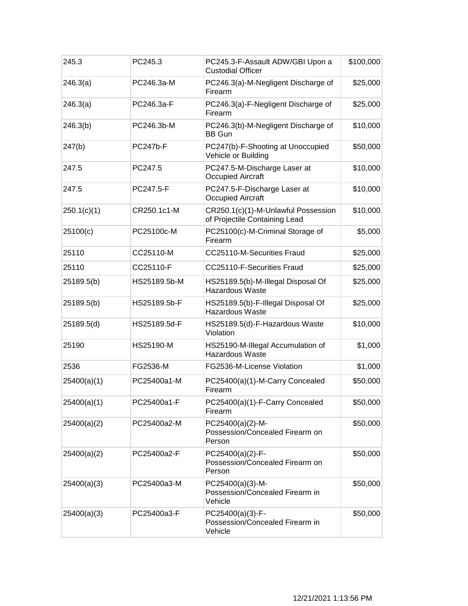| 245.3       | PC245.3         | PC245.3-F-Assault ADW/GBI Upon a<br><b>Custodial Officer</b>         | \$100,000 |
|-------------|-----------------|----------------------------------------------------------------------|-----------|
| 246.3(a)    | PC246.3a-M      | PC246.3(a)-M-Negligent Discharge of<br>Firearm                       | \$25,000  |
| 246.3(a)    | PC246.3a-F      | PC246.3(a)-F-Negligent Discharge of<br>Firearm                       | \$25,000  |
| 246.3(b)    | PC246.3b-M      | PC246.3(b)-M-Negligent Discharge of<br><b>BB Gun</b>                 | \$10,000  |
| 247(b)      | <b>PC247b-F</b> | PC247(b)-F-Shooting at Unoccupied<br>Vehicle or Building             | \$50,000  |
| 247.5       | PC247.5         | PC247.5-M-Discharge Laser at<br><b>Occupied Aircraft</b>             | \$10,000  |
| 247.5       | PC247.5-F       | PC247.5-F-Discharge Laser at<br><b>Occupied Aircraft</b>             | \$10,000  |
| 250.1(c)(1) | CR250.1c1-M     | CR250.1(c)(1)-M-Unlawful Possession<br>of Projectile Containing Lead | \$10,000  |
| 25100(c)    | PC25100c-M      | PC25100(c)-M-Criminal Storage of<br>Firearm                          | \$5,000   |
| 25110       | CC25110-M       | CC25110-M-Securities Fraud                                           | \$25,000  |
| 25110       | CC25110-F       | CC25110-F-Securities Fraud                                           | \$25,000  |
| 25189.5(b)  | HS25189.5b-M    | HS25189.5(b)-M-Illegal Disposal Of<br><b>Hazardous Waste</b>         | \$25,000  |
| 25189.5(b)  | HS25189.5b-F    | HS25189.5(b)-F-Illegal Disposal Of<br><b>Hazardous Waste</b>         | \$25,000  |
| 25189.5(d)  | HS25189.5d-F    | HS25189.5(d)-F-Hazardous Waste<br>Violation                          | \$10,000  |
| 25190       | HS25190-M       | HS25190-M-Illegal Accumulation of<br><b>Hazardous Waste</b>          | \$1,000   |
| 2536        | FG2536-M        | FG2536-M-License Violation                                           | \$1,000   |
| 25400(a)(1) | PC25400a1-M     | PC25400(a)(1)-M-Carry Concealed<br>Firearm                           | \$50,000  |
| 25400(a)(1) | PC25400a1-F     | PC25400(a)(1)-F-Carry Concealed<br>Firearm                           | \$50,000  |
| 25400(a)(2) | PC25400a2-M     | PC25400(a)(2)-M-<br>Possession/Concealed Firearm on<br>Person        | \$50,000  |
| 25400(a)(2) | PC25400a2-F     | PC25400(a)(2)-F-<br>Possession/Concealed Firearm on<br>Person        | \$50,000  |
| 25400(a)(3) | PC25400a3-M     | PC25400(a)(3)-M-<br>Possession/Concealed Firearm in<br>Vehicle       | \$50,000  |
| 25400(a)(3) | PC25400a3-F     | PC25400(a)(3)-F-<br>Possession/Concealed Firearm in<br>Vehicle       | \$50,000  |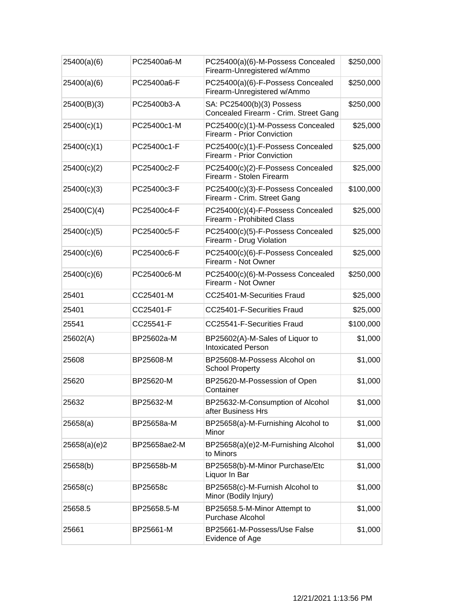| 25400(a)(6)  | PC25400a6-M  | PC25400(a)(6)-M-Possess Concealed<br>Firearm-Unregistered w/Ammo   | \$250,000 |
|--------------|--------------|--------------------------------------------------------------------|-----------|
| 25400(a)(6)  | PC25400a6-F  | PC25400(a)(6)-F-Possess Concealed<br>Firearm-Unregistered w/Ammo   | \$250,000 |
| 25400(B)(3)  | PC25400b3-A  | SA: PC25400(b)(3) Possess<br>Concealed Firearm - Crim. Street Gang | \$250,000 |
| 25400(c)(1)  | PC25400c1-M  | PC25400(c)(1)-M-Possess Concealed<br>Firearm - Prior Conviction    | \$25,000  |
| 25400(c)(1)  | PC25400c1-F  | PC25400(c)(1)-F-Possess Concealed<br>Firearm - Prior Conviction    | \$25,000  |
| 25400(c)(2)  | PC25400c2-F  | PC25400(c)(2)-F-Possess Concealed<br>Firearm - Stolen Firearm      | \$25,000  |
| 25400(c)(3)  | PC25400c3-F  | PC25400(c)(3)-F-Possess Concealed<br>Firearm - Crim. Street Gang   | \$100,000 |
| 25400(C)(4)  | PC25400c4-F  | PC25400(c)(4)-F-Possess Concealed<br>Firearm - Prohibited Class    | \$25,000  |
| 25400(c)(5)  | PC25400c5-F  | PC25400(c)(5)-F-Possess Concealed<br>Firearm - Drug Violation      | \$25,000  |
| 25400(c)(6)  | PC25400c6-F  | PC25400(c)(6)-F-Possess Concealed<br>Firearm - Not Owner           | \$25,000  |
| 25400(c)(6)  | PC25400c6-M  | PC25400(c)(6)-M-Possess Concealed<br>Firearm - Not Owner           | \$250,000 |
| 25401        | CC25401-M    | CC25401-M-Securities Fraud                                         | \$25,000  |
| 25401        | CC25401-F    | CC25401-F-Securities Fraud                                         | \$25,000  |
| 25541        | CC25541-F    | CC25541-F-Securities Fraud                                         | \$100,000 |
| 25602(A)     | BP25602a-M   | BP25602(A)-M-Sales of Liquor to<br><b>Intoxicated Person</b>       | \$1,000   |
| 25608        | BP25608-M    | BP25608-M-Possess Alcohol on<br><b>School Property</b>             | \$1,000   |
| 25620        | BP25620-M    | BP25620-M-Possession of Open<br>Container                          | \$1,000   |
| 25632        | BP25632-M    | BP25632-M-Consumption of Alcohol<br>after Business Hrs             | \$1,000   |
| 25658(a)     | BP25658a-M   | BP25658(a)-M-Furnishing Alcohol to<br>Minor                        | \$1,000   |
| 25658(a)(e)2 | BP25658ae2-M | BP25658(a)(e)2-M-Furnishing Alcohol<br>to Minors                   | \$1,000   |
| 25658(b)     | BP25658b-M   | BP25658(b)-M-Minor Purchase/Etc<br>Liquor In Bar                   | \$1,000   |
| 25658(c)     | BP25658c     | BP25658(c)-M-Furnish Alcohol to<br>Minor (Bodily Injury)           | \$1,000   |
| 25658.5      | BP25658.5-M  | BP25658.5-M-Minor Attempt to<br>Purchase Alcohol                   | \$1,000   |
| 25661        | BP25661-M    | BP25661-M-Possess/Use False<br>Evidence of Age                     | \$1,000   |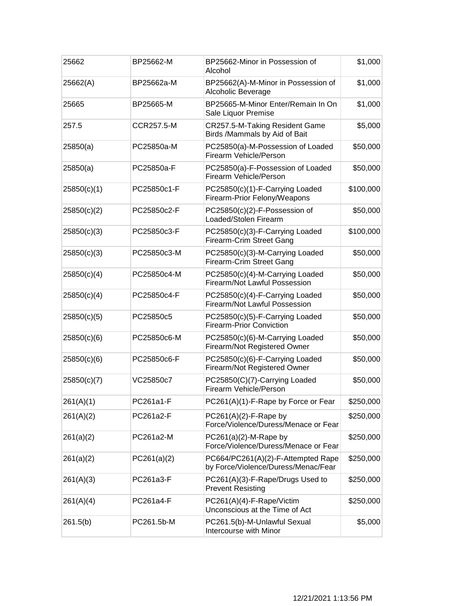| 25662       | BP25662-M   | BP25662-Minor in Possession of<br>Alcohol                                 | \$1,000   |
|-------------|-------------|---------------------------------------------------------------------------|-----------|
| 25662(A)    | BP25662a-M  | BP25662(A)-M-Minor in Possession of<br>Alcoholic Beverage                 | \$1,000   |
| 25665       | BP25665-M   | BP25665-M-Minor Enter/Remain In On<br>Sale Liquor Premise                 | \$1,000   |
| 257.5       | CCR257.5-M  | CR257.5-M-Taking Resident Game<br>Birds /Mammals by Aid of Bait           | \$5,000   |
| 25850(a)    | PC25850a-M  | PC25850(a)-M-Possession of Loaded<br>Firearm Vehicle/Person               | \$50,000  |
| 25850(a)    | PC25850a-F  | PC25850(a)-F-Possession of Loaded<br>Firearm Vehicle/Person               | \$50,000  |
| 25850(c)(1) | PC25850c1-F | PC25850(c)(1)-F-Carrying Loaded<br>Firearm-Prior Felony/Weapons           | \$100,000 |
| 25850(c)(2) | PC25850c2-F | PC25850(c)(2)-F-Possession of<br>Loaded/Stolen Firearm                    | \$50,000  |
| 25850(c)(3) | PC25850c3-F | PC25850(c)(3)-F-Carrying Loaded<br>Firearm-Crim Street Gang               | \$100,000 |
| 25850(c)(3) | PC25850c3-M | PC25850(c)(3)-M-Carrying Loaded<br>Firearm-Crim Street Gang               | \$50,000  |
| 25850(c)(4) | PC25850c4-M | PC25850(c)(4)-M-Carrying Loaded<br>Firearm/Not Lawful Possession          | \$50,000  |
| 25850(c)(4) | PC25850c4-F | PC25850(c)(4)-F-Carrying Loaded<br>Firearm/Not Lawful Possession          | \$50,000  |
| 25850(c)(5) | PC25850c5   | PC25850(c)(5)-F-Carrying Loaded<br><b>Firearm-Prior Conviction</b>        | \$50,000  |
| 25850(c)(6) | PC25850c6-M | PC25850(c)(6)-M-Carrying Loaded<br>Firearm/Not Registered Owner           | \$50,000  |
| 25850(c)(6) | PC25850c6-F | PC25850(c)(6)-F-Carrying Loaded<br>Firearm/Not Registered Owner           | \$50,000  |
| 25850(c)(7) | VC25850c7   | PC25850(C)(7)-Carrying Loaded<br>Firearm Vehicle/Person                   | \$50,000  |
| 261(A)(1)   | PC261a1-F   | PC261(A)(1)-F-Rape by Force or Fear                                       | \$250,000 |
| 261(A)(2)   | PC261a2-F   | $PC261(A)(2)$ -F-Rape by<br>Force/Violence/Duress/Menace or Fear          | \$250,000 |
| 261(a)(2)   | PC261a2-M   | $PC261(a)(2)-M-Rape by$<br>Force/Violence/Duress/Menace or Fear           | \$250,000 |
| 261(a)(2)   | PC261(a)(2) | PC664/PC261(A)(2)-F-Attempted Rape<br>by Force/Violence/Duress/Menac/Fear | \$250,000 |
| 261(A)(3)   | PC261a3-F   | PC261(A)(3)-F-Rape/Drugs Used to<br><b>Prevent Resisting</b>              | \$250,000 |
| 261(A)(4)   | PC261a4-F   | PC261(A)(4)-F-Rape/Victim<br>Unconscious at the Time of Act               | \$250,000 |
| 261.5(b)    | PC261.5b-M  | PC261.5(b)-M-Unlawful Sexual<br>Intercourse with Minor                    | \$5,000   |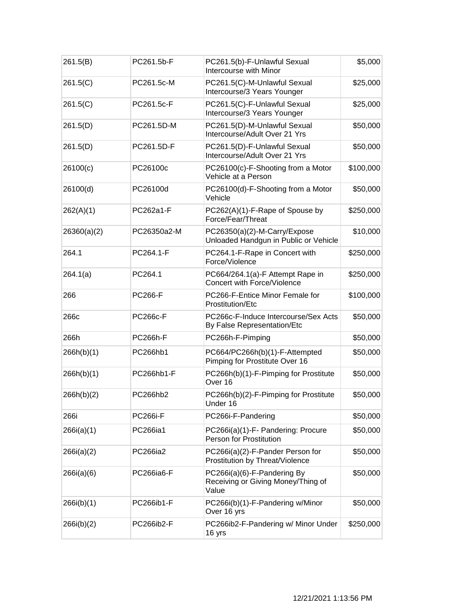| 261.5(B)    | PC261.5b-F      | PC261.5(b)-F-Unlawful Sexual<br>Intercourse with Minor                     | \$5,000   |
|-------------|-----------------|----------------------------------------------------------------------------|-----------|
| 261.5(C)    | PC261.5c-M      | PC261.5(C)-M-Unlawful Sexual<br>Intercourse/3 Years Younger                | \$25,000  |
| 261.5(C)    | PC261.5c-F      | PC261.5(C)-F-Unlawful Sexual<br>Intercourse/3 Years Younger                | \$25,000  |
| 261.5(D)    | PC261.5D-M      | PC261.5(D)-M-Unlawful Sexual<br>Intercourse/Adult Over 21 Yrs              | \$50,000  |
| 261.5(D)    | PC261.5D-F      | PC261.5(D)-F-Unlawful Sexual<br>Intercourse/Adult Over 21 Yrs              | \$50,000  |
| 26100(c)    | PC26100c        | PC26100(c)-F-Shooting from a Motor<br>Vehicle at a Person                  | \$100,000 |
| 26100(d)    | PC26100d        | PC26100(d)-F-Shooting from a Motor<br>Vehicle                              | \$50,000  |
| 262(A)(1)   | PC262a1-F       | PC262(A)(1)-F-Rape of Spouse by<br>Force/Fear/Threat                       | \$250,000 |
| 26360(a)(2) | PC26350a2-M     | PC26350(a)(2)-M-Carry/Expose<br>Unloaded Handgun in Public or Vehicle      | \$10,000  |
| 264.1       | PC264.1-F       | PC264.1-F-Rape in Concert with<br>Force/Violence                           | \$250,000 |
| 264.1(a)    | PC264.1         | PC664/264.1(a)-F Attempt Rape in<br>Concert with Force/Violence            | \$250,000 |
| 266         | <b>PC266-F</b>  | PC266-F-Entice Minor Female for<br>Prostitution/Etc                        | \$100,000 |
| 266c        | <b>PC266c-F</b> | PC266c-F-Induce Intercourse/Sex Acts<br>By False Representation/Etc        | \$50,000  |
| 266h        | <b>PC266h-F</b> | PC266h-F-Pimping                                                           | \$50,000  |
| 266h(b)(1)  | PC266hb1        | PC664/PC266h(b)(1)-F-Attempted<br>Pimping for Prostitute Over 16           | \$50,000  |
| 266h(b)(1)  | PC266hb1-F      | PC266h(b)(1)-F-Pimping for Prostitute<br>Over 16                           | \$50,000  |
| 266h(b)(2)  | PC266hb2        | PC266h(b)(2)-F-Pimping for Prostitute<br>Under 16                          | \$50,000  |
| 266i        | <b>PC266i-F</b> | PC266i-F-Pandering                                                         | \$50,000  |
| 266i(a)(1)  | PC266ia1        | PC266i(a)(1)-F- Pandering: Procure<br>Person for Prostitution              | \$50,000  |
| 266i(a)(2)  | PC266ia2        | PC266i(a)(2)-F-Pander Person for<br>Prostitution by Threat/Violence        | \$50,000  |
| 266i(a)(6)  | PC266ia6-F      | PC266i(a)(6)-F-Pandering By<br>Receiving or Giving Money/Thing of<br>Value | \$50,000  |
| 266i(b)(1)  | PC266ib1-F      | PC266i(b)(1)-F-Pandering w/Minor<br>Over 16 yrs                            | \$50,000  |
| 266i(b)(2)  | PC266ib2-F      | PC266ib2-F-Pandering w/ Minor Under<br>16 yrs                              | \$250,000 |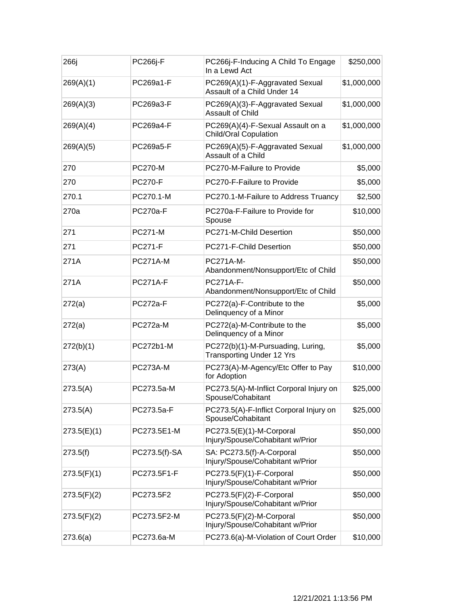| 266j        | <b>PC266j-F</b> | PC266j-F-Inducing A Child To Engage<br>In a Lewd Act                  | \$250,000   |
|-------------|-----------------|-----------------------------------------------------------------------|-------------|
| 269(A)(1)   | PC269a1-F       | PC269(A)(1)-F-Aggravated Sexual<br>Assault of a Child Under 14        | \$1,000,000 |
| 269(A)(3)   | PC269a3-F       | PC269(A)(3)-F-Aggravated Sexual<br><b>Assault of Child</b>            | \$1,000,000 |
| 269(A)(4)   | PC269a4-F       | PC269(A)(4)-F-Sexual Assault on a<br>Child/Oral Copulation            | \$1,000,000 |
| 269(A)(5)   | PC269a5-F       | PC269(A)(5)-F-Aggravated Sexual<br>Assault of a Child                 | \$1,000,000 |
| 270         | <b>PC270-M</b>  | PC270-M-Failure to Provide                                            | \$5,000     |
| 270         | <b>PC270-F</b>  | PC270-F-Failure to Provide                                            | \$5,000     |
| 270.1       | PC270.1-M       | PC270.1-M-Failure to Address Truancy                                  | \$2,500     |
| 270a        | <b>PC270a-F</b> | PC270a-F-Failure to Provide for<br>Spouse                             | \$10,000    |
| 271         | <b>PC271-M</b>  | PC271-M-Child Desertion                                               | \$50,000    |
| 271         | <b>PC271-F</b>  | PC271-F-Child Desertion                                               | \$50,000    |
| 271A        | <b>PC271A-M</b> | <b>PC271A-M-</b><br>Abandonment/Nonsupport/Etc of Child               | \$50,000    |
| 271A        | <b>PC271A-F</b> | PC271A-F-<br>Abandonment/Nonsupport/Etc of Child                      | \$50,000    |
| 272(a)      | <b>PC272a-F</b> | PC272(a)-F-Contribute to the<br>Delinquency of a Minor                | \$5,000     |
| 272(a)      | PC272a-M        | PC272(a)-M-Contribute to the<br>Delinquency of a Minor                | \$5,000     |
| 272(b)(1)   | PC272b1-M       | PC272(b)(1)-M-Pursuading, Luring,<br><b>Transporting Under 12 Yrs</b> | \$5,000     |
| 273(A)      | <b>PC273A-M</b> | PC273(A)-M-Agency/Etc Offer to Pay<br>for Adoption                    | \$10,000    |
| 273.5(A)    | PC273.5a-M      | PC273.5(A)-M-Inflict Corporal Injury on<br>Spouse/Cohabitant          | \$25,000    |
| 273.5(A)    | PC273.5a-F      | PC273.5(A)-F-Inflict Corporal Injury on<br>Spouse/Cohabitant          | \$25,000    |
| 273.5(E)(1) | PC273.5E1-M     | PC273.5(E)(1)-M-Corporal<br>Injury/Spouse/Cohabitant w/Prior          | \$50,000    |
| 273.5(f)    | PC273.5(f)-SA   | SA: PC273.5(f)-A-Corporal<br>Injury/Spouse/Cohabitant w/Prior         | \$50,000    |
| 273.5(F)(1) | PC273.5F1-F     | PC273.5(F)(1)-F-Corporal<br>Injury/Spouse/Cohabitant w/Prior          | \$50,000    |
| 273.5(F)(2) | PC273.5F2       | PC273.5(F)(2)-F-Corporal<br>Injury/Spouse/Cohabitant w/Prior          | \$50,000    |
| 273.5(F)(2) | PC273.5F2-M     | PC273.5(F)(2)-M-Corporal<br>Injury/Spouse/Cohabitant w/Prior          | \$50,000    |
| 273.6(a)    | PC273.6a-M      | PC273.6(a)-M-Violation of Court Order                                 | \$10,000    |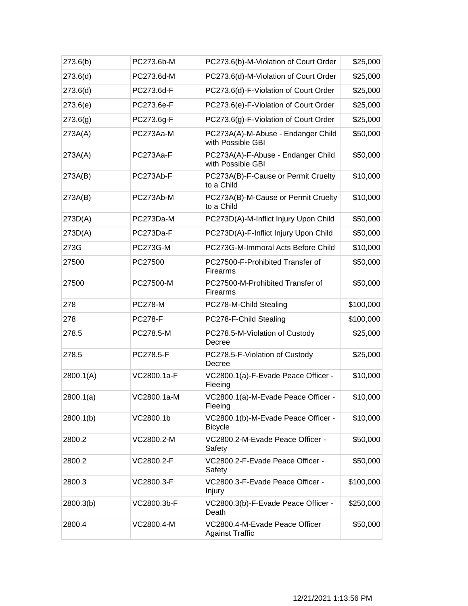| 273.6(b)  | PC273.6b-M      | PC273.6(b)-M-Violation of Court Order                    | \$25,000  |
|-----------|-----------------|----------------------------------------------------------|-----------|
| 273.6(d)  | PC273.6d-M      | PC273.6(d)-M-Violation of Court Order                    | \$25,000  |
| 273.6(d)  | PC273.6d-F      | PC273.6(d)-F-Violation of Court Order                    | \$25,000  |
| 273.6(e)  | PC273.6e-F      | PC273.6(e)-F-Violation of Court Order                    | \$25,000  |
| 273.6(g)  | PC273.6g-F      | PC273.6(g)-F-Violation of Court Order                    | \$25,000  |
| 273A(A)   | PC273Aa-M       | PC273A(A)-M-Abuse - Endanger Child<br>with Possible GBI  | \$50,000  |
| 273A(A)   | PC273Aa-F       | PC273A(A)-F-Abuse - Endanger Child<br>with Possible GBI  | \$50,000  |
| 273A(B)   | PC273Ab-F       | PC273A(B)-F-Cause or Permit Cruelty<br>to a Child        | \$10,000  |
| 273A(B)   | PC273Ab-M       | PC273A(B)-M-Cause or Permit Cruelty<br>to a Child        | \$10,000  |
| 273D(A)   | PC273Da-M       | PC273D(A)-M-Inflict Injury Upon Child                    | \$50,000  |
| 273D(A)   | PC273Da-F       | PC273D(A)-F-Inflict Injury Upon Child                    | \$50,000  |
| 273G      | <b>PC273G-M</b> | PC273G-M-Immoral Acts Before Child                       | \$10,000  |
| 27500     | PC27500         | PC27500-F-Prohibited Transfer of<br><b>Firearms</b>      | \$50,000  |
| 27500     | PC27500-M       | PC27500-M-Prohibited Transfer of<br>Firearms             | \$50,000  |
| 278       | <b>PC278-M</b>  | PC278-M-Child Stealing                                   | \$100,000 |
| 278       | <b>PC278-F</b>  | PC278-F-Child Stealing                                   | \$100,000 |
| 278.5     | PC278.5-M       | PC278.5-M-Violation of Custody<br>Decree                 | \$25,000  |
| 278.5     | PC278.5-F       | PC278.5-F-Violation of Custody<br>Decree                 | \$25,000  |
| 2800.1(A) | VC2800.1a-F     | VC2800.1(a)-F-Evade Peace Officer -<br>Fleeing           | \$10,000  |
| 2800.1(a) | VC2800.1a-M     | VC2800.1(a)-M-Evade Peace Officer<br>Fleeing             | \$10,000  |
| 2800.1(b) | VC2800.1b       | VC2800.1(b)-M-Evade Peace Officer -<br><b>Bicycle</b>    | \$10,000  |
| 2800.2    | VC2800.2-M      | VC2800.2-M-Evade Peace Officer -<br>Safety               | \$50,000  |
| 2800.2    | VC2800.2-F      | VC2800.2-F-Evade Peace Officer -<br>Safety               | \$50,000  |
| 2800.3    | VC2800.3-F      | VC2800.3-F-Evade Peace Officer -<br><b>Injury</b>        | \$100,000 |
| 2800.3(b) | VC2800.3b-F     | VC2800.3(b)-F-Evade Peace Officer -<br>Death             | \$250,000 |
| 2800.4    | VC2800.4-M      | VC2800.4-M-Evade Peace Officer<br><b>Against Traffic</b> | \$50,000  |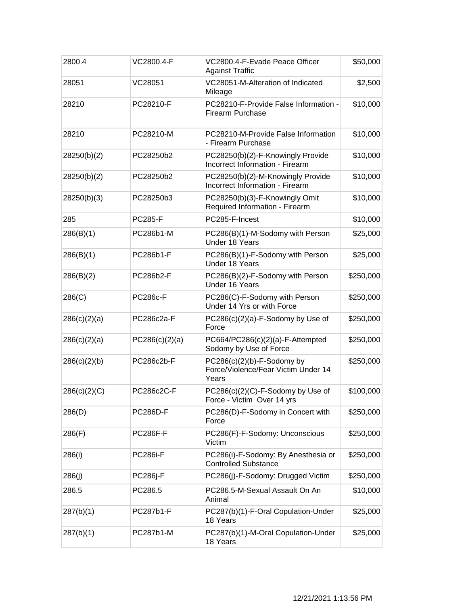| 2800.4       | VC2800.4-F      | VC2800.4-F-Evade Peace Officer<br><b>Against Traffic</b>                      | \$50,000  |
|--------------|-----------------|-------------------------------------------------------------------------------|-----------|
| 28051        | VC28051         | VC28051-M-Alteration of Indicated<br>Mileage                                  | \$2,500   |
| 28210        | PC28210-F       | PC28210-F-Provide False Information -<br><b>Firearm Purchase</b>              | \$10,000  |
| 28210        | PC28210-M       | PC28210-M-Provide False Information<br>- Firearm Purchase                     | \$10,000  |
| 28250(b)(2)  | PC28250b2       | PC28250(b)(2)-F-Knowingly Provide<br>Incorrect Information - Firearm          | \$10,000  |
| 28250(b)(2)  | PC28250b2       | PC28250(b)(2)-M-Knowingly Provide<br>Incorrect Information - Firearm          | \$10,000  |
| 28250(b)(3)  | PC28250b3       | PC28250(b)(3)-F-Knowingly Omit<br>Required Information - Firearm              | \$10,000  |
| 285          | <b>PC285-F</b>  | PC285-F-Incest                                                                | \$10,000  |
| 286(B)(1)    | PC286b1-M       | PC286(B)(1)-M-Sodomy with Person<br>Under 18 Years                            | \$25,000  |
| 286(B)(1)    | PC286b1-F       | PC286(B)(1)-F-Sodomy with Person<br>Under 18 Years                            | \$25,000  |
| 286(B)(2)    | PC286b2-F       | PC286(B)(2)-F-Sodomy with Person<br>Under 16 Years                            | \$250,000 |
| 286(C)       | <b>PC286c-F</b> | PC286(C)-F-Sodomy with Person<br>Under 14 Yrs or with Force                   | \$250,000 |
| 286(c)(2)(a) | PC286c2a-F      | PC286(c)(2)(a)-F-Sodomy by Use of<br>Force                                    | \$250,000 |
| 286(c)(2)(a) | PC286(c)(2)(a)  | PC664/PC286(c)(2)(a)-F-Attempted<br>Sodomy by Use of Force                    | \$250,000 |
| 286(c)(2)(b) | PC286c2b-F      | $PC286(c)(2)(b)$ -F-Sodomy by<br>Force/Violence/Fear Victim Under 14<br>Years | \$250,000 |
| 286(c)(2)(C) | PC286c2C-F      | PC286(c)(2)(C)-F-Sodomy by Use of<br>Force - Victim Over 14 yrs               | \$100,000 |
| 286(D)       | <b>PC286D-F</b> | PC286(D)-F-Sodomy in Concert with<br>Force                                    | \$250,000 |
| 286(F)       | <b>PC286F-F</b> | PC286(F)-F-Sodomy: Unconscious<br>Victim                                      | \$250,000 |
| 286(i)       | <b>PC286i-F</b> | PC286(i)-F-Sodomy: By Anesthesia or<br><b>Controlled Substance</b>            | \$250,000 |
| 286(j)       | <b>PC286j-F</b> | PC286(j)-F-Sodomy: Drugged Victim                                             | \$250,000 |
| 286.5        | PC286.5         | PC286.5-M-Sexual Assault On An<br>Animal                                      | \$10,000  |
| 287(b)(1)    | PC287b1-F       | PC287(b)(1)-F-Oral Copulation-Under<br>18 Years                               | \$25,000  |
| 287(b)(1)    | PC287b1-M       | PC287(b)(1)-M-Oral Copulation-Under<br>18 Years                               | \$25,000  |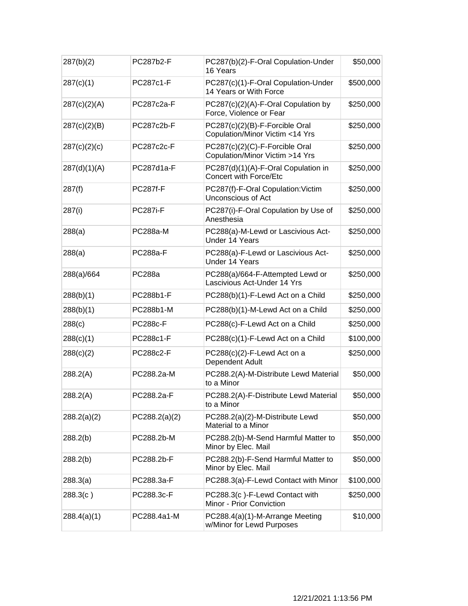| 287(b)(2)    | PC287b2-F       | PC287(b)(2)-F-Oral Copulation-Under<br>16 Years                   | \$50,000  |
|--------------|-----------------|-------------------------------------------------------------------|-----------|
| 287(c)(1)    | PC287c1-F       | PC287(c)(1)-F-Oral Copulation-Under<br>14 Years or With Force     | \$500,000 |
| 287(c)(2)(A) | PC287c2a-F      | PC287(c)(2)(A)-F-Oral Copulation by<br>Force, Violence or Fear    | \$250,000 |
| 287(c)(2)(B) | PC287c2b-F      | PC287(c)(2)(B)-F-Forcible Oral<br>Copulation/Minor Victim <14 Yrs | \$250,000 |
| 287(c)(2)(c) | PC287c2c-F      | PC287(c)(2)(C)-F-Forcible Oral<br>Copulation/Minor Victim >14 Yrs | \$250,000 |
| 287(d)(1)(A) | PC287d1a-F      | PC287(d)(1)(A)-F-Oral Copulation in<br>Concert with Force/Etc     | \$250,000 |
| 287(f)       | <b>PC287f-F</b> | PC287(f)-F-Oral Copulation: Victim<br>Unconscious of Act          | \$250,000 |
| 287(i)       | <b>PC287i-F</b> | PC287(i)-F-Oral Copulation by Use of<br>Anesthesia                | \$250,000 |
| 288(a)       | PC288a-M        | PC288(a)-M-Lewd or Lascivious Act-<br>Under 14 Years              | \$250,000 |
| 288(a)       | <b>PC288a-F</b> | PC288(a)-F-Lewd or Lascivious Act-<br>Under 14 Years              | \$250,000 |
| 288(a)/664   | <b>PC288a</b>   | PC288(a)/664-F-Attempted Lewd or<br>Lascivious Act-Under 14 Yrs   | \$250,000 |
| 288(b)(1)    | PC288b1-F       | PC288(b)(1)-F-Lewd Act on a Child                                 | \$250,000 |
| 288(b)(1)    | PC288b1-M       | PC288(b)(1)-M-Lewd Act on a Child                                 | \$250,000 |
| 288(c)       | <b>PC288c-F</b> | PC288(c)-F-Lewd Act on a Child                                    | \$250,000 |
| 288(c)(1)    | PC288c1-F       | PC288(c)(1)-F-Lewd Act on a Child                                 | \$100,000 |
| 288(c)(2)    | PC288c2-F       | PC288(c)(2)-F-Lewd Act on a<br>Dependent Adult                    | \$250,000 |
| 288.2(A)     | PC288.2a-M      | PC288.2(A)-M-Distribute Lewd Material<br>to a Minor               | \$50,000  |
| 288.2(A)     | PC288.2a-F      | PC288.2(A)-F-Distribute Lewd Material<br>to a Minor               | \$50,000  |
| 288.2(a)(2)  | PC288.2(a)(2)   | PC288.2(a)(2)-M-Distribute Lewd<br>Material to a Minor            | \$50,000  |
| 288.2(b)     | PC288.2b-M      | PC288.2(b)-M-Send Harmful Matter to<br>Minor by Elec. Mail        | \$50,000  |
| 288.2(b)     | PC288.2b-F      | PC288.2(b)-F-Send Harmful Matter to<br>Minor by Elec. Mail        | \$50,000  |
| 288.3(a)     | PC288.3a-F      | PC288.3(a)-F-Lewd Contact with Minor                              | \$100,000 |
| 288.3(c)     | PC288.3c-F      | PC288.3(c)-F-Lewd Contact with<br>Minor - Prior Conviction        | \$250,000 |
| 288.4(a)(1)  | PC288.4a1-M     | PC288.4(a)(1)-M-Arrange Meeting<br>w/Minor for Lewd Purposes      | \$10,000  |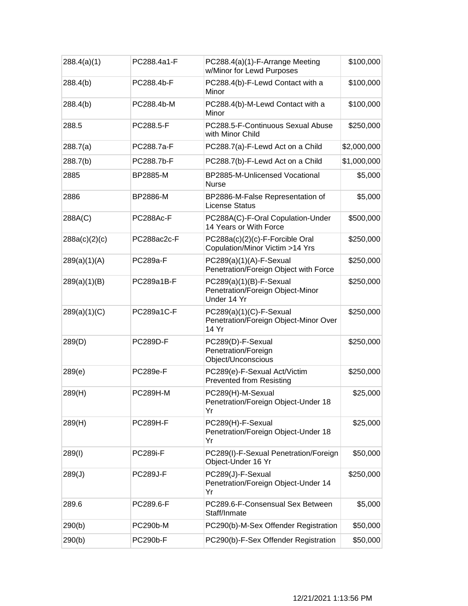| 288.4(a)(1)   | PC288.4a1-F     | PC288.4(a)(1)-F-Arrange Meeting<br>w/Minor for Lewd Purposes                | \$100,000   |
|---------------|-----------------|-----------------------------------------------------------------------------|-------------|
| 288.4(b)      | PC288.4b-F      | PC288.4(b)-F-Lewd Contact with a<br>Minor                                   | \$100,000   |
| 288.4(b)      | PC288.4b-M      | PC288.4(b)-M-Lewd Contact with a<br>Minor                                   | \$100,000   |
| 288.5         | PC288.5-F       | PC288.5-F-Continuous Sexual Abuse<br>with Minor Child                       | \$250,000   |
| 288.7(a)      | PC288.7a-F      | PC288.7(a)-F-Lewd Act on a Child                                            | \$2,000,000 |
| 288.7(b)      | PC288.7b-F      | PC288.7(b)-F-Lewd Act on a Child                                            | \$1,000,000 |
| 2885          | BP2885-M        | BP2885-M-Unlicensed Vocational<br><b>Nurse</b>                              | \$5,000     |
| 2886          | BP2886-M        | BP2886-M-False Representation of<br><b>License Status</b>                   | \$5,000     |
| 288A(C)       | PC288Ac-F       | PC288A(C)-F-Oral Copulation-Under<br>14 Years or With Force                 | \$500,000   |
| 288a(c)(2)(c) | PC288ac2c-F     | PC288a(c)(2)(c)-F-Forcible Oral<br>Copulation/Minor Victim >14 Yrs          | \$250,000   |
| 289(a)(1)(A)  | <b>PC289a-F</b> | $PC289(a)(1)(A)-F-Sexual$<br>Penetration/Foreign Object with Force          | \$250,000   |
| 289(a)(1)(B)  | PC289a1B-F      | PC289(a)(1)(B)-F-Sexual<br>Penetration/Foreign Object-Minor<br>Under 14 Yr  | \$250,000   |
| 289(a)(1)(C)  | PC289a1C-F      | $PC289(a)(1)(C)-F-Sexual$<br>Penetration/Foreign Object-Minor Over<br>14 Yr | \$250,000   |
| 289(D)        | <b>PC289D-F</b> | PC289(D)-F-Sexual<br>Penetration/Foreign<br>Object/Unconscious              | \$250,000   |
| 289(e)        | <b>PC289e-F</b> | PC289(e)-F-Sexual Act/Victim<br><b>Prevented from Resisting</b>             | \$250,000   |
| 289(H)        | <b>PC289H-M</b> | PC289(H)-M-Sexual<br>Penetration/Foreign Object-Under 18<br>Yr              | \$25,000    |
| 289(H)        | <b>PC289H-F</b> | PC289(H)-F-Sexual<br>Penetration/Foreign Object-Under 18<br>Yr              | \$25,000    |
| 289(1)        | <b>PC289i-F</b> | PC289(I)-F-Sexual Penetration/Foreign<br>Object-Under 16 Yr                 | \$50,000    |
| 289(J)        | <b>PC289J-F</b> | PC289(J)-F-Sexual<br>Penetration/Foreign Object-Under 14<br>Yr              | \$250,000   |
| 289.6         | PC289.6-F       | PC289.6-F-Consensual Sex Between<br>Staff/Inmate                            | \$5,000     |
| 290(b)        | <b>PC290b-M</b> | PC290(b)-M-Sex Offender Registration                                        | \$50,000    |
| 290(b)        | <b>PC290b-F</b> | PC290(b)-F-Sex Offender Registration                                        | \$50,000    |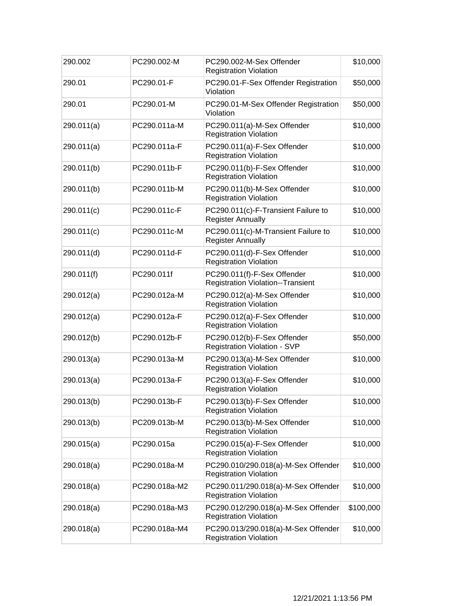| 290.002    | PC290.002-M   | PC290.002-M-Sex Offender<br><b>Registration Violation</b>               | \$10,000  |
|------------|---------------|-------------------------------------------------------------------------|-----------|
| 290.01     | PC290.01-F    | PC290.01-F-Sex Offender Registration<br>Violation                       | \$50,000  |
| 290.01     | PC290.01-M    | PC290.01-M-Sex Offender Registration<br>Violation                       | \$50,000  |
| 290.011(a) | PC290.011a-M  | PC290.011(a)-M-Sex Offender<br><b>Registration Violation</b>            | \$10,000  |
| 290.011(a) | PC290.011a-F  | PC290.011(a)-F-Sex Offender<br><b>Registration Violation</b>            | \$10,000  |
| 290.011(b) | PC290.011b-F  | PC290.011(b)-F-Sex Offender<br><b>Registration Violation</b>            | \$10,000  |
| 290.011(b) | PC290.011b-M  | PC290.011(b)-M-Sex Offender<br><b>Registration Violation</b>            | \$10,000  |
| 290.011(c) | PC290.011c-F  | PC290.011(c)-F-Transient Failure to<br><b>Register Annually</b>         | \$10,000  |
| 290.011(c) | PC290.011c-M  | PC290.011(c)-M-Transient Failure to<br><b>Register Annually</b>         | \$10,000  |
| 290.011(d) | PC290.011d-F  | PC290.011(d)-F-Sex Offender<br><b>Registration Violation</b>            | \$10,000  |
| 290.011(f) | PC290.011f    | PC290.011(f)-F-Sex Offender<br><b>Registration Violation--Transient</b> | \$10,000  |
| 290.012(a) | PC290.012a-M  | PC290.012(a)-M-Sex Offender<br><b>Registration Violation</b>            | \$10,000  |
| 290.012(a) | PC290.012a-F  | PC290.012(a)-F-Sex Offender<br><b>Registration Violation</b>            | \$10,000  |
| 290.012(b) | PC290.012b-F  | PC290.012(b)-F-Sex Offender<br><b>Registration Violation - SVP</b>      | \$50,000  |
| 290.013(a) | PC290.013a-M  | PC290.013(a)-M-Sex Offender<br><b>Registration Violation</b>            | \$10,000  |
| 290.013(a) | PC290.013a-F  | PC290.013(a)-F-Sex Offender<br><b>Registration Violation</b>            | \$10,000  |
| 290.013(b) | PC290.013b-F  | PC290.013(b)-F-Sex Offender<br><b>Registration Violation</b>            | \$10,000  |
| 290.013(b) | PC209.013b-M  | PC290.013(b)-M-Sex Offender<br><b>Registration Violation</b>            | \$10,000  |
| 290.015(a) | PC290.015a    | PC290.015(a)-F-Sex Offender<br><b>Registration Violation</b>            | \$10,000  |
| 290.018(a) | PC290.018a-M  | PC290.010/290.018(a)-M-Sex Offender<br><b>Registration Violation</b>    | \$10,000  |
| 290.018(a) | PC290.018a-M2 | PC290.011/290.018(a)-M-Sex Offender<br><b>Registration Violation</b>    | \$10,000  |
| 290.018(a) | PC290.018a-M3 | PC290.012/290.018(a)-M-Sex Offender<br><b>Registration Violation</b>    | \$100,000 |
| 290.018(a) | PC290.018a-M4 | PC290.013/290.018(a)-M-Sex Offender<br><b>Registration Violation</b>    | \$10,000  |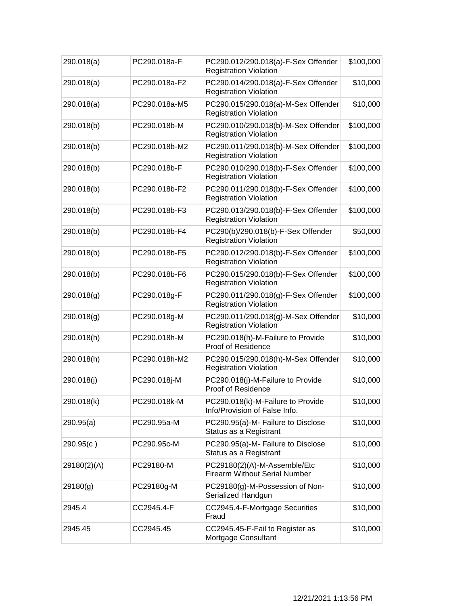| 290.018(a)  | PC290.018a-F  | PC290.012/290.018(a)-F-Sex Offender<br><b>Registration Violation</b> | \$100,000 |
|-------------|---------------|----------------------------------------------------------------------|-----------|
| 290.018(a)  | PC290.018a-F2 | PC290.014/290.018(a)-F-Sex Offender<br><b>Registration Violation</b> | \$10,000  |
| 290.018(a)  | PC290.018a-M5 | PC290.015/290.018(a)-M-Sex Offender<br><b>Registration Violation</b> | \$10,000  |
| 290.018(b)  | PC290.018b-M  | PC290.010/290.018(b)-M-Sex Offender<br><b>Registration Violation</b> | \$100,000 |
| 290.018(b)  | PC290.018b-M2 | PC290.011/290.018(b)-M-Sex Offender<br><b>Registration Violation</b> | \$100,000 |
| 290.018(b)  | PC290.018b-F  | PC290.010/290.018(b)-F-Sex Offender<br><b>Registration Violation</b> | \$100,000 |
| 290.018(b)  | PC290.018b-F2 | PC290.011/290.018(b)-F-Sex Offender<br><b>Registration Violation</b> | \$100,000 |
| 290.018(b)  | PC290.018b-F3 | PC290.013/290.018(b)-F-Sex Offender<br><b>Registration Violation</b> | \$100,000 |
| 290.018(b)  | PC290.018b-F4 | PC290(b)/290.018(b)-F-Sex Offender<br><b>Registration Violation</b>  | \$50,000  |
| 290.018(b)  | PC290.018b-F5 | PC290.012/290.018(b)-F-Sex Offender<br><b>Registration Violation</b> | \$100,000 |
| 290.018(b)  | PC290.018b-F6 | PC290.015/290.018(b)-F-Sex Offender<br><b>Registration Violation</b> | \$100,000 |
| 290.018(g)  | PC290.018g-F  | PC290.011/290.018(g)-F-Sex Offender<br><b>Registration Violation</b> | \$100,000 |
| 290.018(g)  | PC290.018g-M  | PC290.011/290.018(g)-M-Sex Offender<br><b>Registration Violation</b> | \$10,000  |
| 290.018(h)  | PC290.018h-M  | PC290.018(h)-M-Failure to Provide<br>Proof of Residence              | \$10,000  |
| 290.018(h)  | PC290.018h-M2 | PC290.015/290.018(h)-M-Sex Offender<br><b>Registration Violation</b> | \$10,000  |
| 290.018(j)  | PC290.018j-M  | PC290.018(j)-M-Failure to Provide<br>Proof of Residence              | \$10,000  |
| 290.018(k)  | PC290.018k-M  | PC290.018(k)-M-Failure to Provide<br>Info/Provision of False Info.   | \$10,000  |
| 290.95(a)   | PC290.95a-M   | PC290.95(a)-M- Failure to Disclose<br>Status as a Registrant         | \$10,000  |
| 290.95(c)   | PC290.95c-M   | PC290.95(a)-M- Failure to Disclose<br>Status as a Registrant         | \$10,000  |
| 29180(2)(A) | PC29180-M     | PC29180(2)(A)-M-Assemble/Etc<br><b>Firearm Without Serial Number</b> | \$10,000  |
| 29180(g)    | PC29180g-M    | PC29180(g)-M-Possession of Non-<br>Serialized Handgun                | \$10,000  |
| 2945.4      | CC2945.4-F    | CC2945.4-F-Mortgage Securities<br>Fraud                              | \$10,000  |
| 2945.45     | CC2945.45     | CC2945.45-F-Fail to Register as<br>Mortgage Consultant               | \$10,000  |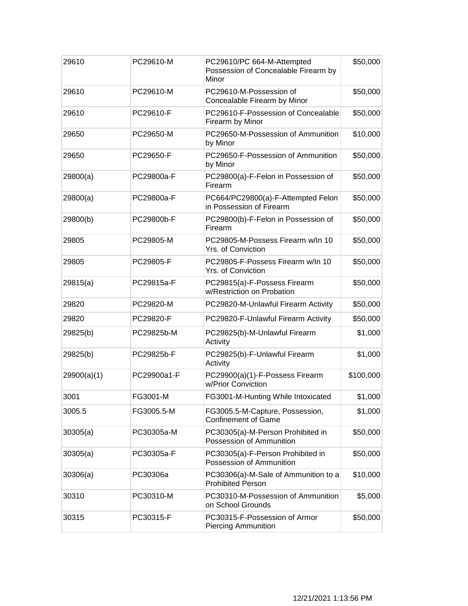| 29610       | PC29610-M   | PC29610/PC 664-M-Attempted<br>Possession of Concealable Firearm by<br>Minor | \$50,000  |
|-------------|-------------|-----------------------------------------------------------------------------|-----------|
| 29610       | PC29610-M   | PC29610-M-Possession of<br>Concealable Firearm by Minor                     | \$50,000  |
| 29610       | PC29610-F   | PC29610-F-Possession of Concealable<br>Firearm by Minor                     | \$50,000  |
| 29650       | PC29650-M   | PC29650-M-Possession of Ammunition<br>by Minor                              | \$10,000  |
| 29650       | PC29650-F   | PC29650-F-Possession of Ammunition<br>by Minor                              | \$50,000  |
| 29800(a)    | PC29800a-F  | PC29800(a)-F-Felon in Possession of<br>Firearm                              | \$50,000  |
| 29800(a)    | PC29800a-F  | PC664/PC29800(a)-F-Attempted Felon<br>in Possession of Firearm              | \$50,000  |
| 29800(b)    | PC29800b-F  | PC29800(b)-F-Felon in Possession of<br>Firearm                              | \$50,000  |
| 29805       | PC29805-M   | PC29805-M-Possess Firearm w/ln 10<br><b>Yrs. of Conviction</b>              | \$50,000  |
| 29805       | PC29805-F   | PC29805-F-Possess Firearm w/ln 10<br>Yrs. of Conviction                     | \$50,000  |
| 29815(a)    | PC29815a-F  | PC29815(a)-F-Possess Firearm<br>w/Restriction on Probation                  | \$50,000  |
| 29820       | PC29820-M   | PC29820-M-Unlawful Firearm Activity                                         | \$50,000  |
| 29820       | PC29820-F   | PC29820-F-Unlawful Firearm Activity                                         | \$50,000  |
| 29825(b)    | PC29825b-M  | PC29825(b)-M-Unlawful Firearm<br>Activity                                   | \$1,000   |
| 29825(b)    | PC29825b-F  | PC29825(b)-F-Unlawful Firearm<br>Activity                                   | \$1,000   |
| 29900(a)(1) | PC29900a1-F | PC29900(a)(1)-F-Possess Firearm<br>w/Prior Conviction                       | \$100,000 |
| 3001        | FG3001-M    | FG3001-M-Hunting While Intoxicated                                          | \$1,000   |
| 3005.5      | FG3005.5-M  | FG3005.5-M-Capture, Possession,<br><b>Confinement of Game</b>               | \$1,000   |
| 30305(a)    | PC30305a-M  | PC30305(a)-M-Person Prohibited in<br>Possession of Ammunition               | \$50,000  |
| 30305(a)    | PC30305a-F  | PC30305(a)-F-Person Prohibited in<br>Possession of Ammunition               | \$50,000  |
| 30306(a)    | PC30306a    | PC30306(a)-M-Sale of Ammunition to a<br><b>Prohibited Person</b>            | \$10,000  |
| 30310       | PC30310-M   | PC30310-M-Possession of Ammunition<br>on School Grounds                     | \$5,000   |
| 30315       | PC30315-F   | PC30315-F-Possession of Armor<br><b>Piercing Ammunition</b>                 | \$50,000  |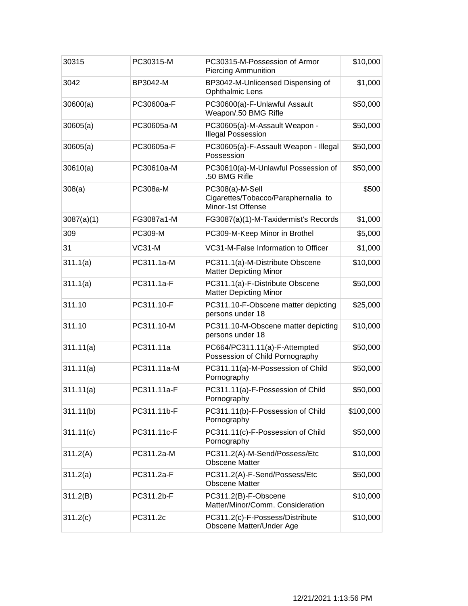| 30315      | PC30315-M   | PC30315-M-Possession of Armor<br><b>Piercing Ammunition</b>                 | \$10,000  |
|------------|-------------|-----------------------------------------------------------------------------|-----------|
| 3042       | BP3042-M    | BP3042-M-Unlicensed Dispensing of<br><b>Ophthalmic Lens</b>                 | \$1,000   |
| 30600(a)   | PC30600a-F  | PC30600(a)-F-Unlawful Assault<br>Weapon/.50 BMG Rifle                       | \$50,000  |
| 30605(a)   | PC30605a-M  | PC30605(a)-M-Assault Weapon -<br><b>Illegal Possession</b>                  | \$50,000  |
| 30605(a)   | PC30605a-F  | PC30605(a)-F-Assault Weapon - Illegal<br>Possession                         | \$50,000  |
| 30610(a)   | PC30610a-M  | PC30610(a)-M-Unlawful Possession of<br>.50 BMG Rifle                        | \$50,000  |
| 308(a)     | PC308a-M    | PC308(a)-M-Sell<br>Cigarettes/Tobacco/Paraphernalia to<br>Minor-1st Offense | \$500     |
| 3087(a)(1) | FG3087a1-M  | FG3087(a)(1)-M-Taxidermist's Records                                        | \$1,000   |
| 309        | PC309-M     | PC309-M-Keep Minor in Brothel                                               | \$5,000   |
| 31         | $VC31-M$    | VC31-M-False Information to Officer                                         | \$1,000   |
| 311.1(a)   | PC311.1a-M  | PC311.1(a)-M-Distribute Obscene<br><b>Matter Depicting Minor</b>            | \$10,000  |
| 311.1(a)   | PC311.1a-F  | PC311.1(a)-F-Distribute Obscene<br><b>Matter Depicting Minor</b>            | \$50,000  |
| 311.10     | PC311.10-F  | PC311.10-F-Obscene matter depicting<br>persons under 18                     | \$25,000  |
| 311.10     | PC311.10-M  | PC311.10-M-Obscene matter depicting<br>persons under 18                     | \$10,000  |
| 311.11(a)  | PC311.11a   | PC664/PC311.11(a)-F-Attempted<br>Possession of Child Pornography            | \$50,000  |
| 311.11(a)  | PC311.11a-M | PC311.11(a)-M-Possession of Child<br>Pornography                            | \$50,000  |
| 311.11(a)  | PC311.11a-F | PC311.11(a)-F-Possession of Child<br>Pornography                            | \$50,000  |
| 311.11(b)  | PC311.11b-F | PC311.11(b)-F-Possession of Child<br>Pornography                            | \$100,000 |
| 311.11(c)  | PC311.11c-F | PC311.11(c)-F-Possession of Child<br>Pornography                            | \$50,000  |
| 311.2(A)   | PC311.2a-M  | PC311.2(A)-M-Send/Possess/Etc<br><b>Obscene Matter</b>                      | \$10,000  |
| 311.2(a)   | PC311.2a-F  | PC311.2(A)-F-Send/Possess/Etc<br><b>Obscene Matter</b>                      | \$50,000  |
| 311.2(B)   | PC311.2b-F  | PC311.2(B)-F-Obscene<br>Matter/Minor/Comm. Consideration                    | \$10,000  |
| 311.2(c)   | PC311.2c    | PC311.2(c)-F-Possess/Distribute<br>Obscene Matter/Under Age                 | \$10,000  |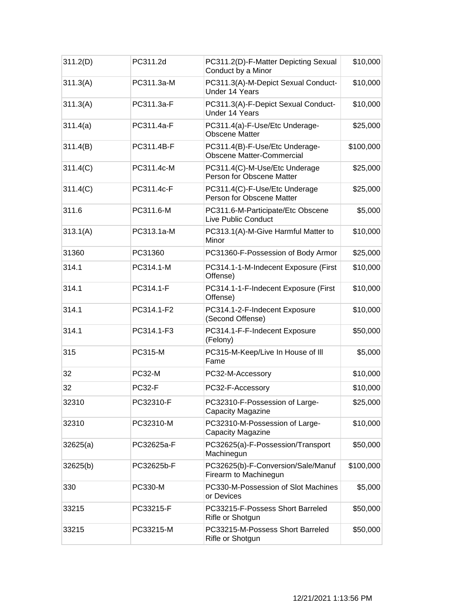| 311.2(D) | PC311.2d       | PC311.2(D)-F-Matter Depicting Sexual<br>Conduct by a Minor         | \$10,000  |
|----------|----------------|--------------------------------------------------------------------|-----------|
| 311.3(A) | PC311.3a-M     | PC311.3(A)-M-Depict Sexual Conduct-<br>Under 14 Years              | \$10,000  |
| 311.3(A) | PC311.3a-F     | PC311.3(A)-F-Depict Sexual Conduct-<br>Under 14 Years              | \$10,000  |
| 311.4(a) | PC311.4a-F     | PC311.4(a)-F-Use/Etc Underage-<br><b>Obscene Matter</b>            | \$25,000  |
| 311.4(B) | PC311.4B-F     | PC311.4(B)-F-Use/Etc Underage-<br><b>Obscene Matter-Commercial</b> | \$100,000 |
| 311.4(C) | PC311.4c-M     | PC311.4(C)-M-Use/Etc Underage<br>Person for Obscene Matter         | \$25,000  |
| 311.4(C) | PC311.4c-F     | PC311.4(C)-F-Use/Etc Underage<br>Person for Obscene Matter         | \$25,000  |
| 311.6    | PC311.6-M      | PC311.6-M-Participate/Etc Obscene<br>Live Public Conduct           | \$5,000   |
| 313.1(A) | PC313.1a-M     | PC313.1(A)-M-Give Harmful Matter to<br>Minor                       | \$10,000  |
| 31360    | PC31360        | PC31360-F-Possession of Body Armor                                 | \$25,000  |
| 314.1    | PC314.1-M      | PC314.1-1-M-Indecent Exposure (First<br>Offense)                   | \$10,000  |
| 314.1    | PC314.1-F      | PC314.1-1-F-Indecent Exposure (First<br>Offense)                   | \$10,000  |
| 314.1    | PC314.1-F2     | PC314.1-2-F-Indecent Exposure<br>(Second Offense)                  | \$10,000  |
| 314.1    | PC314.1-F3     | PC314.1-F-F-Indecent Exposure<br>(Felony)                          | \$50,000  |
| 315      | <b>PC315-M</b> | PC315-M-Keep/Live In House of III<br>Fame                          | \$5,000   |
| 32       | <b>PC32-M</b>  | PC32-M-Accessory                                                   | \$10,000  |
| 32       | <b>PC32-F</b>  | PC32-F-Accessory                                                   | \$10,000  |
| 32310    | PC32310-F      | PC32310-F-Possession of Large-<br>Capacity Magazine                | \$25,000  |
| 32310    | PC32310-M      | PC32310-M-Possession of Large-<br>Capacity Magazine                | \$10,000  |
| 32625(a) | PC32625a-F     | PC32625(a)-F-Possession/Transport<br>Machinegun                    | \$50,000  |
| 32625(b) | PC32625b-F     | PC32625(b)-F-Conversion/Sale/Manuf<br>Firearm to Machinegun        | \$100,000 |
| 330      | PC330-M        | PC330-M-Possession of Slot Machines<br>or Devices                  | \$5,000   |
| 33215    | PC33215-F      | PC33215-F-Possess Short Barreled<br>Rifle or Shotgun               | \$50,000  |
| 33215    | PC33215-M      | PC33215-M-Possess Short Barreled<br>Rifle or Shotgun               | \$50,000  |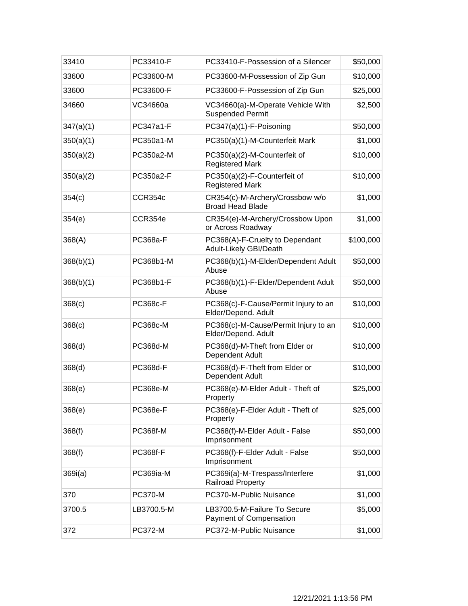| 33410     | PC33410-F       | PC33410-F-Possession of a Silencer                           | \$50,000  |
|-----------|-----------------|--------------------------------------------------------------|-----------|
| 33600     | PC33600-M       | PC33600-M-Possession of Zip Gun                              | \$10,000  |
| 33600     | PC33600-F       | PC33600-F-Possession of Zip Gun                              | \$25,000  |
| 34660     | VC34660a        | VC34660(a)-M-Operate Vehicle With<br><b>Suspended Permit</b> | \$2,500   |
| 347(a)(1) | PC347a1-F       | PC347(a)(1)-F-Poisoning                                      | \$50,000  |
| 350(a)(1) | PC350a1-M       | PC350(a)(1)-M-Counterfeit Mark                               | \$1,000   |
| 350(a)(2) | PC350a2-M       | PC350(a)(2)-M-Counterfeit of<br><b>Registered Mark</b>       | \$10,000  |
| 350(a)(2) | PC350a2-F       | PC350(a)(2)-F-Counterfeit of<br><b>Registered Mark</b>       | \$10,000  |
| 354(c)    | CCR354c         | CR354(c)-M-Archery/Crossbow w/o<br><b>Broad Head Blade</b>   | \$1,000   |
| 354(e)    | CCR354e         | CR354(e)-M-Archery/Crossbow Upon<br>or Across Roadway        | \$1,000   |
| 368(A)    | PC368a-F        | PC368(A)-F-Cruelty to Dependant<br>Adult-Likely GBI/Death    | \$100,000 |
| 368(b)(1) | PC368b1-M       | PC368(b)(1)-M-Elder/Dependent Adult<br>Abuse                 | \$50,000  |
| 368(b)(1) | PC368b1-F       | PC368(b)(1)-F-Elder/Dependent Adult<br>Abuse                 | \$50,000  |
| 368(c)    | PC368c-F        | PC368(c)-F-Cause/Permit Injury to an<br>Elder/Depend. Adult  | \$10,000  |
| 368(c)    | PC368c-M        | PC368(c)-M-Cause/Permit Injury to an<br>Elder/Depend. Adult  | \$10,000  |
| 368(d)    | PC368d-M        | PC368(d)-M-Theft from Elder or<br>Dependent Adult            | \$10,000  |
| 368(d)    | PC368d-F        | PC368(d)-F-Theft from Elder or<br>Dependent Adult            | \$10,000  |
| 368(e)    | <b>PC368e-M</b> | PC368(e)-M-Elder Adult - Theft of<br>Property                | \$25,000  |
| 368(e)    | <b>PC368e-F</b> | PC368(e)-F-Elder Adult - Theft of<br>Property                | \$25,000  |
| 368(f)    | PC368f-M        | PC368(f)-M-Elder Adult - False<br>Imprisonment               | \$50,000  |
| 368(f)    | <b>PC368f-F</b> | PC368(f)-F-Elder Adult - False<br>Imprisonment               | \$50,000  |
| 369i(a)   | PC369ia-M       | PC369i(a)-M-Trespass/Interfere<br><b>Railroad Property</b>   | \$1,000   |
| 370       | <b>PC370-M</b>  | PC370-M-Public Nuisance                                      | \$1,000   |
| 3700.5    | LB3700.5-M      | LB3700.5-M-Failure To Secure<br>Payment of Compensation      | \$5,000   |
| 372       | <b>PC372-M</b>  | PC372-M-Public Nuisance                                      | \$1,000   |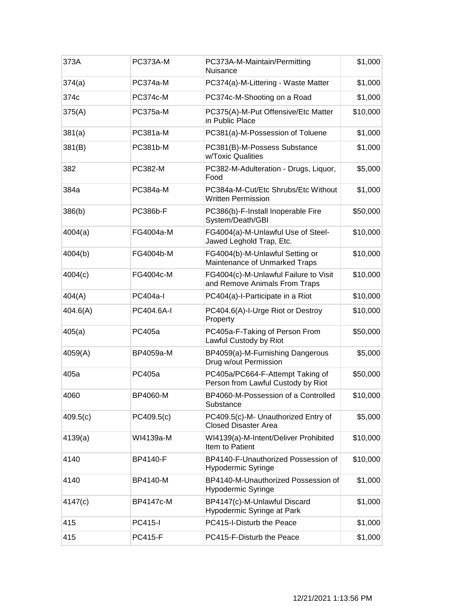| 373A     | <b>PC373A-M</b> | PC373A-M-Maintain/Permitting<br>Nuisance                               | \$1,000  |
|----------|-----------------|------------------------------------------------------------------------|----------|
| 374(a)   | <b>PC374a-M</b> | PC374(a)-M-Littering - Waste Matter                                    | \$1,000  |
| 374c     | <b>PC374c-M</b> | PC374c-M-Shooting on a Road                                            | \$1,000  |
| 375(A)   | <b>PC375a-M</b> | PC375(A)-M-Put Offensive/Etc Matter<br>in Public Place                 | \$10,000 |
| 381(a)   | PC381a-M        | PC381(a)-M-Possession of Toluene                                       | \$1,000  |
| 381(B)   | PC381b-M        | PC381(B)-M-Possess Substance<br>w/Toxic Qualities                      | \$1,000  |
| 382      | PC382-M         | PC382-M-Adulteration - Drugs, Liquor,<br>Food                          | \$5,000  |
| 384a     | <b>PC384a-M</b> | PC384a-M-Cut/Etc Shrubs/Etc Without<br><b>Written Permission</b>       | \$1,000  |
| 386(b)   | <b>PC386b-F</b> | PC386(b)-F-Install Inoperable Fire<br>System/Death/GBI                 | \$50,000 |
| 4004(a)  | FG4004a-M       | FG4004(a)-M-Unlawful Use of Steel-<br>Jawed Leghold Trap, Etc.         | \$10,000 |
| 4004(b)  | FG4004b-M       | FG4004(b)-M-Unlawful Setting or<br>Maintenance of Unmarked Traps       | \$10,000 |
| 4004(c)  | FG4004c-M       | FG4004(c)-M-Unlawful Failure to Visit<br>and Remove Animals From Traps | \$10,000 |
| 404(A)   | <b>PC404a-I</b> | PC404(a)-I-Participate in a Riot                                       | \$10,000 |
| 404.6(A) | PC404.6A-I      | PC404.6(A)-I-Urge Riot or Destroy<br>Property                          | \$10,000 |
| 405(a)   | PC405a          | PC405a-F-Taking of Person From<br>Lawful Custody by Riot               | \$50,000 |
| 4059(A)  | BP4059a-M       | BP4059(a)-M-Furnishing Dangerous<br>Drug w/out Permission              | \$5,000  |
| 405a     | PC405a          | PC405a/PC664-F-Attempt Taking of<br>Person from Lawful Custody by Riot | \$50,000 |
| 4060     | BP4060-M        | BP4060-M-Possession of a Controlled<br>Substance                       | \$10,000 |
| 409.5(c) | PC409.5(c)      | PC409.5(c)-M- Unauthorized Entry of<br><b>Closed Disaster Area</b>     | \$5,000  |
| 4139(a)  | WI4139a-M       | WI4139(a)-M-Intent/Deliver Prohibited<br>Item to Patient               | \$10,000 |
| 4140     | BP4140-F        | BP4140-F-Unauthorized Possession of<br>Hypodermic Syringe              | \$10,000 |
| 4140     | BP4140-M        | BP4140-M-Unauthorized Possession of<br><b>Hypodermic Syringe</b>       | \$1,000  |
| 4147(c)  | BP4147c-M       | BP4147(c)-M-Unlawful Discard<br>Hypodermic Syringe at Park             | \$1,000  |
| 415      | <b>PC415-I</b>  | PC415-I-Disturb the Peace                                              | \$1,000  |
| 415      | <b>PC415-F</b>  | PC415-F-Disturb the Peace                                              | \$1,000  |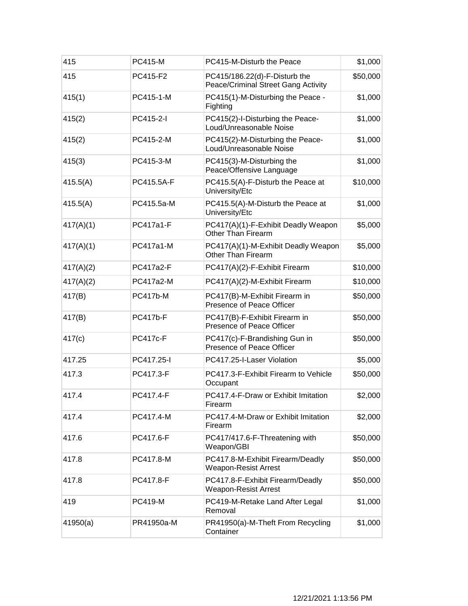| 415       | <b>PC415-M</b>  | PC415-M-Disturb the Peace                                            | \$1,000  |
|-----------|-----------------|----------------------------------------------------------------------|----------|
| 415       | PC415-F2        | PC415/186.22(d)-F-Disturb the<br>Peace/Criminal Street Gang Activity | \$50,000 |
| 415(1)    | PC415-1-M       | PC415(1)-M-Disturbing the Peace -<br>Fighting                        | \$1,000  |
| 415(2)    | PC415-2-I       | PC415(2)-I-Disturbing the Peace-<br>Loud/Unreasonable Noise          | \$1,000  |
| 415(2)    | PC415-2-M       | PC415(2)-M-Disturbing the Peace-<br>Loud/Unreasonable Noise          | \$1,000  |
| 415(3)    | PC415-3-M       | PC415(3)-M-Disturbing the<br>Peace/Offensive Language                | \$1,000  |
| 415.5(A)  | PC415.5A-F      | PC415.5(A)-F-Disturb the Peace at<br>University/Etc                  | \$10,000 |
| 415.5(A)  | PC415.5a-M      | PC415.5(A)-M-Disturb the Peace at<br>University/Etc                  | \$1,000  |
| 417(A)(1) | PC417a1-F       | PC417(A)(1)-F-Exhibit Deadly Weapon<br>Other Than Firearm            | \$5,000  |
| 417(A)(1) | PC417a1-M       | PC417(A)(1)-M-Exhibit Deadly Weapon<br>Other Than Firearm            | \$5,000  |
| 417(A)(2) | PC417a2-F       | PC417(A)(2)-F-Exhibit Firearm                                        | \$10,000 |
| 417(A)(2) | PC417a2-M       | PC417(A)(2)-M-Exhibit Firearm                                        | \$10,000 |
| 417(B)    | <b>PC417b-M</b> | PC417(B)-M-Exhibit Firearm in<br>Presence of Peace Officer           | \$50,000 |
| 417(B)    | <b>PC417b-F</b> | PC417(B)-F-Exhibit Firearm in<br>Presence of Peace Officer           | \$50,000 |
| 417(c)    | <b>PC417c-F</b> | PC417(c)-F-Brandishing Gun in<br>Presence of Peace Officer           | \$50,000 |
| 417.25    | PC417.25-I      | PC417.25-I-Laser Violation                                           | \$5,000  |
| 417.3     | PC417.3-F       | PC417.3-F-Exhibit Firearm to Vehicle<br>Occupant                     | \$50,000 |
| 417.4     | PC417.4-F       | PC417.4-F-Draw or Exhibit Imitation<br>Firearm                       | \$2,000  |
| 417.4     | PC417.4-M       | PC417.4-M-Draw or Exhibit Imitation<br>Firearm                       | \$2,000  |
| 417.6     | PC417.6-F       | PC417/417.6-F-Threatening with<br>Weapon/GBI                         | \$50,000 |
| 417.8     | PC417.8-M       | PC417.8-M-Exhibit Firearm/Deadly<br><b>Weapon-Resist Arrest</b>      | \$50,000 |
| 417.8     | PC417.8-F       | PC417.8-F-Exhibit Firearm/Deadly<br><b>Weapon-Resist Arrest</b>      | \$50,000 |
| 419       | <b>PC419-M</b>  | PC419-M-Retake Land After Legal<br>Removal                           | \$1,000  |
| 41950(a)  | PR41950a-M      | PR41950(a)-M-Theft From Recycling<br>Container                       | \$1,000  |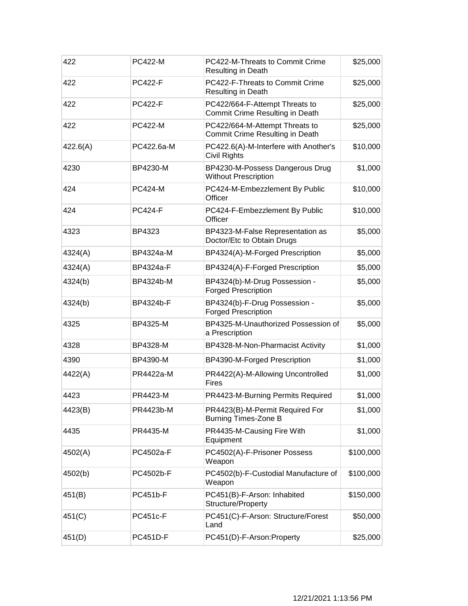| 422      | <b>PC422-M</b>  | PC422-M-Threats to Commit Crime<br>Resulting in Death             | \$25,000  |
|----------|-----------------|-------------------------------------------------------------------|-----------|
| 422      | <b>PC422-F</b>  | PC422-F-Threats to Commit Crime<br>Resulting in Death             | \$25,000  |
| 422      | <b>PC422-F</b>  | PC422/664-F-Attempt Threats to<br>Commit Crime Resulting in Death | \$25,000  |
| 422      | <b>PC422-M</b>  | PC422/664-M-Attempt Threats to<br>Commit Crime Resulting in Death | \$25,000  |
| 422.6(A) | PC422.6a-M      | PC422.6(A)-M-Interfere with Another's<br>Civil Rights             | \$10,000  |
| 4230     | BP4230-M        | BP4230-M-Possess Dangerous Drug<br><b>Without Prescription</b>    | \$1,000   |
| 424      | <b>PC424-M</b>  | PC424-M-Embezzlement By Public<br>Officer                         | \$10,000  |
| 424      | <b>PC424-F</b>  | PC424-F-Embezzlement By Public<br>Officer                         | \$10,000  |
| 4323     | BP4323          | BP4323-M-False Representation as<br>Doctor/Etc to Obtain Drugs    | \$5,000   |
| 4324(A)  | BP4324a-M       | BP4324(A)-M-Forged Prescription                                   | \$5,000   |
| 4324(A)  | BP4324a-F       | BP4324(A)-F-Forged Prescription                                   | \$5,000   |
| 4324(b)  | BP4324b-M       | BP4324(b)-M-Drug Possession -<br><b>Forged Prescription</b>       | \$5,000   |
| 4324(b)  | BP4324b-F       | BP4324(b)-F-Drug Possession -<br><b>Forged Prescription</b>       | \$5,000   |
| 4325     | BP4325-M        | BP4325-M-Unauthorized Possession of<br>a Prescription             | \$5,000   |
| 4328     | BP4328-M        | BP4328-M-Non-Pharmacist Activity                                  | \$1,000   |
| 4390     | BP4390-M        | BP4390-M-Forged Prescription                                      | \$1,000   |
| 4422(A)  | PR4422a-M       | PR4422(A)-M-Allowing Uncontrolled<br>Fires                        | \$1,000   |
| 4423     | PR4423-M        | PR4423-M-Burning Permits Required                                 | \$1,000   |
| 4423(B)  | PR4423b-M       | PR4423(B)-M-Permit Required For<br><b>Burning Times-Zone B</b>    | \$1,000   |
| 4435     | PR4435-M        | PR4435-M-Causing Fire With<br>Equipment                           | \$1,000   |
| 4502(A)  | PC4502a-F       | PC4502(A)-F-Prisoner Possess<br>Weapon                            | \$100,000 |
| 4502(b)  | PC4502b-F       | PC4502(b)-F-Custodial Manufacture of<br>Weapon                    | \$100,000 |
| 451(B)   | <b>PC451b-F</b> | PC451(B)-F-Arson: Inhabited<br>Structure/Property                 | \$150,000 |
| 451(C)   | <b>PC451c-F</b> | PC451(C)-F-Arson: Structure/Forest<br>Land                        | \$50,000  |
| 451(D)   | <b>PC451D-F</b> | PC451(D)-F-Arson:Property                                         | \$25,000  |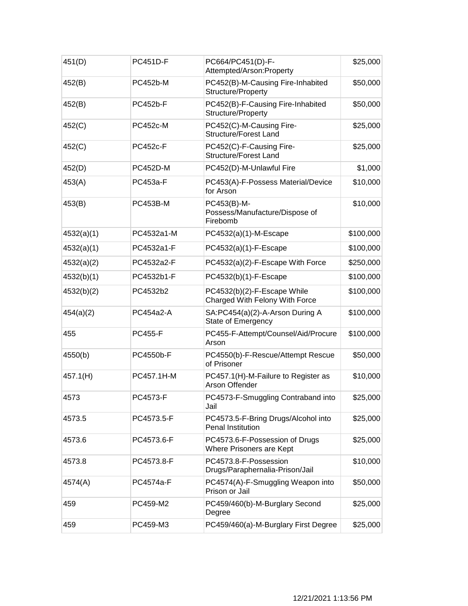| 451(D)     | <b>PC451D-F</b> | PC664/PC451(D)-F-<br>Attempted/Arson:Property                 | \$25,000  |
|------------|-----------------|---------------------------------------------------------------|-----------|
| 452(B)     | <b>PC452b-M</b> | PC452(B)-M-Causing Fire-Inhabited<br>Structure/Property       | \$50,000  |
| 452(B)     | <b>PC452b-F</b> | PC452(B)-F-Causing Fire-Inhabited<br>Structure/Property       | \$50,000  |
| 452(C)     | <b>PC452c-M</b> | PC452(C)-M-Causing Fire-<br><b>Structure/Forest Land</b>      | \$25,000  |
| 452(C)     | <b>PC452c-F</b> | PC452(C)-F-Causing Fire-<br><b>Structure/Forest Land</b>      | \$25,000  |
| 452(D)     | <b>PC452D-M</b> | PC452(D)-M-Unlawful Fire                                      | \$1,000   |
| 453(A)     | PC453a-F        | PC453(A)-F-Possess Material/Device<br>for Arson               | \$10,000  |
| 453(B)     | <b>PC453B-M</b> | PC453(B)-M-<br>Possess/Manufacture/Dispose of<br>Firebomb     | \$10,000  |
| 4532(a)(1) | PC4532a1-M      | PC4532(a)(1)-M-Escape                                         | \$100,000 |
| 4532(a)(1) | PC4532a1-F      | PC4532(a)(1)-F-Escape                                         | \$100,000 |
| 4532(a)(2) | PC4532a2-F      | PC4532(a)(2)-F-Escape With Force                              | \$250,000 |
| 4532(b)(1) | PC4532b1-F      | PC4532(b)(1)-F-Escape                                         | \$100,000 |
| 4532(b)(2) | PC4532b2        | PC4532(b)(2)-F-Escape While<br>Charged With Felony With Force | \$100,000 |
| 454(a)(2)  | PC454a2-A       | SA:PC454(a)(2)-A-Arson During A<br>State of Emergency         | \$100,000 |
| 455        | <b>PC455-F</b>  | PC455-F-Attempt/Counsel/Aid/Procure<br>Arson                  | \$100,000 |
| 4550(b)    | PC4550b-F       | PC4550(b)-F-Rescue/Attempt Rescue<br>of Prisoner              | \$50,000  |
| 457.1(H)   | PC457.1H-M      | PC457.1(H)-M-Failure to Register as<br>Arson Offender         | \$10,000  |
| 4573       | PC4573-F        | PC4573-F-Smuggling Contraband into<br>Jail                    | \$25,000  |
| 4573.5     | PC4573.5-F      | PC4573.5-F-Bring Drugs/Alcohol into<br>Penal Institution      | \$25,000  |
| 4573.6     | PC4573.6-F      | PC4573.6-F-Possession of Drugs<br>Where Prisoners are Kept    | \$25,000  |
| 4573.8     | PC4573.8-F      | PC4573.8-F-Possession<br>Drugs/Paraphernalia-Prison/Jail      | \$10,000  |
| 4574(A)    | PC4574a-F       | PC4574(A)-F-Smuggling Weapon into<br>Prison or Jail           | \$50,000  |
| 459        | PC459-M2        | PC459/460(b)-M-Burglary Second<br>Degree                      | \$25,000  |
| 459        | PC459-M3        | PC459/460(a)-M-Burglary First Degree                          | \$25,000  |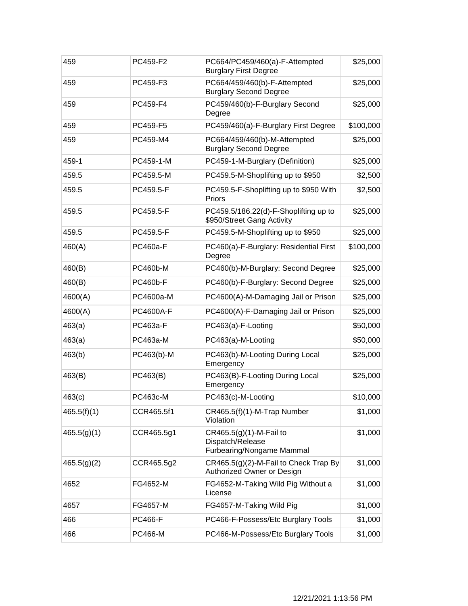| 459         | PC459-F2        | PC664/PC459/460(a)-F-Attempted<br><b>Burglary First Degree</b>           | \$25,000  |
|-------------|-----------------|--------------------------------------------------------------------------|-----------|
| 459         | PC459-F3        | PC664/459/460(b)-F-Attempted<br><b>Burglary Second Degree</b>            | \$25,000  |
| 459         | PC459-F4        | PC459/460(b)-F-Burglary Second<br>Degree                                 | \$25,000  |
| 459         | PC459-F5        | PC459/460(a)-F-Burglary First Degree                                     | \$100,000 |
| 459         | PC459-M4        | PC664/459/460(b)-M-Attempted<br><b>Burglary Second Degree</b>            | \$25,000  |
| 459-1       | PC459-1-M       | PC459-1-M-Burglary (Definition)                                          | \$25,000  |
| 459.5       | PC459.5-M       | PC459.5-M-Shoplifting up to \$950                                        | \$2,500   |
| 459.5       | PC459.5-F       | PC459.5-F-Shoplifting up to \$950 With<br>Priors                         | \$2,500   |
| 459.5       | PC459.5-F       | PC459.5/186.22(d)-F-Shoplifting up to<br>\$950/Street Gang Activity      | \$25,000  |
| 459.5       | PC459.5-F       | PC459.5-M-Shoplifting up to \$950                                        | \$25,000  |
| 460(A)      | <b>PC460a-F</b> | PC460(a)-F-Burglary: Residential First<br>Degree                         | \$100,000 |
| 460(B)      | <b>PC460b-M</b> | PC460(b)-M-Burglary: Second Degree                                       | \$25,000  |
| 460(B)      | <b>PC460b-F</b> | PC460(b)-F-Burglary: Second Degree                                       | \$25,000  |
| 4600(A)     | PC4600a-M       | PC4600(A)-M-Damaging Jail or Prison                                      | \$25,000  |
| 4600(A)     | PC4600A-F       | PC4600(A)-F-Damaging Jail or Prison                                      | \$25,000  |
| 463(a)      | PC463a-F        | PC463(a)-F-Looting                                                       | \$50,000  |
| 463(a)      | PC463a-M        | PC463(a)-M-Looting                                                       | \$50,000  |
| 463(b)      | PC463(b)-M      | PC463(b)-M-Looting During Local<br>Emergency                             | \$25,000  |
| 463(B)      | PC463(B)        | PC463(B)-F-Looting During Local<br>Emergency                             | \$25,000  |
| 463(c)      | PC463c-M        | PC463(c)-M-Looting                                                       | \$10,000  |
| 465.5(f)(1) | CCR465.5f1      | CR465.5(f)(1)-M-Trap Number<br>Violation                                 | \$1,000   |
| 465.5(g)(1) | CCR465.5g1      | CR465.5(g)(1)-M-Fail to<br>Dispatch/Release<br>Furbearing/Nongame Mammal | \$1,000   |
| 465.5(g)(2) | CCR465.5g2      | CR465.5(g)(2)-M-Fail to Check Trap By<br>Authorized Owner or Design      | \$1,000   |
| 4652        | FG4652-M        | FG4652-M-Taking Wild Pig Without a<br>License                            | \$1,000   |
| 4657        | FG4657-M        | FG4657-M-Taking Wild Pig                                                 | \$1,000   |
| 466         | <b>PC466-F</b>  | PC466-F-Possess/Etc Burglary Tools                                       | \$1,000   |
| 466         | PC466-M         | PC466-M-Possess/Etc Burglary Tools                                       | \$1,000   |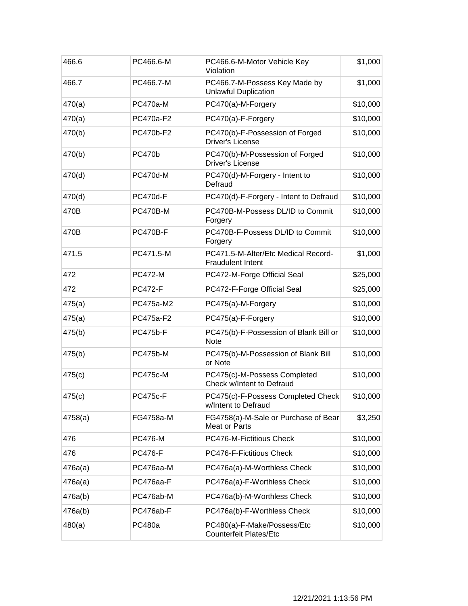| 466.6   | PC466.6-M       | PC466.6-M-Motor Vehicle Key<br>Violation                        | \$1,000  |
|---------|-----------------|-----------------------------------------------------------------|----------|
| 466.7   | PC466.7-M       | PC466.7-M-Possess Key Made by<br><b>Unlawful Duplication</b>    | \$1,000  |
| 470(a)  | PC470a-M        | PC470(a)-M-Forgery                                              | \$10,000 |
| 470(a)  | PC470a-F2       | PC470(a)-F-Forgery                                              | \$10,000 |
| 470(b)  | PC470b-F2       | PC470(b)-F-Possession of Forged<br><b>Driver's License</b>      | \$10,000 |
| 470(b)  | <b>PC470b</b>   | PC470(b)-M-Possession of Forged<br><b>Driver's License</b>      | \$10,000 |
| 470(d)  | <b>PC470d-M</b> | PC470(d)-M-Forgery - Intent to<br>Defraud                       | \$10,000 |
| 470(d)  | <b>PC470d-F</b> | PC470(d)-F-Forgery - Intent to Defraud                          | \$10,000 |
| 470B    | <b>PC470B-M</b> | PC470B-M-Possess DL/ID to Commit<br>Forgery                     | \$10,000 |
| 470B    | <b>PC470B-F</b> | PC470B-F-Possess DL/ID to Commit<br>Forgery                     | \$10,000 |
| 471.5   | PC471.5-M       | PC471.5-M-Alter/Etc Medical Record-<br><b>Fraudulent Intent</b> | \$1,000  |
| 472     | <b>PC472-M</b>  | PC472-M-Forge Official Seal                                     | \$25,000 |
| 472     | <b>PC472-F</b>  | PC472-F-Forge Official Seal                                     | \$25,000 |
| 475(a)  | PC475a-M2       | PC475(a)-M-Forgery                                              | \$10,000 |
| 475(a)  | PC475a-F2       | PC475(a)-F-Forgery                                              | \$10,000 |
| 475(b)  | <b>PC475b-F</b> | PC475(b)-F-Possession of Blank Bill or<br><b>Note</b>           | \$10,000 |
| 475(b)  | <b>PC475b-M</b> | PC475(b)-M-Possession of Blank Bill<br>or Note                  | \$10,000 |
| 475(c)  | <b>PC475c-M</b> | PC475(c)-M-Possess Completed<br>Check w/Intent to Defraud       | \$10,000 |
| 475(c)  | <b>PC475c-F</b> | PC475(c)-F-Possess Completed Check<br>w/Intent to Defraud       | \$10,000 |
| 4758(a) | FG4758a-M       | FG4758(a)-M-Sale or Purchase of Bear<br><b>Meat or Parts</b>    | \$3,250  |
| 476     | <b>PC476-M</b>  | PC476-M-Fictitious Check                                        | \$10,000 |
| 476     | <b>PC476-F</b>  | PC476-F-Fictitious Check                                        | \$10,000 |
| 476a(a) | PC476aa-M       | PC476a(a)-M-Worthless Check                                     | \$10,000 |
| 476a(a) | PC476aa-F       | PC476a(a)-F-Worthless Check                                     | \$10,000 |
| 476a(b) | PC476ab-M       | PC476a(b)-M-Worthless Check                                     | \$10,000 |
| 476a(b) | PC476ab-F       | PC476a(b)-F-Worthless Check                                     | \$10,000 |
| 480(a)  | PC480a          | PC480(a)-F-Make/Possess/Etc<br><b>Counterfeit Plates/Etc</b>    | \$10,000 |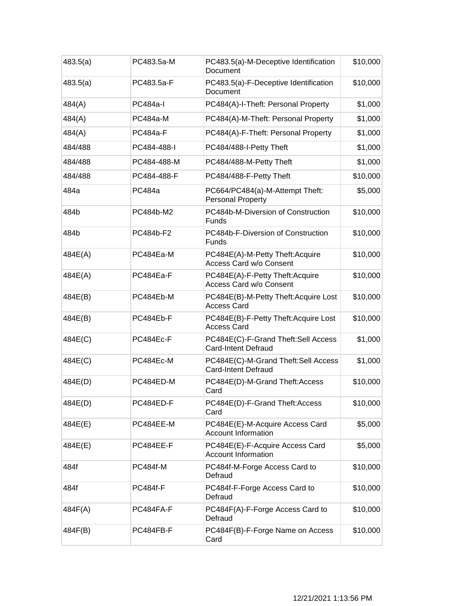| 483.5(a) | PC483.5a-M      | PC483.5(a)-M-Deceptive Identification<br>Document                  | \$10,000 |
|----------|-----------------|--------------------------------------------------------------------|----------|
| 483.5(a) | PC483.5a-F      | PC483.5(a)-F-Deceptive Identification<br>Document                  | \$10,000 |
| 484(A)   | <b>PC484a-I</b> | PC484(A)-I-Theft: Personal Property                                | \$1,000  |
| 484(A)   | <b>PC484a-M</b> | PC484(A)-M-Theft: Personal Property                                | \$1,000  |
| 484(A)   | <b>PC484a-F</b> | PC484(A)-F-Theft: Personal Property                                | \$1,000  |
| 484/488  | PC484-488-I     | PC484/488-I-Petty Theft                                            | \$1,000  |
| 484/488  | PC484-488-M     | PC484/488-M-Petty Theft                                            | \$1,000  |
| 484/488  | PC484-488-F     | PC484/488-F-Petty Theft                                            | \$10,000 |
| 484a     | PC484a          | PC664/PC484(a)-M-Attempt Theft:<br><b>Personal Property</b>        | \$5,000  |
| 484b     | PC484b-M2       | PC484b-M-Diversion of Construction<br>Funds                        | \$10,000 |
| 484b     | PC484b-F2       | PC484b-F-Diversion of Construction<br><b>Funds</b>                 | \$10,000 |
| 484E(A)  | PC484Ea-M       | PC484E(A)-M-Petty Theft: Acquire<br><b>Access Card w/o Consent</b> | \$10,000 |
| 484E(A)  | PC484Ea-F       | PC484E(A)-F-Petty Theft:Acquire<br><b>Access Card w/o Consent</b>  | \$10,000 |
| 484E(B)  | PC484Eb-M       | PC484E(B)-M-Petty Theft: Acquire Lost<br><b>Access Card</b>        | \$10,000 |
| 484E(B)  | PC484Eb-F       | PC484E(B)-F-Petty Theft: Acquire Lost<br><b>Access Card</b>        | \$10,000 |
| 484E(C)  | PC484Ec-F       | PC484E(C)-F-Grand Theft:Sell Access<br><b>Card-Intent Defraud</b>  | \$1,000  |
| 484E(C)  | PC484Ec-M       | PC484E(C)-M-Grand Theft:Sell Access<br><b>Card-Intent Defraud</b>  | \$1,000  |
| 484E(D)  | PC484ED-M       | PC484E(D)-M-Grand Theft:Access<br>Card                             | \$10,000 |
| 484E(D)  | PC484ED-F       | PC484E(D)-F-Grand Theft:Access<br>Card                             | \$10,000 |
| 484E(E)  | PC484EE-M       | PC484E(E)-M-Acquire Access Card<br><b>Account Information</b>      | \$5,000  |
| 484E(E)  | PC484EE-F       | PC484E(E)-F-Acquire Access Card<br><b>Account Information</b>      | \$5,000  |
| 484f     | PC484f-M        | PC484f-M-Forge Access Card to<br>Defraud                           | \$10,000 |
| 484f     | <b>PC484f-F</b> | PC484f-F-Forge Access Card to<br>Defraud                           | \$10,000 |
| 484F(A)  | PC484FA-F       | PC484F(A)-F-Forge Access Card to<br>Defraud                        | \$10,000 |
| 484F(B)  | PC484FB-F       | PC484F(B)-F-Forge Name on Access<br>Card                           | \$10,000 |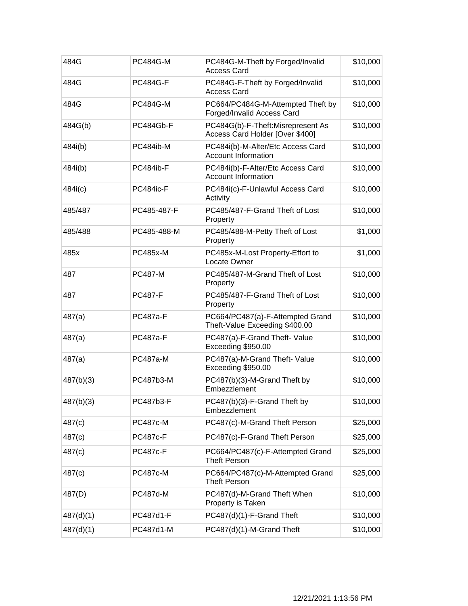| 484G      | <b>PC484G-M</b> | PC484G-M-Theft by Forged/Invalid<br><b>Access Card</b>               | \$10,000 |
|-----------|-----------------|----------------------------------------------------------------------|----------|
| 484G      | <b>PC484G-F</b> | PC484G-F-Theft by Forged/Invalid<br><b>Access Card</b>               | \$10,000 |
| 484G      | <b>PC484G-M</b> | PC664/PC484G-M-Attempted Theft by<br>Forged/Invalid Access Card      | \$10,000 |
| 484G(b)   | PC484Gb-F       | PC484G(b)-F-Theft:Misrepresent As<br>Access Card Holder [Over \$400] | \$10,000 |
| 484i(b)   | PC484ib-M       | PC484i(b)-M-Alter/Etc Access Card<br><b>Account Information</b>      | \$10,000 |
| 484i(b)   | PC484ib-F       | PC484i(b)-F-Alter/Etc Access Card<br><b>Account Information</b>      | \$10,000 |
| 484i(c)   | PC484ic-F       | PC484i(c)-F-Unlawful Access Card<br>Activity                         | \$10,000 |
| 485/487   | PC485-487-F     | PC485/487-F-Grand Theft of Lost<br>Property                          | \$10,000 |
| 485/488   | PC485-488-M     | PC485/488-M-Petty Theft of Lost<br>Property                          | \$1,000  |
| 485x      | <b>PC485x-M</b> | PC485x-M-Lost Property-Effort to<br>Locate Owner                     | \$1,000  |
| 487       | <b>PC487-M</b>  | PC485/487-M-Grand Theft of Lost<br>Property                          | \$10,000 |
| 487       | <b>PC487-F</b>  | PC485/487-F-Grand Theft of Lost<br>Property                          | \$10,000 |
| 487(a)    | <b>PC487a-F</b> | PC664/PC487(a)-F-Attempted Grand<br>Theft-Value Exceeding \$400.00   | \$10,000 |
| 487(a)    | <b>PC487a-F</b> | PC487(a)-F-Grand Theft- Value<br>Exceeding \$950.00                  | \$10,000 |
| 487(a)    | <b>PC487a-M</b> | PC487(a)-M-Grand Theft- Value<br>Exceeding \$950.00                  | \$10,000 |
| 487(b)(3) | PC487b3-M       | PC487(b)(3)-M-Grand Theft by<br>Embezzlement                         | \$10,000 |
| 487(b)(3) | PC487b3-F       | PC487(b)(3)-F-Grand Theft by<br>Embezzlement                         | \$10,000 |
| 487(c)    | <b>PC487c-M</b> | PC487(c)-M-Grand Theft Person                                        | \$25,000 |
| 487(c)    | <b>PC487c-F</b> | PC487(c)-F-Grand Theft Person                                        | \$25,000 |
| 487(c)    | <b>PC487c-F</b> | PC664/PC487(c)-F-Attempted Grand<br><b>Theft Person</b>              | \$25,000 |
| 487(c)    | <b>PC487c-M</b> | PC664/PC487(c)-M-Attempted Grand<br><b>Theft Person</b>              | \$25,000 |
| 487(D)    | <b>PC487d-M</b> | PC487(d)-M-Grand Theft When<br>Property is Taken                     | \$10,000 |
| 487(d)(1) | PC487d1-F       | PC487(d)(1)-F-Grand Theft                                            | \$10,000 |
| 487(d)(1) | PC487d1-M       | PC487(d)(1)-M-Grand Theft                                            | \$10,000 |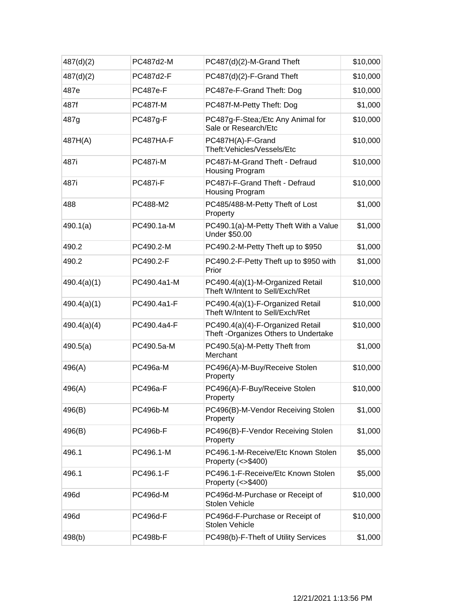| 487(d)(2)   | PC487d2-M       | PC487(d)(2)-M-Grand Theft                                                 | \$10,000 |
|-------------|-----------------|---------------------------------------------------------------------------|----------|
| 487(d)(2)   | PC487d2-F       | PC487(d)(2)-F-Grand Theft                                                 | \$10,000 |
| 487e        | <b>PC487e-F</b> | PC487e-F-Grand Theft: Dog                                                 | \$10,000 |
| 487f        | <b>PC487f-M</b> | PC487f-M-Petty Theft: Dog                                                 | \$1,000  |
| 487g        | <b>PC487g-F</b> | PC487g-F-Stea;/Etc Any Animal for<br>Sale or Research/Etc                 | \$10,000 |
| 487H(A)     | PC487HA-F       | PC487H(A)-F-Grand<br>Theft: Vehicles/Vessels/Etc                          | \$10,000 |
| 487i        | <b>PC487i-M</b> | PC487i-M-Grand Theft - Defraud<br>Housing Program                         | \$10,000 |
| 487i        | <b>PC487i-F</b> | PC487i-F-Grand Theft - Defraud<br>Housing Program                         | \$10,000 |
| 488         | PC488-M2        | PC485/488-M-Petty Theft of Lost<br>Property                               | \$1,000  |
| 490.1(a)    | PC490.1a-M      | PC490.1(a)-M-Petty Theft With a Value<br>Under \$50.00                    | \$1,000  |
| 490.2       | PC490.2-M       | PC490.2-M-Petty Theft up to \$950                                         | \$1,000  |
| 490.2       | PC490.2-F       | PC490.2-F-Petty Theft up to \$950 with<br>Prior                           | \$1,000  |
| 490.4(a)(1) | PC490.4a1-M     | PC490.4(a)(1)-M-Organized Retail<br>Theft W/Intent to Sell/Exch/Ret       | \$10,000 |
| 490.4(a)(1) | PC490.4a1-F     | PC490.4(a)(1)-F-Organized Retail<br>Theft W/Intent to Sell/Exch/Ret       | \$10,000 |
| 490.4(a)(4) | PC490.4a4-F     | PC490.4(a)(4)-F-Organized Retail<br>Theft - Organizes Others to Undertake | \$10,000 |
| 490.5(a)    | PC490.5a-M      | PC490.5(a)-M-Petty Theft from<br>Merchant                                 | \$1,000  |
| 496(A)      | PC496a-M        | PC496(A)-M-Buy/Receive Stolen<br>Property                                 | \$10,000 |
| 496(A)      | PC496a-F        | PC496(A)-F-Buy/Receive Stolen<br>Property                                 | \$10,000 |
| 496(B)      | <b>PC496b-M</b> | PC496(B)-M-Vendor Receiving Stolen<br>Property                            | \$1,000  |
| 496(B)      | <b>PC496b-F</b> | PC496(B)-F-Vendor Receiving Stolen<br>Property                            | \$1,000  |
| 496.1       | PC496.1-M       | PC496.1-M-Receive/Etc Known Stolen<br>Property $(\leq$ \$400)             | \$5,000  |
| 496.1       | PC496.1-F       | PC496.1-F-Receive/Etc Known Stolen<br>Property $(\leq$ \$400)             | \$5,000  |
| 496d        | <b>PC496d-M</b> | PC496d-M-Purchase or Receipt of<br>Stolen Vehicle                         | \$10,000 |
| 496d        | <b>PC496d-F</b> | PC496d-F-Purchase or Receipt of<br>Stolen Vehicle                         | \$10,000 |
| 498(b)      | <b>PC498b-F</b> | PC498(b)-F-Theft of Utility Services                                      | \$1,000  |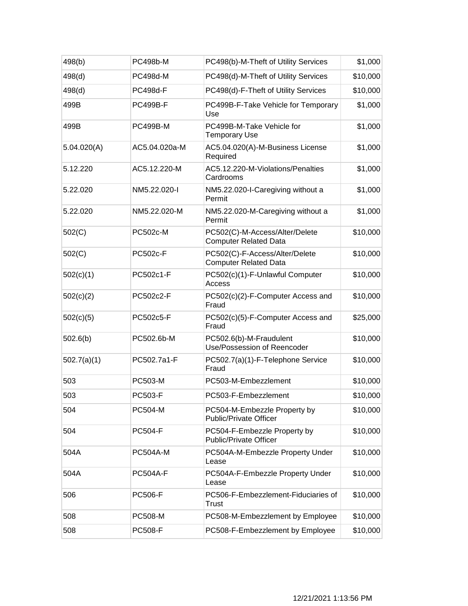| 498(b)      | <b>PC498b-M</b> | PC498(b)-M-Theft of Utility Services                           | \$1,000  |
|-------------|-----------------|----------------------------------------------------------------|----------|
| 498(d)      | PC498d-M        | PC498(d)-M-Theft of Utility Services                           | \$10,000 |
| 498(d)      | <b>PC498d-F</b> | PC498(d)-F-Theft of Utility Services                           | \$10,000 |
| 499B        | <b>PC499B-F</b> | PC499B-F-Take Vehicle for Temporary<br>Use                     | \$1,000  |
| 499B        | <b>PC499B-M</b> | PC499B-M-Take Vehicle for<br><b>Temporary Use</b>              | \$1,000  |
| 5.04.020(A) | AC5.04.020a-M   | AC5.04.020(A)-M-Business License<br>Required                   | \$1,000  |
| 5.12.220    | AC5.12.220-M    | AC5.12.220-M-Violations/Penalties<br>Cardrooms                 | \$1,000  |
| 5.22.020    | NM5.22.020-I    | NM5.22.020-I-Caregiving without a<br>Permit                    | \$1,000  |
| 5.22.020    | NM5.22.020-M    | NM5.22.020-M-Caregiving without a<br>Permit                    | \$1,000  |
| 502(C)      | PC502c-M        | PC502(C)-M-Access/Alter/Delete<br><b>Computer Related Data</b> | \$10,000 |
| 502(C)      | <b>PC502c-F</b> | PC502(C)-F-Access/Alter/Delete<br><b>Computer Related Data</b> | \$10,000 |
| 502(c)(1)   | PC502c1-F       | PC502(c)(1)-F-Unlawful Computer<br>Access                      | \$10,000 |
| 502(c)(2)   | PC502c2-F       | PC502(c)(2)-F-Computer Access and<br>Fraud                     | \$10,000 |
| 502(c)(5)   | PC502c5-F       | PC502(c)(5)-F-Computer Access and<br>Fraud                     | \$25,000 |
| 502.6(b)    | PC502.6b-M      | PC502.6(b)-M-Fraudulent<br>Use/Possession of Reencoder         | \$10,000 |
| 502.7(a)(1) | PC502.7a1-F     | PC502.7(a)(1)-F-Telephone Service<br>Fraud                     | \$10,000 |
| 503         | PC503-M         | PC503-M-Embezzlement                                           | \$10,000 |
| 503         | <b>PC503-F</b>  | PC503-F-Embezzlement                                           | \$10,000 |
| 504         | <b>PC504-M</b>  | PC504-M-Embezzle Property by<br><b>Public/Private Officer</b>  | \$10,000 |
| 504         | <b>PC504-F</b>  | PC504-F-Embezzle Property by<br><b>Public/Private Officer</b>  | \$10,000 |
| 504A        | <b>PC504A-M</b> | PC504A-M-Embezzle Property Under<br>Lease                      | \$10,000 |
| 504A        | <b>PC504A-F</b> | PC504A-F-Embezzle Property Under<br>Lease                      | \$10,000 |
| 506         | <b>PC506-F</b>  | PC506-F-Embezzlement-Fiduciaries of<br>Trust                   | \$10,000 |
| 508         | PC508-M         | PC508-M-Embezzlement by Employee                               | \$10,000 |
| 508         | <b>PC508-F</b>  | PC508-F-Embezzlement by Employee                               | \$10,000 |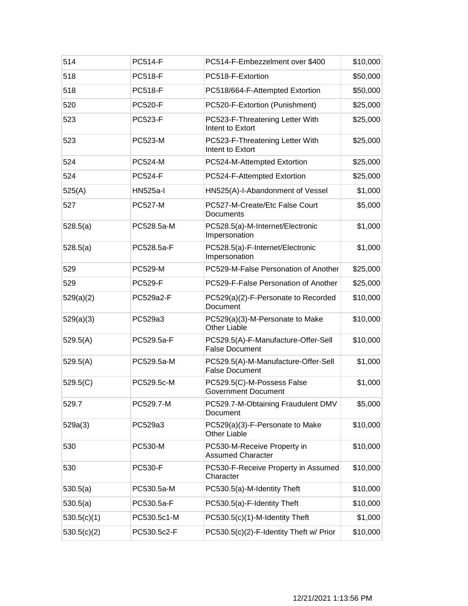| 514         | <b>PC514-F</b>  | PC514-F-Embezzelment over \$400                              | \$10,000 |
|-------------|-----------------|--------------------------------------------------------------|----------|
| 518         | <b>PC518-F</b>  | PC518-F-Extortion                                            | \$50,000 |
| 518         | <b>PC518-F</b>  | PC518/664-F-Attempted Extortion                              | \$50,000 |
| 520         | <b>PC520-F</b>  | PC520-F-Extortion (Punishment)                               | \$25,000 |
| 523         | PC523-F         | PC523-F-Threatening Letter With<br>Intent to Extort          | \$25,000 |
| 523         | PC523-M         | PC523-F-Threatening Letter With<br>Intent to Extort          | \$25,000 |
| 524         | <b>PC524-M</b>  | PC524-M-Attempted Extortion                                  | \$25,000 |
| 524         | <b>PC524-F</b>  | PC524-F-Attempted Extortion                                  | \$25,000 |
| 525(A)      | <b>HN525a-I</b> | HN525(A)-I-Abandonment of Vessel                             | \$1,000  |
| 527         | <b>PC527-M</b>  | PC527-M-Create/Etc False Court<br>Documents                  | \$5,000  |
| 528.5(a)    | PC528.5a-M      | PC528.5(a)-M-Internet/Electronic<br>Impersonation            | \$1,000  |
| 528.5(a)    | PC528.5a-F      | PC528.5(a)-F-Internet/Electronic<br>Impersonation            | \$1,000  |
| 529         | <b>PC529-M</b>  | PC529-M-False Personation of Another                         | \$25,000 |
| 529         | <b>PC529-F</b>  | PC529-F-False Personation of Another                         | \$25,000 |
| 529(a)(2)   | PC529a2-F       | PC529(a)(2)-F-Personate to Recorded<br>Document              | \$10,000 |
| 529(a)(3)   | PC529a3         | PC529(a)(3)-M-Personate to Make<br><b>Other Liable</b>       | \$10,000 |
| 529.5(A)    | PC529.5a-F      | PC529.5(A)-F-Manufacture-Offer-Sell<br><b>False Document</b> | \$10,000 |
| 529.5(A)    | PC529.5a-M      | PC529.5(A)-M-Manufacture-Offer-Sell<br><b>False Document</b> | \$1,000  |
| 529.5(C)    | PC529.5c-M      | PC529.5(C)-M-Possess False<br><b>Government Document</b>     | \$1,000  |
| 529.7       | PC529.7-M       | PC529.7-M-Obtaining Fraudulent DMV<br>Document               | \$5,000  |
| 529a(3)     | PC529a3         | PC529(a)(3)-F-Personate to Make<br><b>Other Liable</b>       | \$10,000 |
| 530         | PC530-M         | PC530-M-Receive Property in<br><b>Assumed Character</b>      | \$10,000 |
| 530         | <b>PC530-F</b>  | PC530-F-Receive Property in Assumed<br>Character             | \$10,000 |
| 530.5(a)    | PC530.5a-M      | PC530.5(a)-M-Identity Theft                                  | \$10,000 |
| 530.5(a)    | PC530.5a-F      | PC530.5(a)-F-Identity Theft                                  | \$10,000 |
| 530.5(c)(1) | PC530.5c1-M     | PC530.5(c)(1)-M-Identity Theft                               | \$1,000  |
| 530.5(c)(2) | PC530.5c2-F     | PC530.5(c)(2)-F-Identity Theft w/ Prior                      | \$10,000 |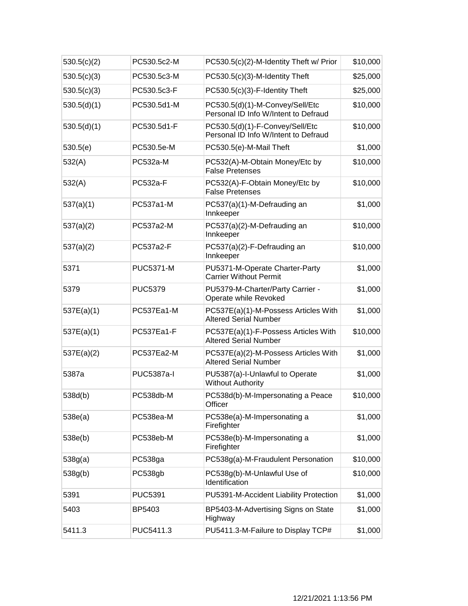| 530.5(c)(2) | PC530.5c2-M       | PC530.5(c)(2)-M-Identity Theft w/ Prior                                 | \$10,000 |
|-------------|-------------------|-------------------------------------------------------------------------|----------|
| 530.5(c)(3) | PC530.5c3-M       | PC530.5(c)(3)-M-Identity Theft                                          | \$25,000 |
| 530.5(c)(3) | PC530.5c3-F       | PC530.5(c)(3)-F-Identity Theft                                          | \$25,000 |
| 530.5(d)(1) | PC530.5d1-M       | PC530.5(d)(1)-M-Convey/Sell/Etc<br>Personal ID Info W/Intent to Defraud | \$10,000 |
| 530.5(d)(1) | PC530.5d1-F       | PC530.5(d)(1)-F-Convey/Sell/Etc<br>Personal ID Info W/Intent to Defraud | \$10,000 |
| 530.5(e)    | PC530.5e-M        | PC530.5(e)-M-Mail Theft                                                 | \$1,000  |
| 532(A)      | PC532a-M          | PC532(A)-M-Obtain Money/Etc by<br><b>False Pretenses</b>                | \$10,000 |
| 532(A)      | PC532a-F          | PC532(A)-F-Obtain Money/Etc by<br><b>False Pretenses</b>                | \$10,000 |
| 537(a)(1)   | PC537a1-M         | PC537(a)(1)-M-Defrauding an<br>Innkeeper                                | \$1,000  |
| 537(a)(2)   | PC537a2-M         | PC537(a)(2)-M-Defrauding an<br>Innkeeper                                | \$10,000 |
| 537(a)(2)   | PC537a2-F         | PC537(a)(2)-F-Defrauding an<br>Innkeeper                                | \$10,000 |
| 5371        | <b>PUC5371-M</b>  | PU5371-M-Operate Charter-Party<br><b>Carrier Without Permit</b>         | \$1,000  |
| 5379        | <b>PUC5379</b>    | PU5379-M-Charter/Party Carrier -<br>Operate while Revoked               | \$1,000  |
| 537E(a)(1)  | PC537Ea1-M        | PC537E(a)(1)-M-Possess Articles With<br><b>Altered Serial Number</b>    | \$1,000  |
| 537E(a)(1)  | PC537Ea1-F        | PC537E(a)(1)-F-Possess Articles With<br><b>Altered Serial Number</b>    | \$10,000 |
| 537E(a)(2)  | PC537Ea2-M        | PC537E(a)(2)-M-Possess Articles With<br><b>Altered Serial Number</b>    | \$1,000  |
| 5387a       | <b>PUC5387a-I</b> | PU5387(a)-I-Unlawful to Operate<br><b>Without Authority</b>             | \$1,000  |
| 538d(b)     | PC538db-M         | PC538d(b)-M-Impersonating a Peace<br>Officer                            | \$10,000 |
| 538e(a)     | PC538ea-M         | PC538e(a)-M-Impersonating a<br>Firefighter                              | \$1,000  |
| 538e(b)     | PC538eb-M         | PC538e(b)-M-Impersonating a<br>Firefighter                              | \$1,000  |
| 538g(a)     | PC538ga           | PC538g(a)-M-Fraudulent Personation                                      | \$10,000 |
| 538g(b)     | PC538gb           | PC538g(b)-M-Unlawful Use of<br>Identification                           | \$10,000 |
| 5391        | <b>PUC5391</b>    | PU5391-M-Accident Liability Protection                                  | \$1,000  |
| 5403        | BP5403            | BP5403-M-Advertising Signs on State<br>Highway                          | \$1,000  |
| 5411.3      | PUC5411.3         | PU5411.3-M-Failure to Display TCP#                                      | \$1,000  |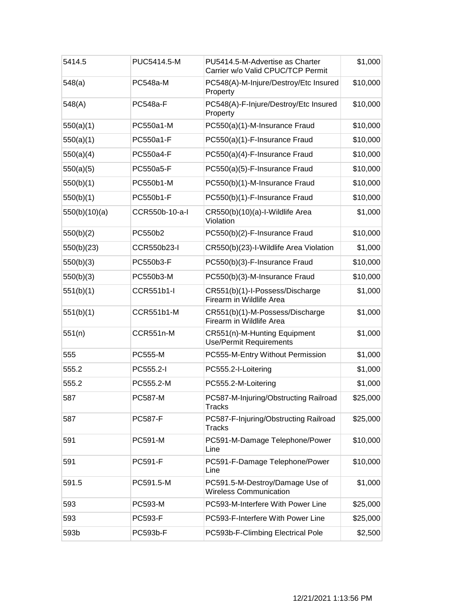| 5414.5        | PUC5414.5-M       | PU5414.5-M-Advertise as Charter<br>Carrier w/o Valid CPUC/TCP Permit | \$1,000  |
|---------------|-------------------|----------------------------------------------------------------------|----------|
| 548(a)        | PC548a-M          | PC548(A)-M-Injure/Destroy/Etc Insured<br>Property                    | \$10,000 |
| 548(A)        | <b>PC548a-F</b>   | PC548(A)-F-Injure/Destroy/Etc Insured<br>Property                    | \$10,000 |
| 550(a)(1)     | PC550a1-M         | PC550(a)(1)-M-Insurance Fraud                                        | \$10,000 |
| 550(a)(1)     | PC550a1-F         | PC550(a)(1)-F-Insurance Fraud                                        | \$10,000 |
| 550(a)(4)     | PC550a4-F         | PC550(a)(4)-F-Insurance Fraud                                        | \$10,000 |
| 550(a)(5)     | PC550a5-F         | PC550(a)(5)-F-Insurance Fraud                                        | \$10,000 |
| 550(b)(1)     | PC550b1-M         | PC550(b)(1)-M-Insurance Fraud                                        | \$10,000 |
| 550(b)(1)     | PC550b1-F         | PC550(b)(1)-F-Insurance Fraud                                        | \$10,000 |
| 550(b)(10)(a) | CCR550b-10-a-l    | CR550(b)(10)(a)-I-Wildlife Area<br>Violation                         | \$1,000  |
| 550(b)(2)     | PC550b2           | PC550(b)(2)-F-Insurance Fraud                                        | \$10,000 |
| 550(b)(23)    | CCR550b23-I       | CR550(b)(23)-I-Wildlife Area Violation                               | \$1,000  |
| 550(b)(3)     | PC550b3-F         | PC550(b)(3)-F-Insurance Fraud                                        | \$10,000 |
| 550(b)(3)     | PC550b3-M         | PC550(b)(3)-M-Insurance Fraud                                        | \$10,000 |
| 551(b)(1)     | CCR551b1-I        | CR551(b)(1)-I-Possess/Discharge<br>Firearm in Wildlife Area          | \$1,000  |
| 551(b)(1)     | <b>CCR551b1-M</b> | CR551(b)(1)-M-Possess/Discharge<br>Firearm in Wildlife Area          | \$1,000  |
| 551(n)        | CCR551n-M         | CR551(n)-M-Hunting Equipment<br><b>Use/Permit Requirements</b>       | \$1,000  |
| 555           | PC555-M           | PC555-M-Entry Without Permission                                     | \$1,000  |
| 555.2         | PC555.2-I         | PC555.2-I-Loitering                                                  | \$1,000  |
| 555.2         | PC555.2-M         | PC555.2-M-Loitering                                                  | \$1,000  |
| 587           | PC587-M           | PC587-M-Injuring/Obstructing Railroad<br><b>Tracks</b>               | \$25,000 |
| 587           | <b>PC587-F</b>    | PC587-F-Injuring/Obstructing Railroad<br><b>Tracks</b>               | \$25,000 |
| 591           | PC591-M           | PC591-M-Damage Telephone/Power<br>Line                               | \$10,000 |
| 591           | PC591-F           | PC591-F-Damage Telephone/Power<br>Line                               | \$10,000 |
| 591.5         | PC591.5-M         | PC591.5-M-Destroy/Damage Use of<br><b>Wireless Communication</b>     | \$1,000  |
| 593           | PC593-M           | PC593-M-Interfere With Power Line                                    | \$25,000 |
| 593           | PC593-F           | PC593-F-Interfere With Power Line                                    | \$25,000 |
| 593b          | PC593b-F          | PC593b-F-Climbing Electrical Pole                                    | \$2,500  |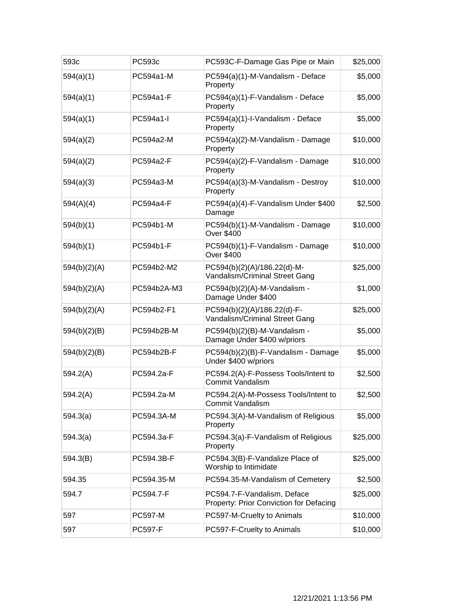| 593c         | PC593c         | PC593C-F-Damage Gas Pipe or Main                                       | \$25,000 |
|--------------|----------------|------------------------------------------------------------------------|----------|
| 594(a)(1)    | PC594a1-M      | PC594(a)(1)-M-Vandalism - Deface<br>Property                           | \$5,000  |
| 594(a)(1)    | PC594a1-F      | PC594(a)(1)-F-Vandalism - Deface<br>Property                           | \$5,000  |
| 594(a)(1)    | PC594a1-I      | PC594(a)(1)-I-Vandalism - Deface<br>Property                           | \$5,000  |
| 594(a)(2)    | PC594a2-M      | PC594(a)(2)-M-Vandalism - Damage<br>Property                           | \$10,000 |
| 594(a)(2)    | PC594a2-F      | PC594(a)(2)-F-Vandalism - Damage<br>Property                           | \$10,000 |
| 594(a)(3)    | PC594a3-M      | PC594(a)(3)-M-Vandalism - Destroy<br>Property                          | \$10,000 |
| 594(A)(4)    | PC594a4-F      | PC594(a)(4)-F-Vandalism Under \$400<br>Damage                          | \$2,500  |
| 594(b)(1)    | PC594b1-M      | PC594(b)(1)-M-Vandalism - Damage<br><b>Over \$400</b>                  | \$10,000 |
| 594(b)(1)    | PC594b1-F      | PC594(b)(1)-F-Vandalism - Damage<br><b>Over \$400</b>                  | \$10,000 |
| 594(b)(2)(A) | PC594b2-M2     | PC594(b)(2)(A)/186.22(d)-M-<br>Vandalism/Criminal Street Gang          | \$25,000 |
| 594(b)(2)(A) | PC594b2A-M3    | PC594(b)(2)(A)-M-Vandalism -<br>Damage Under \$400                     | \$1,000  |
| 594(b)(2)(A) | PC594b2-F1     | PC594(b)(2)(A)/186.22(d)-F-<br>Vandalism/Criminal Street Gang          | \$25,000 |
| 594(b)(2)(B) | PC594b2B-M     | PC594(b)(2)(B)-M-Vandalism -<br>Damage Under \$400 w/priors            | \$5,000  |
| 594(b)(2)(B) | PC594b2B-F     | PC594(b)(2)(B)-F-Vandalism - Damage<br>Under \$400 w/priors            | \$5,000  |
| 594.2(A)     | PC594.2a-F     | PC594.2(A)-F-Possess Tools/Intent to<br><b>Commit Vandalism</b>        | \$2,500  |
| 594.2(A)     | PC594.2a-M     | PC594.2(A)-M-Possess Tools/Intent to<br><b>Commit Vandalism</b>        | \$2,500  |
| 594.3(a)     | PC594.3A-M     | PC594.3(A)-M-Vandalism of Religious<br>Property                        | \$5,000  |
| 594.3(a)     | PC594.3a-F     | PC594.3(a)-F-Vandalism of Religious<br>Property                        | \$25,000 |
| 594.3(B)     | PC594.3B-F     | PC594.3(B)-F-Vandalize Place of<br>Worship to Intimidate               | \$25,000 |
| 594.35       | PC594.35-M     | PC594.35-M-Vandalism of Cemetery                                       | \$2,500  |
| 594.7        | PC594.7-F      | PC594.7-F-Vandalism, Deface<br>Property: Prior Conviction for Defacing | \$25,000 |
| 597          | <b>PC597-M</b> | PC597-M-Cruelty to Animals                                             | \$10,000 |
| 597          | <b>PC597-F</b> | PC597-F-Cruelty to Animals                                             | \$10,000 |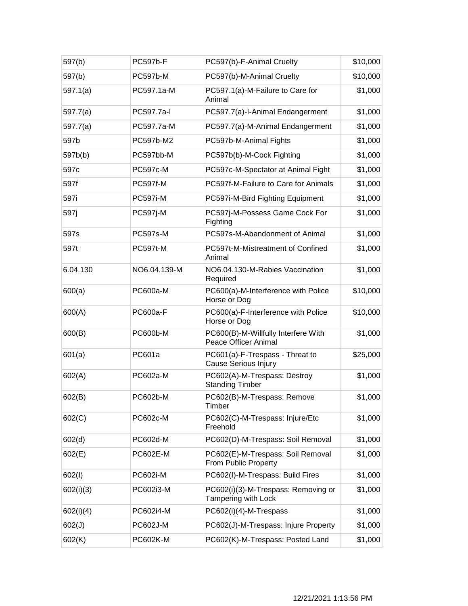| 597(b)    | <b>PC597b-F</b> | PC597(b)-F-Animal Cruelty                                          | \$10,000 |
|-----------|-----------------|--------------------------------------------------------------------|----------|
| 597(b)    | <b>PC597b-M</b> | PC597(b)-M-Animal Cruelty                                          | \$10,000 |
| 597.1(a)  | PC597.1a-M      | PC597.1(a)-M-Failure to Care for<br>Animal                         | \$1,000  |
| 597.7(a)  | PC597.7a-l      | PC597.7(a)-I-Animal Endangerment                                   | \$1,000  |
| 597.7(a)  | PC597.7a-M      | PC597.7(a)-M-Animal Endangerment                                   | \$1,000  |
| 597b      | PC597b-M2       | PC597b-M-Animal Fights                                             | \$1,000  |
| 597b(b)   | PC597bb-M       | PC597b(b)-M-Cock Fighting                                          | \$1,000  |
| 597c      | <b>PC597c-M</b> | PC597c-M-Spectator at Animal Fight                                 | \$1,000  |
| 597f      | PC597f-M        | PC597f-M-Failure to Care for Animals                               | \$1,000  |
| 597i      | <b>PC597i-M</b> | PC597i-M-Bird Fighting Equipment                                   | \$1,000  |
| 597j      | <b>PC597j-M</b> | PC597j-M-Possess Game Cock For<br>Fighting                         | \$1,000  |
| 597s      | <b>PC597s-M</b> | PC597s-M-Abandonment of Animal                                     | \$1,000  |
| 597t      | <b>PC597t-M</b> | PC597t-M-Mistreatment of Confined<br>Animal                        | \$1,000  |
| 6.04.130  | NO6.04.139-M    | NO6.04.130-M-Rabies Vaccination<br>Required                        | \$1,000  |
| 600(a)    | <b>PC600a-M</b> | PC600(a)-M-Interference with Police<br>Horse or Dog                | \$10,000 |
| 600(A)    | <b>PC600a-F</b> | PC600(a)-F-Interference with Police<br>Horse or Dog                | \$10,000 |
| 600(B)    | <b>PC600b-M</b> | PC600(B)-M-Willfully Interfere With<br><b>Peace Officer Animal</b> | \$1,000  |
| 601(a)    | PC601a          | PC601(a)-F-Trespass - Threat to<br><b>Cause Serious Injury</b>     | \$25,000 |
| 602(A)    | PC602a-M        | PC602(A)-M-Trespass: Destroy<br><b>Standing Timber</b>             | \$1,000  |
| 602(B)    | PC602b-M        | PC602(B)-M-Trespass: Remove<br>Timber                              | \$1,000  |
| 602(C)    | PC602c-M        | PC602(C)-M-Trespass: Injure/Etc<br>Freehold                        | \$1,000  |
| 602(d)    | PC602d-M        | PC602(D)-M-Trespass: Soil Removal                                  | \$1,000  |
| 602(E)    | <b>PC602E-M</b> | PC602(E)-M-Trespass: Soil Removal<br>From Public Property          | \$1,000  |
| 602(1)    | PC602i-M        | PC602(I)-M-Trespass: Build Fires                                   | \$1,000  |
| 602(i)(3) | PC602i3-M       | PC602(i)(3)-M-Trespass: Removing or<br>Tampering with Lock         | \$1,000  |
| 602(i)(4) | PC602i4-M       | PC602(i)(4)-M-Trespass                                             | \$1,000  |
| 602(J)    | PC602J-M        | PC602(J)-M-Trespass: Injure Property                               | \$1,000  |
| 602(K)    | <b>PC602K-M</b> | PC602(K)-M-Trespass: Posted Land                                   | \$1,000  |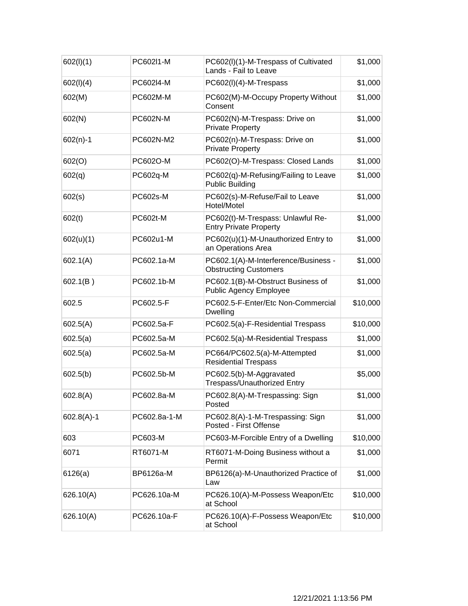| 602(I)(1)    | PC602I1-M    | PC602(I)(1)-M-Trespass of Cultivated<br>Lands - Fail to Leave        | \$1,000  |
|--------------|--------------|----------------------------------------------------------------------|----------|
| 602(1)(4)    | PC602I4-M    | PC602(I)(4)-M-Trespass                                               | \$1,000  |
| 602(M)       | PC602M-M     | PC602(M)-M-Occupy Property Without<br>Consent                        | \$1,000  |
| 602(N)       | PC602N-M     | PC602(N)-M-Trespass: Drive on<br><b>Private Property</b>             | \$1,000  |
| $602(n)-1$   | PC602N-M2    | PC602(n)-M-Trespass: Drive on<br><b>Private Property</b>             | \$1,000  |
| 602(O)       | PC602O-M     | PC602(O)-M-Trespass: Closed Lands                                    | \$1,000  |
| 602(q)       | PC602q-M     | PC602(q)-M-Refusing/Failing to Leave<br><b>Public Building</b>       | \$1,000  |
| 602(s)       | PC602s-M     | PC602(s)-M-Refuse/Fail to Leave<br>Hotel/Motel                       | \$1,000  |
| 602(t)       | PC602t-M     | PC602(t)-M-Trespass: Unlawful Re-<br><b>Entry Private Property</b>   | \$1,000  |
| 602(u)(1)    | PC602u1-M    | PC602(u)(1)-M-Unauthorized Entry to<br>an Operations Area            | \$1,000  |
| 602.1(A)     | PC602.1a-M   | PC602.1(A)-M-Interference/Business -<br><b>Obstructing Customers</b> | \$1,000  |
| 602.1(B)     | PC602.1b-M   | PC602.1(B)-M-Obstruct Business of<br><b>Public Agency Employee</b>   | \$1,000  |
| 602.5        | PC602.5-F    | PC602.5-F-Enter/Etc Non-Commercial<br>Dwelling                       | \$10,000 |
| 602.5(A)     | PC602.5a-F   | PC602.5(a)-F-Residential Trespass                                    | \$10,000 |
| 602.5(a)     | PC602.5a-M   | PC602.5(a)-M-Residential Trespass                                    | \$1,000  |
| 602.5(a)     | PC602.5a-M   | PC664/PC602.5(a)-M-Attempted<br><b>Residential Trespass</b>          | \$1,000  |
| 602.5(b)     | PC602.5b-M   | PC602.5(b)-M-Aggravated<br><b>Trespass/Unauthorized Entry</b>        | \$5,000  |
| 602.8(A)     | PC602.8a-M   | PC602.8(A)-M-Trespassing: Sign<br>Posted                             | \$1,000  |
| $602.8(A)-1$ | PC602.8a-1-M | PC602.8(A)-1-M-Trespassing: Sign<br>Posted - First Offense           | \$1,000  |
| 603          | PC603-M      | PC603-M-Forcible Entry of a Dwelling                                 | \$10,000 |
| 6071         | RT6071-M     | RT6071-M-Doing Business without a<br>Permit                          | \$1,000  |
| 6126(a)      | BP6126a-M    | BP6126(a)-M-Unauthorized Practice of<br>Law                          | \$1,000  |
| 626.10(A)    | PC626.10a-M  | PC626.10(A)-M-Possess Weapon/Etc<br>at School                        | \$10,000 |
| 626.10(A)    | PC626.10a-F  | PC626.10(A)-F-Possess Weapon/Etc<br>at School                        | \$10,000 |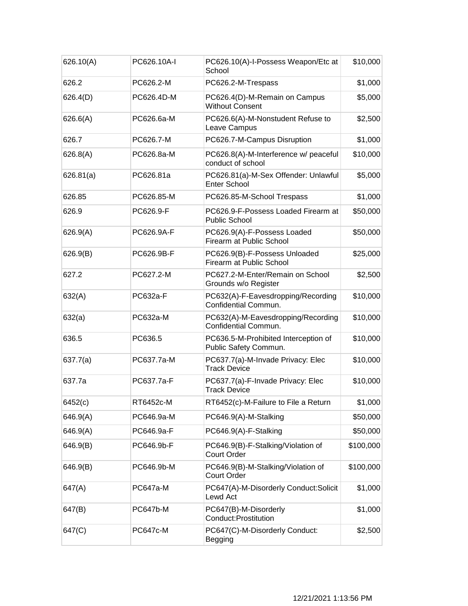| 626.10(A) | PC626.10A-I     | PC626.10(A)-I-Possess Weapon/Etc at<br>School                 | \$10,000  |
|-----------|-----------------|---------------------------------------------------------------|-----------|
| 626.2     | PC626.2-M       | PC626.2-M-Trespass                                            | \$1,000   |
| 626.4(D)  | PC626.4D-M      | PC626.4(D)-M-Remain on Campus<br><b>Without Consent</b>       | \$5,000   |
| 626.6(A)  | PC626.6a-M      | PC626.6(A)-M-Nonstudent Refuse to<br>Leave Campus             | \$2,500   |
| 626.7     | PC626.7-M       | PC626.7-M-Campus Disruption                                   | \$1,000   |
| 626.8(A)  | PC626.8a-M      | PC626.8(A)-M-Interference w/ peaceful<br>conduct of school    | \$10,000  |
| 626.81(a) | PC626.81a       | PC626.81(a)-M-Sex Offender: Unlawful<br><b>Enter School</b>   | \$5,000   |
| 626.85    | PC626.85-M      | PC626.85-M-School Trespass                                    | \$1,000   |
| 626.9     | PC626.9-F       | PC626.9-F-Possess Loaded Firearm at<br><b>Public School</b>   | \$50,000  |
| 626.9(A)  | PC626.9A-F      | PC626.9(A)-F-Possess Loaded<br>Firearm at Public School       | \$50,000  |
| 626.9(B)  | PC626.9B-F      | PC626.9(B)-F-Possess Unloaded<br>Firearm at Public School     | \$25,000  |
| 627.2     | PC627.2-M       | PC627.2-M-Enter/Remain on School<br>Grounds w/o Register      | \$2,500   |
| 632(A)    | <b>PC632a-F</b> | PC632(A)-F-Eavesdropping/Recording<br>Confidential Commun.    | \$10,000  |
| 632(a)    | PC632a-M        | PC632(A)-M-Eavesdropping/Recording<br>Confidential Commun.    | \$10,000  |
| 636.5     | PC636.5         | PC636.5-M-Prohibited Interception of<br>Public Safety Commun. | \$10,000  |
| 637.7(a)  | PC637.7a-M      | PC637.7(a)-M-Invade Privacy: Elec<br><b>Track Device</b>      | \$10,000  |
| 637.7a    | PC637.7a-F      | PC637.7(a)-F-Invade Privacy: Elec<br><b>Track Device</b>      | \$10,000  |
| 6452(c)   | RT6452c-M       | RT6452(c)-M-Failure to File a Return                          | \$1,000   |
| 646.9(A)  | PC646.9a-M      | PC646.9(A)-M-Stalking                                         | \$50,000  |
| 646.9(A)  | PC646.9a-F      | PC646.9(A)-F-Stalking                                         | \$50,000  |
| 646.9(B)  | PC646.9b-F      | PC646.9(B)-F-Stalking/Violation of<br><b>Court Order</b>      | \$100,000 |
| 646.9(B)  | PC646.9b-M      | PC646.9(B)-M-Stalking/Violation of<br><b>Court Order</b>      | \$100,000 |
| 647(A)    | <b>PC647a-M</b> | PC647(A)-M-Disorderly Conduct: Solicit<br>Lewd Act            | \$1,000   |
| 647(B)    | <b>PC647b-M</b> | PC647(B)-M-Disorderly<br>Conduct: Prostitution                | \$1,000   |
| 647(C)    | <b>PC647c-M</b> | PC647(C)-M-Disorderly Conduct:<br><b>Begging</b>              | \$2,500   |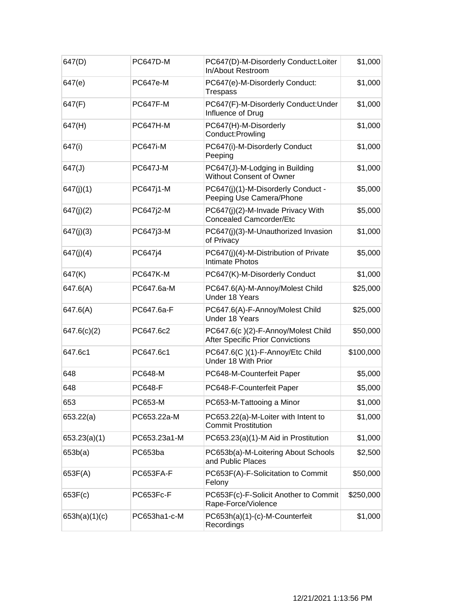| 647(D)        | <b>PC647D-M</b> | PC647(D)-M-Disorderly Conduct:Loiter<br>In/About Restroom                     | \$1,000   |
|---------------|-----------------|-------------------------------------------------------------------------------|-----------|
| 647(e)        | <b>PC647e-M</b> | PC647(e)-M-Disorderly Conduct:<br><b>Trespass</b>                             | \$1,000   |
| 647(F)        | <b>PC647F-M</b> | PC647(F)-M-Disorderly Conduct:Under<br>Influence of Drug                      | \$1,000   |
| 647(H)        | <b>PC647H-M</b> | PC647(H)-M-Disorderly<br>Conduct:Prowling                                     | \$1,000   |
| 647(i)        | <b>PC647i-M</b> | PC647(i)-M-Disorderly Conduct<br>Peeping                                      | \$1,000   |
| 647(J)        | <b>PC647J-M</b> | PC647(J)-M-Lodging in Building<br>Without Consent of Owner                    | \$1,000   |
| 647(j)(1)     | PC647j1-M       | PC647(j)(1)-M-Disorderly Conduct -<br>Peeping Use Camera/Phone                | \$5,000   |
| 647(j)(2)     | PC647j2-M       | PC647(j)(2)-M-Invade Privacy With<br><b>Concealed Camcorder/Etc</b>           | \$5,000   |
| 647(j)(3)     | PC647j3-M       | PC647(j)(3)-M-Unauthorized Invasion<br>of Privacy                             | \$1,000   |
| 647(j)(4)     | PC647j4         | PC647(j)(4)-M-Distribution of Private<br><b>Intimate Photos</b>               | \$5,000   |
| 647(K)        | <b>PC647K-M</b> | PC647(K)-M-Disorderly Conduct                                                 | \$1,000   |
| 647.6(A)      | PC647.6a-M      | PC647.6(A)-M-Annoy/Molest Child<br>Under 18 Years                             | \$25,000  |
| 647.6(A)      | PC647.6a-F      | PC647.6(A)-F-Annoy/Molest Child<br>Under 18 Years                             | \$25,000  |
| 647.6(c)(2)   | PC647.6c2       | PC647.6(c)(2)-F-Annoy/Molest Child<br><b>After Specific Prior Convictions</b> | \$50,000  |
| 647.6c1       | PC647.6c1       | PC647.6(C)(1)-F-Annoy/Etc Child<br>Under 18 With Prior                        | \$100,000 |
| 648           | <b>PC648-M</b>  | PC648-M-Counterfeit Paper                                                     | \$5,000   |
| 648           | <b>PC648-F</b>  | PC648-F-Counterfeit Paper                                                     | \$5,000   |
| 653           | PC653-M         | PC653-M-Tattooing a Minor                                                     | \$1,000   |
| 653.22(a)     | PC653.22a-M     | PC653.22(a)-M-Loiter with Intent to<br><b>Commit Prostitution</b>             | \$1,000   |
| 653.23(a)(1)  | PC653.23a1-M    | PC653.23(a)(1)-M Aid in Prostitution                                          | \$1,000   |
| 653b(a)       | PC653ba         | PC653b(a)-M-Loitering About Schools<br>and Public Places                      | \$2,500   |
| 653F(A)       | PC653FA-F       | PC653F(A)-F-Solicitation to Commit<br>Felony                                  | \$50,000  |
| 653F(c)       | PC653Fc-F       | PC653F(c)-F-Solicit Another to Commit<br>Rape-Force/Violence                  | \$250,000 |
| 653h(a)(1)(c) | PC653ha1-c-M    | PC653h(a)(1)-(c)-M-Counterfeit<br>Recordings                                  | \$1,000   |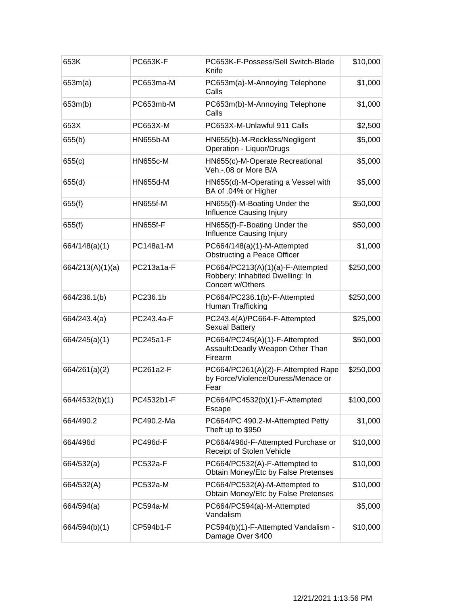| 653K             | <b>PC653K-F</b> | PC653K-F-Possess/Sell Switch-Blade<br>Knife                                             | \$10,000  |
|------------------|-----------------|-----------------------------------------------------------------------------------------|-----------|
| 653m(a)          | PC653ma-M       | PC653m(a)-M-Annoying Telephone<br>Calls                                                 | \$1,000   |
| 653m(b)          | PC653mb-M       | PC653m(b)-M-Annoying Telephone<br>Calls                                                 | \$1,000   |
| 653X             | PC653X-M        | PC653X-M-Unlawful 911 Calls                                                             | \$2,500   |
| 655(b)           | <b>HN655b-M</b> | HN655(b)-M-Reckless/Negligent<br><b>Operation - Liquor/Drugs</b>                        | \$5,000   |
| 655(c)           | <b>HN655c-M</b> | HN655(c)-M-Operate Recreational<br>Veh.-.08 or More B/A                                 | \$5,000   |
| 655(d)           | <b>HN655d-M</b> | HN655(d)-M-Operating a Vessel with<br>BA of .04% or Higher                              | \$5,000   |
| 655(f)           | <b>HN655f-M</b> | HN655(f)-M-Boating Under the<br><b>Influence Causing Injury</b>                         | \$50,000  |
| 655(f)           | <b>HN655f-F</b> | HN655(f)-F-Boating Under the<br>Influence Causing Injury                                | \$50,000  |
| 664/148(a)(1)    | PC148a1-M       | PC664/148(a)(1)-M-Attempted<br>Obstructing a Peace Officer                              | \$1,000   |
| 664/213(A)(1)(a) | PC213a1a-F      | PC664/PC213(A)(1)(a)-F-Attempted<br>Robbery: Inhabited Dwelling: In<br>Concert w/Others | \$250,000 |
| 664/236.1(b)     | PC236.1b        | PC664/PC236.1(b)-F-Attempted<br>Human Trafficking                                       | \$250,000 |
| 664/243.4(a)     | PC243.4a-F      | PC243.4(A)/PC664-F-Attempted<br>Sexual Battery                                          | \$25,000  |
| 664/245(a)(1)    | PC245a1-F       | PC664/PC245(A)(1)-F-Attempted<br>Assault: Deadly Weapon Other Than<br>Firearm           | \$50,000  |
| 664/261(a)(2)    | PC261a2-F       | PC664/PC261(A)(2)-F-Attempted Rape<br>by Force/Violence/Duress/Menace or<br>Fear        | \$250,000 |
| 664/4532(b)(1)   | PC4532b1-F      | PC664/PC4532(b)(1)-F-Attempted<br>Escape                                                | \$100,000 |
| 664/490.2        | PC490.2-Ma      | PC664/PC 490.2-M-Attempted Petty<br>Theft up to \$950                                   | \$1,000   |
| 664/496d         | <b>PC496d-F</b> | PC664/496d-F-Attempted Purchase or<br>Receipt of Stolen Vehicle                         | \$10,000  |
| 664/532(a)       | PC532a-F        | PC664/PC532(A)-F-Attempted to<br>Obtain Money/Etc by False Pretenses                    | \$10,000  |
| 664/532(A)       | <b>PC532a-M</b> | PC664/PC532(A)-M-Attempted to<br>Obtain Money/Etc by False Pretenses                    | \$10,000  |
| 664/594(a)       | <b>PC594a-M</b> | PC664/PC594(a)-M-Attempted<br>Vandalism                                                 | \$5,000   |
| 664/594(b)(1)    | CP594b1-F       | PC594(b)(1)-F-Attempted Vandalism -<br>Damage Over \$400                                | \$10,000  |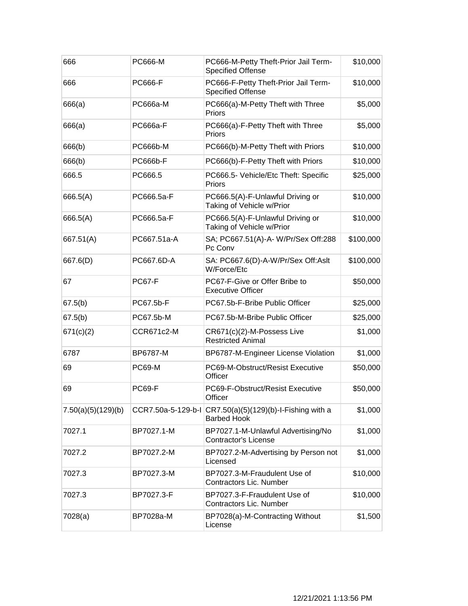| 666                | PC666-M            | PC666-M-Petty Theft-Prior Jail Term-<br><b>Specified Offense</b>  | \$10,000  |
|--------------------|--------------------|-------------------------------------------------------------------|-----------|
| 666                | <b>PC666-F</b>     | PC666-F-Petty Theft-Prior Jail Term-<br><b>Specified Offense</b>  | \$10,000  |
| 666(a)             | PC666a-M           | PC666(a)-M-Petty Theft with Three<br>Priors                       | \$5,000   |
| 666(a)             | PC666a-F           | PC666(a)-F-Petty Theft with Three<br>Priors                       | \$5,000   |
| 666(b)             | <b>PC666b-M</b>    | PC666(b)-M-Petty Theft with Priors                                | \$10,000  |
| 666(b)             | <b>PC666b-F</b>    | PC666(b)-F-Petty Theft with Priors                                | \$10,000  |
| 666.5              | PC666.5            | PC666.5- Vehicle/Etc Theft: Specific<br>Priors                    | \$25,000  |
| 666.5(A)           | PC666.5a-F         | PC666.5(A)-F-Unlawful Driving or<br>Taking of Vehicle w/Prior     | \$10,000  |
| 666.5(A)           | PC666.5a-F         | PC666.5(A)-F-Unlawful Driving or<br>Taking of Vehicle w/Prior     | \$10,000  |
| 667.51(A)          | PC667.51a-A        | SA; PC667.51(A)-A-W/Pr/Sex Off:288<br>Pc Conv                     | \$100,000 |
| 667.6(D)           | PC667.6D-A         | SA: PC667.6(D)-A-W/Pr/Sex Off:Aslt<br>W/Force/Etc                 | \$100,000 |
| 67                 | <b>PC67-F</b>      | PC67-F-Give or Offer Bribe to<br><b>Executive Officer</b>         | \$50,000  |
| 67.5(b)            | PC67.5b-F          | PC67.5b-F-Bribe Public Officer                                    | \$25,000  |
| 67.5(b)            | PC67.5b-M          | PC67.5b-M-Bribe Public Officer                                    | \$25,000  |
| 671(c)(2)          | CCR671c2-M         | CR671(c)(2)-M-Possess Live<br><b>Restricted Animal</b>            | \$1,000   |
| 6787               | BP6787-M           | BP6787-M-Engineer License Violation                               | \$1,000   |
| 69                 | <b>PC69-M</b>      | PC69-M-Obstruct/Resist Executive<br>Officer                       | \$50,000  |
| 69                 | <b>PC69-F</b>      | PC69-F-Obstruct/Resist Executive<br>Officer                       | \$50,000  |
| 7.50(a)(5)(129)(b) | CCR7.50a-5-129-b-l | $CR7.50(a)(5)(129)(b) - I - Fishing with a$<br><b>Barbed Hook</b> | \$1,000   |
| 7027.1             | BP7027.1-M         | BP7027.1-M-Unlawful Advertising/No<br><b>Contractor's License</b> | \$1,000   |
| 7027.2             | BP7027.2-M         | BP7027.2-M-Advertising by Person not<br>Licensed                  | \$1,000   |
| 7027.3             | BP7027.3-M         | BP7027.3-M-Fraudulent Use of<br><b>Contractors Lic. Number</b>    | \$10,000  |
| 7027.3             | BP7027.3-F         | BP7027.3-F-Fraudulent Use of<br>Contractors Lic. Number           | \$10,000  |
| 7028(a)            | BP7028a-M          | BP7028(a)-M-Contracting Without<br>License                        | \$1,500   |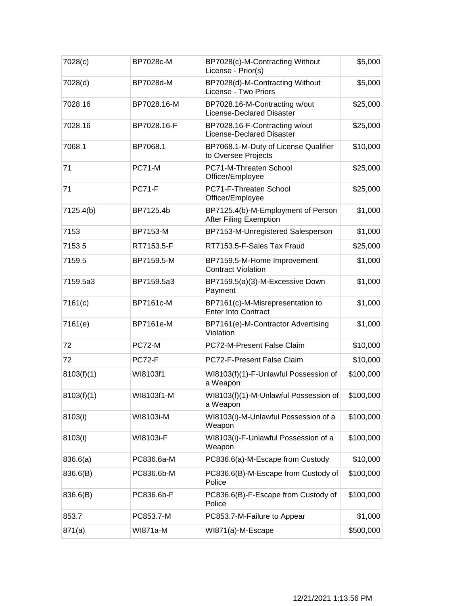| 7028(c)    | BP7028c-M        | BP7028(c)-M-Contracting Without<br>License - Prior(s)               | \$5,000   |
|------------|------------------|---------------------------------------------------------------------|-----------|
| 7028(d)    | BP7028d-M        | BP7028(d)-M-Contracting Without<br>License - Two Priors             | \$5,000   |
| 7028.16    | BP7028.16-M      | BP7028.16-M-Contracting w/out<br><b>License-Declared Disaster</b>   | \$25,000  |
| 7028.16    | BP7028.16-F      | BP7028.16-F-Contracting w/out<br>License-Declared Disaster          | \$25,000  |
| 7068.1     | BP7068.1         | BP7068.1-M-Duty of License Qualifier<br>to Oversee Projects         | \$10,000  |
| 71         | <b>PC71-M</b>    | PC71-M-Threaten School<br>Officer/Employee                          | \$25,000  |
| 71         | <b>PC71-F</b>    | PC71-F-Threaten School<br>Officer/Employee                          | \$25,000  |
| 7125.4(b)  | BP7125.4b        | BP7125.4(b)-M-Employment of Person<br><b>After Filing Exemption</b> | \$1,000   |
| 7153       | BP7153-M         | BP7153-M-Unregistered Salesperson                                   | \$1,000   |
| 7153.5     | RT7153.5-F       | RT7153.5-F-Sales Tax Fraud                                          | \$25,000  |
| 7159.5     | BP7159.5-M       | BP7159.5-M-Home Improvement<br><b>Contract Violation</b>            | \$1,000   |
| 7159.5a3   | BP7159.5a3       | BP7159.5(a)(3)-M-Excessive Down<br>Payment                          | \$1,000   |
| 7161(c)    | BP7161c-M        | BP7161(c)-M-Misrepresentation to<br><b>Enter Into Contract</b>      | \$1,000   |
| 7161(e)    | <b>BP7161e-M</b> | BP7161(e)-M-Contractor Advertising<br>Violation                     | \$1,000   |
| 72         | <b>PC72-M</b>    | PC72-M-Present False Claim                                          | \$10,000  |
| 72         | <b>PC72-F</b>    | PC72-F-Present False Claim                                          | \$10,000  |
| 8103(f)(1) | WI8103f1         | WI8103(f)(1)-F-Unlawful Possession of<br>a Weapon                   | \$100,000 |
| 8103(f)(1) | WI8103f1-M       | WI8103(f)(1)-M-Unlawful Possession of<br>a Weapon                   | \$100,000 |
| 8103(i)    | WI8103i-M        | WI8103(i)-M-Unlawful Possession of a<br>Weapon                      | \$100,000 |
| 8103(i)    | WI8103i-F        | WI8103(i)-F-Unlawful Possession of a<br>Weapon                      | \$100,000 |
| 836.6(a)   | PC836.6a-M       | PC836.6(a)-M-Escape from Custody                                    | \$10,000  |
| 836.6(B)   | PC836.6b-M       | PC836.6(B)-M-Escape from Custody of<br>Police                       | \$100,000 |
| 836.6(B)   | PC836.6b-F       | PC836.6(B)-F-Escape from Custody of<br>Police                       | \$100,000 |
| 853.7      | PC853.7-M        | PC853.7-M-Failure to Appear                                         | \$1,000   |
| 871(a)     | WI871a-M         | WI871(a)-M-Escape                                                   | \$500,000 |